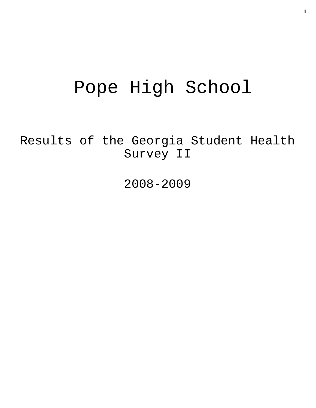# Pope High School

Results of the Georgia Student Health Survey II

2008-2009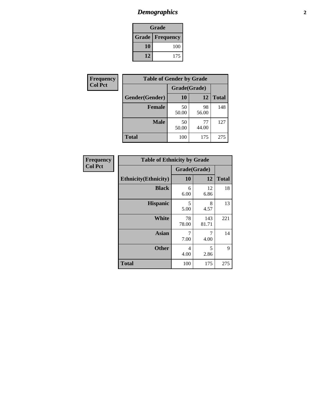# *Demographics* **2**

| Grade                    |     |  |  |
|--------------------------|-----|--|--|
| <b>Grade   Frequency</b> |     |  |  |
| 10                       | 100 |  |  |
| 12                       | 175 |  |  |

| <b>Frequency</b> | <b>Table of Gender by Grade</b> |              |             |              |  |
|------------------|---------------------------------|--------------|-------------|--------------|--|
| <b>Col Pct</b>   |                                 | Grade(Grade) |             |              |  |
|                  | Gender(Gender)                  | <b>10</b>    | 12          | <b>Total</b> |  |
|                  | <b>Female</b>                   | 50<br>50.00  | 98<br>56.00 | 148          |  |
|                  | <b>Male</b>                     | 50<br>50.00  | 77<br>44.00 | 127          |  |
|                  | <b>Total</b>                    | 100          | 175         | 275          |  |

| Frequency      |
|----------------|
| <b>Col Pct</b> |

| <b>Table of Ethnicity by Grade</b> |             |              |              |  |  |
|------------------------------------|-------------|--------------|--------------|--|--|
|                                    |             | Grade(Grade) |              |  |  |
| <b>Ethnicity</b> (Ethnicity)       | 10          | 12           | <b>Total</b> |  |  |
| <b>Black</b>                       | 6<br>6.00   | 12<br>6.86   | 18           |  |  |
| <b>Hispanic</b>                    | 5<br>5.00   | 8<br>4.57    | 13           |  |  |
| White                              | 78<br>78.00 | 143<br>81.71 | 221          |  |  |
| Asian                              | 7<br>7.00   | 7<br>4.00    | 14           |  |  |
| <b>Other</b>                       | 4<br>4.00   | 5<br>2.86    | 9            |  |  |
| <b>Total</b>                       | 100         | 175          | 275          |  |  |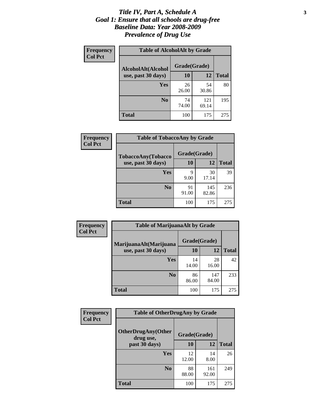#### *Title IV, Part A, Schedule A* **3** *Goal 1: Ensure that all schools are drug-free Baseline Data: Year 2008-2009 Prevalence of Drug Use*

| Frequency<br><b>Col Pct</b> | <b>Table of AlcoholAlt by Grade</b> |              |              |              |  |
|-----------------------------|-------------------------------------|--------------|--------------|--------------|--|
|                             | AlcoholAlt(Alcohol                  | Grade(Grade) |              |              |  |
|                             | use, past 30 days)                  | <b>10</b>    | 12           | <b>Total</b> |  |
|                             | Yes                                 | 26<br>26.00  | 54<br>30.86  | 80           |  |
|                             | N <sub>0</sub>                      | 74<br>74.00  | 121<br>69.14 | 195          |  |
|                             | Total                               | 100          | 175          | 275          |  |

| Frequency      | <b>Table of TobaccoAny by Grade</b> |              |              |              |  |
|----------------|-------------------------------------|--------------|--------------|--------------|--|
| <b>Col Pct</b> | <b>TobaccoAny(Tobacco</b>           | Grade(Grade) |              |              |  |
|                | use, past 30 days)                  | 10           | 12           | <b>Total</b> |  |
|                | Yes                                 | 9<br>9.00    | 30<br>17.14  | 39           |  |
|                | N <sub>0</sub>                      | 91<br>91.00  | 145<br>82.86 | 236          |  |
|                | Total                               | 100          | 175          | 275          |  |

| Frequency<br><b>Col Pct</b> | <b>Table of MarijuanaAlt by Grade</b> |              |              |              |  |
|-----------------------------|---------------------------------------|--------------|--------------|--------------|--|
|                             | MarijuanaAlt(Marijuana                | Grade(Grade) |              |              |  |
|                             | use, past 30 days)                    | <b>10</b>    | 12           | <b>Total</b> |  |
|                             | <b>Yes</b>                            | 14<br>14.00  | 28<br>16.00  | 42           |  |
|                             | N <sub>0</sub>                        | 86<br>86.00  | 147<br>84.00 | 233          |  |
|                             | <b>Total</b>                          | 100          | 175          | 275          |  |

| Frequency      | <b>Table of OtherDrugAny by Grade</b>  |              |              |              |
|----------------|----------------------------------------|--------------|--------------|--------------|
| <b>Col Pct</b> | <b>OtherDrugAny(Other</b><br>drug use, | Grade(Grade) |              |              |
|                | past 30 days)                          | 10           | 12           | <b>Total</b> |
|                | Yes                                    | 12<br>12.00  | 14<br>8.00   | 26           |
|                | N <sub>0</sub>                         | 88<br>88.00  | 161<br>92.00 | 249          |
|                | <b>Total</b>                           | 100          | 175          | 275          |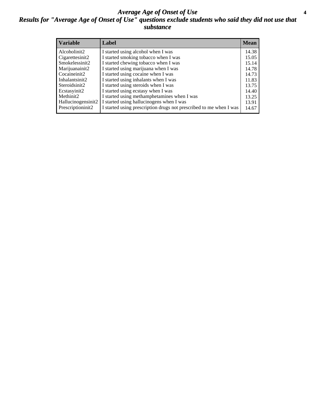#### *Average Age of Onset of Use* **4** *Results for "Average Age of Onset of Use" questions exclude students who said they did not use that substance*

| <b>Variable</b>    | Label                                                              | <b>Mean</b> |
|--------------------|--------------------------------------------------------------------|-------------|
| Alcoholinit2       | I started using alcohol when I was                                 | 14.38       |
| Cigarettesinit2    | I started smoking tobacco when I was                               | 15.05       |
| Smokelessinit2     | I started chewing tobacco when I was                               | 15.14       |
| Marijuanainit2     | I started using marijuana when I was                               | 14.78       |
| Cocaineinit2       | I started using cocaine when I was                                 | 14.73       |
| Inhalantsinit2     | I started using inhalants when I was                               | 11.83       |
| Steroidsinit2      | I started using steroids when I was                                | 13.75       |
| Ecstasyinit2       | I started using ecstasy when I was                                 | 14.40       |
| Methinit2          | I started using methamphetamines when I was                        | 13.25       |
| Hallucinogensinit2 | I started using hallucinogens when I was                           | 13.91       |
| Prescriptioninit2  | I started using prescription drugs not prescribed to me when I was | 14.67       |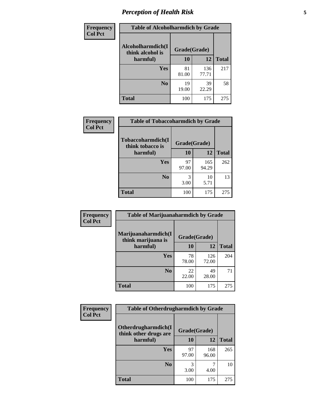# *Perception of Health Risk* **5**

| Frequency      | <b>Table of Alcoholharmdich by Grade</b> |              |              |              |  |
|----------------|------------------------------------------|--------------|--------------|--------------|--|
| <b>Col Pct</b> | Alcoholharmdich(I<br>think alcohol is    | Grade(Grade) |              |              |  |
|                | harmful)                                 | 10           | 12           | <b>Total</b> |  |
|                | <b>Yes</b>                               | 81<br>81.00  | 136<br>77.71 | 217          |  |
|                | N <sub>0</sub>                           | 19<br>19.00  | 39<br>22.29  | 58           |  |
|                | <b>Total</b>                             | 100          | 175          | 275          |  |

| Frequency      | <b>Table of Tobaccoharmdich by Grade</b> |              |              |              |  |
|----------------|------------------------------------------|--------------|--------------|--------------|--|
| <b>Col Pct</b> | Tobaccoharmdich(I<br>think tobacco is    | Grade(Grade) |              |              |  |
|                | harmful)                                 | 10           | 12           | <b>Total</b> |  |
|                | <b>Yes</b>                               | 97<br>97.00  | 165<br>94.29 | 262          |  |
|                | N <sub>0</sub>                           | 3.00         | 10<br>5.71   | 13           |  |
|                | <b>Total</b>                             | 100          | 175          | 275          |  |

| <b>Frequency</b> | <b>Table of Marijuanaharmdich by Grade</b>                |             |              |              |  |
|------------------|-----------------------------------------------------------|-------------|--------------|--------------|--|
| <b>Col Pct</b>   | Marijuanaharmdich(I<br>Grade(Grade)<br>think marijuana is |             |              |              |  |
|                  | harmful)                                                  | 10          | 12           | <b>Total</b> |  |
|                  | Yes                                                       | 78<br>78.00 | 126<br>72.00 | 204          |  |
|                  | N <sub>0</sub>                                            | 22<br>22.00 | 49<br>28.00  | 71           |  |
|                  | <b>Total</b>                                              | 100         | 175          | 275          |  |

| <b>Frequency</b> | <b>Table of Otherdrugharmdich by Grade</b>   |              |              |              |  |  |
|------------------|----------------------------------------------|--------------|--------------|--------------|--|--|
| <b>Col Pct</b>   | Otherdrugharmdich(I<br>think other drugs are | Grade(Grade) |              |              |  |  |
|                  | harmful)                                     | 10           | 12           | <b>Total</b> |  |  |
|                  | <b>Yes</b>                                   | 97<br>97.00  | 168<br>96.00 | 265          |  |  |
|                  | N <sub>0</sub>                               | 3.00         | 4.00         | 10           |  |  |
|                  | <b>Total</b>                                 | 100          | 175          | 275          |  |  |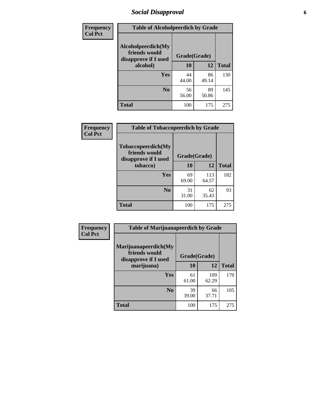# *Social Disapproval* **6**

| <b>Frequency</b> |                                                             | <b>Table of Alcoholpeerdich by Grade</b> |             |              |  |  |  |
|------------------|-------------------------------------------------------------|------------------------------------------|-------------|--------------|--|--|--|
| <b>Col Pct</b>   | Alcoholpeerdich(My<br>friends would<br>disapprove if I used | Grade(Grade)                             |             |              |  |  |  |
|                  | alcohol)                                                    | 10                                       | 12          | <b>Total</b> |  |  |  |
|                  | <b>Yes</b>                                                  | 44<br>44.00                              | 86<br>49.14 | 130          |  |  |  |
|                  | N <sub>0</sub>                                              | 56<br>56.00                              | 89<br>50.86 | 145          |  |  |  |
|                  | <b>Total</b>                                                | 100                                      | 175         | 275          |  |  |  |

| <b>Frequency</b> |
|------------------|
| <b>Col Pct</b>   |

| <b>Table of Tobaccopeerdich by Grade</b>                    |              |              |              |  |
|-------------------------------------------------------------|--------------|--------------|--------------|--|
| Tobaccopeerdich(My<br>friends would<br>disapprove if I used | Grade(Grade) |              |              |  |
| tobacco)                                                    | 10           | 12           | <b>Total</b> |  |
| Yes                                                         | 69<br>69.00  | 113<br>64.57 | 182          |  |
| N <sub>0</sub>                                              | 31<br>31.00  | 62<br>35.43  | 93           |  |
| <b>Total</b>                                                | 100          | 175          | 275          |  |

| Frequency      | <b>Table of Marijuanapeerdich by Grade</b>                    |              |              |              |  |  |
|----------------|---------------------------------------------------------------|--------------|--------------|--------------|--|--|
| <b>Col Pct</b> | Marijuanapeerdich(My<br>friends would<br>disapprove if I used | Grade(Grade) |              |              |  |  |
|                | marijuana)                                                    | 10           | 12           | <b>Total</b> |  |  |
|                | <b>Yes</b>                                                    | 61<br>61.00  | 109<br>62.29 | 170          |  |  |
|                | N <sub>0</sub>                                                | 39<br>39.00  | 66<br>37.71  | 105          |  |  |
|                | <b>Total</b>                                                  | 100          | 175          | 275          |  |  |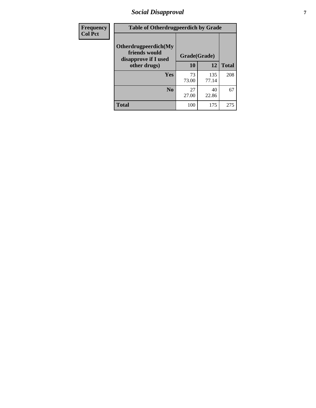# *Social Disapproval* **7**

| Frequency      | <b>Table of Otherdrugpeerdich by Grade</b>                    |              |              |              |  |  |
|----------------|---------------------------------------------------------------|--------------|--------------|--------------|--|--|
| <b>Col Pct</b> | Otherdrugpeerdich(My<br>friends would<br>disapprove if I used | Grade(Grade) |              |              |  |  |
|                | other drugs)                                                  | 10           | 12           | <b>Total</b> |  |  |
|                | Yes                                                           | 73<br>73.00  | 135<br>77.14 | 208          |  |  |
|                | N <sub>0</sub>                                                | 27<br>27.00  | 40<br>22.86  | 67           |  |  |
|                | <b>Total</b>                                                  | 100          | 175          | 275          |  |  |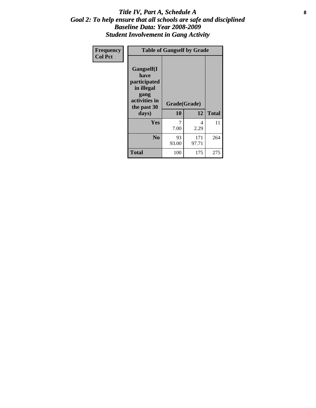#### Title IV, Part A, Schedule A **8** *Goal 2: To help ensure that all schools are safe and disciplined Baseline Data: Year 2008-2009 Student Involvement in Gang Activity*

| Frequency      | <b>Table of Gangself by Grade</b>                                                                 |                    |              |              |  |  |
|----------------|---------------------------------------------------------------------------------------------------|--------------------|--------------|--------------|--|--|
| <b>Col Pct</b> | Gangself(I<br>have<br>participated<br>in illegal<br>gang<br>activities in<br>the past 30<br>days) | Grade(Grade)<br>10 | 12           | <b>Total</b> |  |  |
|                | Yes                                                                                               | 7<br>7.00          | 4<br>2.29    | 11           |  |  |
|                | N <sub>0</sub>                                                                                    | 93<br>93.00        | 171<br>97.71 | 264          |  |  |
|                | <b>Total</b>                                                                                      | 100                | 175          | 275          |  |  |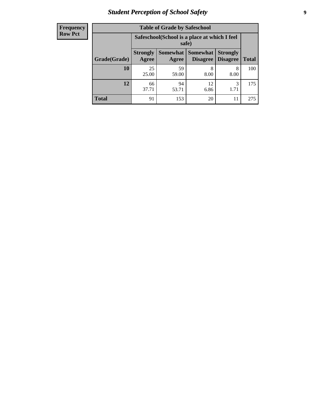# *Student Perception of School Safety* **9**

| <b>Frequency</b><br>Row Pct |
|-----------------------------|
|                             |

| <b>Table of Grade by Safeschool</b> |                                                                                                                            |             |            |           |     |  |
|-------------------------------------|----------------------------------------------------------------------------------------------------------------------------|-------------|------------|-----------|-----|--|
|                                     | Safeschool (School is a place at which I feel<br>safe)                                                                     |             |            |           |     |  |
| Grade(Grade)                        | Somewhat   Somewhat<br><b>Strongly</b><br><b>Strongly</b><br><b>Disagree</b><br>Agree<br>Disagree<br><b>Total</b><br>Agree |             |            |           |     |  |
| 10                                  | 25<br>25.00                                                                                                                | 59<br>59.00 | 8<br>8.00  | 8<br>8.00 | 100 |  |
| 12                                  | 66<br>37.71                                                                                                                | 94<br>53.71 | 12<br>6.86 | 3<br>1.71 | 175 |  |
| <b>Total</b>                        | 91                                                                                                                         | 153         | 20         | 11        | 275 |  |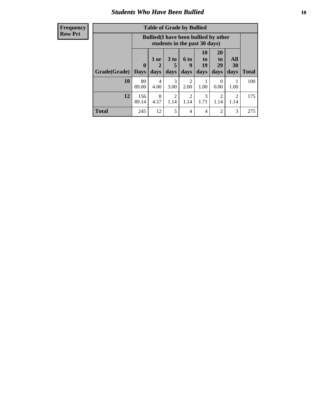### *Students Who Have Been Bullied* **10**

#### **Frequency Row Pct**

| <b>Table of Grade by Bullied</b> |                                                                                                                                                                       |                                                                               |           |                        |           |                  |              |     |
|----------------------------------|-----------------------------------------------------------------------------------------------------------------------------------------------------------------------|-------------------------------------------------------------------------------|-----------|------------------------|-----------|------------------|--------------|-----|
|                                  |                                                                                                                                                                       | <b>Bullied</b> (I have been bullied by other<br>students in the past 30 days) |           |                        |           |                  |              |     |
| Grade(Grade)                     | 10<br>20<br>All<br>3 <sub>to</sub><br><b>6 to</b><br>1 or<br>to<br>to<br>19<br>29<br>0<br>30<br>9<br>5<br>days<br><b>Days</b><br>days<br>days<br>days<br>days<br>days |                                                                               |           |                        |           |                  | <b>Total</b> |     |
| 10                               | 89<br>89.00                                                                                                                                                           | 4<br>4.00                                                                     | 3<br>3.00 | 2<br>2.00              | 1.00      | $\theta$<br>0.00 | 1.00         | 100 |
| 12                               | 156<br>89.14                                                                                                                                                          | 8<br>4.57                                                                     | 2<br>1.14 | $\overline{2}$<br>1.14 | 3<br>1.71 | 2<br>1.14        | 2<br>1.14    | 175 |
| <b>Total</b>                     | 245                                                                                                                                                                   | 12                                                                            | 5         | 4                      | 4         | $\overline{2}$   | 3            | 275 |

 $\blacksquare$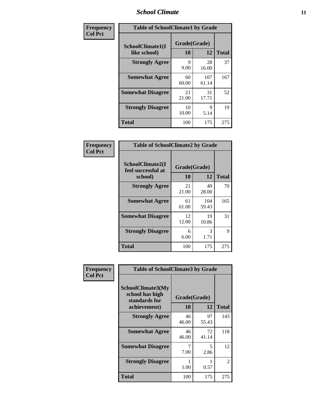### *School Climate* **11**

| Frequency      | <b>Table of SchoolClimate1 by Grade</b> |                    |              |              |  |  |
|----------------|-----------------------------------------|--------------------|--------------|--------------|--|--|
| <b>Col Pct</b> | SchoolClimate1(I<br>like school)        | Grade(Grade)<br>10 | 12           | <b>Total</b> |  |  |
|                | <b>Strongly Agree</b>                   | 9<br>9.00          | 28<br>16.00  | 37           |  |  |
|                | <b>Somewhat Agree</b>                   | 60<br>60.00        | 107<br>61.14 | 167          |  |  |
|                | <b>Somewhat Disagree</b>                | 21<br>21.00        | 31<br>17.71  | 52           |  |  |
|                | <b>Strongly Disagree</b>                | 10<br>10.00        | 9<br>5.14    | 19           |  |  |
|                | <b>Total</b>                            | 100                | 175          | 275          |  |  |

| <b>Frequency</b><br><b>Col Pct</b> | Table of                                    |
|------------------------------------|---------------------------------------------|
|                                    | <b>SchoolClim</b><br>feel success<br>school |

| <b>Table of SchoolClimate2 by Grade</b>           |                    |              |              |  |
|---------------------------------------------------|--------------------|--------------|--------------|--|
| SchoolClimate2(I<br>feel successful at<br>school) | Grade(Grade)<br>10 | 12           | <b>Total</b> |  |
| <b>Strongly Agree</b>                             | 21<br>21.00        | 49<br>28.00  | 70           |  |
| <b>Somewhat Agree</b>                             | 61<br>61.00        | 104<br>59.43 | 165          |  |
| <b>Somewhat Disagree</b>                          | 12<br>12.00        | 19<br>10.86  | 31           |  |
| <b>Strongly Disagree</b>                          | 6<br>6.00          | 3<br>1.71    | 9            |  |
| Total                                             | 100                | 175          | 275          |  |

| Frequency      | <b>Table of SchoolClimate3 by Grade</b>                               |             |                    |              |  |
|----------------|-----------------------------------------------------------------------|-------------|--------------------|--------------|--|
| <b>Col Pct</b> | SchoolClimate3(My<br>school has high<br>standards for<br>achievement) | 10          | Grade(Grade)<br>12 | <b>Total</b> |  |
|                | <b>Strongly Agree</b>                                                 | 46<br>46.00 | 97<br>55.43        | 143          |  |
|                | <b>Somewhat Agree</b>                                                 | 46<br>46.00 | 72<br>41.14        | 118          |  |
|                | <b>Somewhat Disagree</b>                                              | 7<br>7.00   | 5<br>2.86          | 12           |  |
|                | <b>Strongly Disagree</b>                                              | 1.00        | 0.57               | 2            |  |
|                | Total                                                                 | 100         | 175                | 275          |  |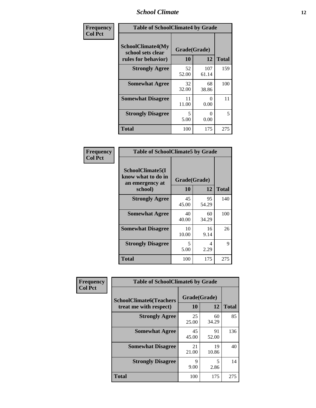### *School Climate* **12**

| Frequency      | <b>Table of SchoolClimate4 by Grade</b>                       |                    |                           |              |
|----------------|---------------------------------------------------------------|--------------------|---------------------------|--------------|
| <b>Col Pct</b> | SchoolClimate4(My<br>school sets clear<br>rules for behavior) | Grade(Grade)<br>10 | 12                        | <b>Total</b> |
|                | <b>Strongly Agree</b>                                         | 52<br>52.00        | 107<br>61.14              | 159          |
|                | <b>Somewhat Agree</b>                                         | 32<br>32.00        | 68<br>38.86               | 100          |
|                | <b>Somewhat Disagree</b>                                      | 11<br>11.00        | $\mathbf{\Omega}$<br>0.00 | 11           |
|                | <b>Strongly Disagree</b>                                      | 5<br>5.00          | $\mathbf{\Omega}$<br>0.00 | 5            |
|                | <b>Total</b>                                                  | 100                | 175                       | 275          |

| <b>Table of SchoolClimate5 by Grade</b>                              |                    |              |     |  |
|----------------------------------------------------------------------|--------------------|--------------|-----|--|
| SchoolClimate5(I<br>know what to do in<br>an emergency at<br>school) | Grade(Grade)<br>10 | <b>Total</b> |     |  |
| <b>Strongly Agree</b>                                                | 45<br>45.00        | 95<br>54.29  | 140 |  |
| <b>Somewhat Agree</b>                                                | 40<br>40.00        | 60<br>34.29  | 100 |  |
| <b>Somewhat Disagree</b>                                             | 10<br>10.00        | 16<br>9.14   | 26  |  |
| <b>Strongly Disagree</b>                                             | 5<br>5.00          | 4<br>2.29    | 9   |  |
| Total                                                                | 100                | 175          | 275 |  |

| Frequency      | <b>Table of SchoolClimate6 by Grade</b>                  |                     |                                  |              |
|----------------|----------------------------------------------------------|---------------------|----------------------------------|--------------|
| <b>Col Pct</b> | <b>SchoolClimate6(Teachers</b><br>treat me with respect) | Grade(Grade)<br>10  | 12                               | <b>Total</b> |
|                | <b>Strongly Agree</b>                                    | 25<br>25.00         | 60<br>34.29                      | 85           |
|                | <b>Somewhat Agree</b>                                    | 45<br>45.00         | 91<br>52.00                      | 136          |
|                | <b>Somewhat Disagree</b>                                 | 21<br>21.00         | 19<br>10.86                      | 40           |
|                | <b>Strongly Disagree</b>                                 | $\mathbf Q$<br>9.00 | $\overline{\phantom{0}}$<br>2.86 | 14           |
|                | <b>Total</b>                                             | 100                 | 175                              | 275          |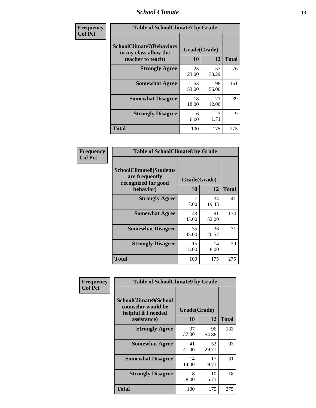### *School Climate* **13**

| Frequency      | <b>Table of SchoolClimate7 by Grade</b>                                       |                           |                       |              |
|----------------|-------------------------------------------------------------------------------|---------------------------|-----------------------|--------------|
| <b>Col Pct</b> | <b>SchoolClimate7(Behaviors</b><br>in my class allow the<br>teacher to teach) | Grade(Grade)<br><b>10</b> | 12                    | <b>Total</b> |
|                | <b>Strongly Agree</b>                                                         | 23<br>23.00               | 53<br>30.29           | 76           |
|                | <b>Somewhat Agree</b>                                                         | 53<br>53.00               | 98<br>56.00           | 151          |
|                | <b>Somewhat Disagree</b>                                                      | 18<br>18.00               | 21<br>12.00           | 39           |
|                | <b>Strongly Disagree</b>                                                      | 6<br>6.00                 | $\mathcal{R}$<br>1.71 | 9            |
|                | <b>Total</b>                                                                  | 100                       | 175                   | 275          |

| Frequency      |                                                                         | <b>Table of SchoolClimate8 by Grade</b> |             |              |
|----------------|-------------------------------------------------------------------------|-----------------------------------------|-------------|--------------|
| <b>Col Pct</b> | <b>SchoolClimate8(Students</b><br>are frequently<br>recognized for good | Grade(Grade)                            |             |              |
|                | behavior)                                                               | 10                                      | 12          | <b>Total</b> |
|                | <b>Strongly Agree</b>                                                   | 7<br>7.00                               | 34<br>19.43 | 41           |
|                | <b>Somewhat Agree</b>                                                   | 43<br>43.00                             | 91<br>52.00 | 134          |
|                | <b>Somewhat Disagree</b>                                                | 35<br>35.00                             | 36<br>20.57 | 71           |
|                | <b>Strongly Disagree</b>                                                | 15<br>15.00                             | 14<br>8.00  | 29           |
|                | <b>Total</b>                                                            | 100                                     | 175         | 275          |

| Frequency      | <b>Table of SchoolClimate9 by Grade</b>                                           |                    |             |              |
|----------------|-----------------------------------------------------------------------------------|--------------------|-------------|--------------|
| <b>Col Pct</b> | SchoolClimate9(School<br>counselor would be<br>helpful if I needed<br>assistance) | Grade(Grade)<br>10 | 12          | <b>Total</b> |
|                | <b>Strongly Agree</b>                                                             | 37<br>37.00        | 96<br>54.86 | 133          |
|                | <b>Somewhat Agree</b>                                                             | 41<br>41.00        | 52<br>29.71 | 93           |
|                | <b>Somewhat Disagree</b>                                                          | 14<br>14.00        | 17<br>9.71  | 31           |
|                | <b>Strongly Disagree</b>                                                          | 8<br>8.00          | 10<br>5.71  | 18           |
|                | Total                                                                             | 100                | 175         | 275          |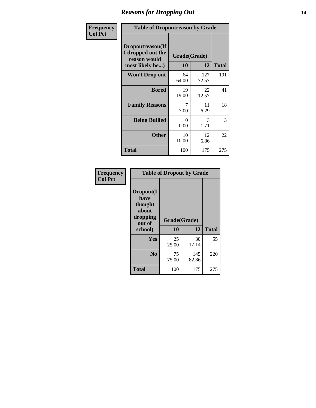### *Reasons for Dropping Out* **14**

| Frequency      | <b>Table of Dropoutreason by Grade</b>                                   |                    |              |              |
|----------------|--------------------------------------------------------------------------|--------------------|--------------|--------------|
| <b>Col Pct</b> | Dropoutreason(If<br>I dropped out the<br>reason would<br>most likely be) | Grade(Grade)<br>10 | 12           | <b>Total</b> |
|                | Won't Drop out                                                           | 64<br>64.00        | 127<br>72.57 | 191          |
|                | <b>Bored</b>                                                             | 19<br>19.00        | 22<br>12.57  | 41           |
|                | <b>Family Reasons</b>                                                    | 7<br>7.00          | 11<br>6.29   | 18           |
|                | <b>Being Bullied</b>                                                     | 0<br>0.00          | 3<br>1.71    | 3            |
|                | <b>Other</b>                                                             | 10<br>10.00        | 12<br>6.86   | 22           |
|                | <b>Total</b>                                                             | 100                | 175          | 275          |

| Frequency      | <b>Table of Dropout by Grade</b>                                       |                    |              |     |
|----------------|------------------------------------------------------------------------|--------------------|--------------|-----|
| <b>Col Pct</b> | Dropout(I<br>have<br>thought<br>about<br>dropping<br>out of<br>school) | Grade(Grade)<br>10 | <b>Total</b> |     |
|                | Yes                                                                    | 25<br>25.00        | 30<br>17.14  | 55  |
|                | N <sub>0</sub>                                                         | 75<br>75.00        | 145<br>82.86 | 220 |
|                | <b>Total</b>                                                           | 100                | 175          | 275 |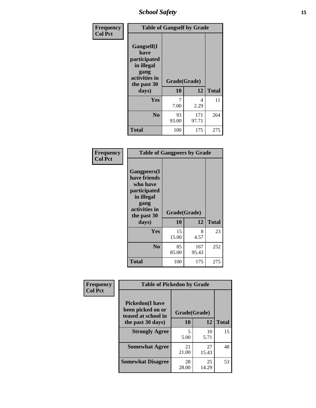*School Safety* **15**

| Frequency      | <b>Table of Gangself by Grade</b>                                                                 |                          |              |              |
|----------------|---------------------------------------------------------------------------------------------------|--------------------------|--------------|--------------|
| <b>Col Pct</b> | Gangself(I<br>have<br>participated<br>in illegal<br>gang<br>activities in<br>the past 30<br>days) | Grade(Grade)<br>10<br>12 |              | <b>Total</b> |
|                | Yes                                                                                               | 7<br>7.00                | 4<br>2.29    | 11           |
|                | N <sub>0</sub>                                                                                    | 93<br>93.00              | 171<br>97.71 | 264          |
|                | <b>Total</b>                                                                                      | 100                      | 175          | 275          |

| Frequency<br><b>Col Pct</b> | <b>Table of Gangpeers by Grade</b>                                                                                     |                    |              |              |
|-----------------------------|------------------------------------------------------------------------------------------------------------------------|--------------------|--------------|--------------|
|                             | Gangpeers(I<br>have friends<br>who have<br>participated<br>in illegal<br>gang<br>activities in<br>the past 30<br>days) | Grade(Grade)<br>10 | 12           | <b>Total</b> |
|                             | <b>Yes</b>                                                                                                             | 15<br>15.00        | 8<br>4.57    | 23           |
|                             | N <sub>0</sub>                                                                                                         | 85<br>85.00        | 167<br>95.43 | 252          |
|                             | <b>Total</b>                                                                                                           | 100                | 175          | 275          |

| Frequency      | <b>Table of Pickedon by Grade</b>                                  |              |             |              |  |  |  |  |  |
|----------------|--------------------------------------------------------------------|--------------|-------------|--------------|--|--|--|--|--|
| <b>Col Pct</b> | <b>Pickedon(I have</b><br>been picked on or<br>teased at school in | Grade(Grade) |             |              |  |  |  |  |  |
|                | the past 30 days)                                                  | 10           | 12          | <b>Total</b> |  |  |  |  |  |
|                | <b>Strongly Agree</b>                                              | 5<br>5.00    | 10<br>5.71  | 15           |  |  |  |  |  |
|                |                                                                    |              |             |              |  |  |  |  |  |
|                | <b>Somewhat Agree</b>                                              | 21<br>21.00  | 27<br>15.43 | 48           |  |  |  |  |  |
|                |                                                                    |              |             |              |  |  |  |  |  |
|                | <b>Somewhat Disagree</b>                                           | 28<br>28.00  | 25<br>14.29 | 53           |  |  |  |  |  |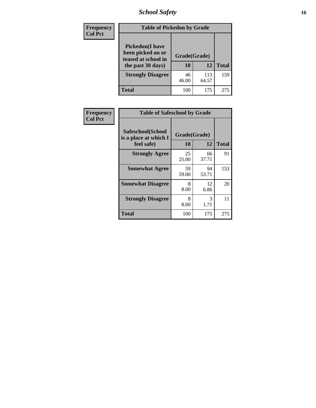# *School Safety* **16**

| <b>Frequency</b> |                                                                                         | <b>Table of Pickedon by Grade</b> |              |              |  |  |  |  |  |  |  |
|------------------|-----------------------------------------------------------------------------------------|-----------------------------------|--------------|--------------|--|--|--|--|--|--|--|
| <b>Col Pct</b>   | <b>Pickedon(I have</b><br>been picked on or<br>teased at school in<br>the past 30 days) | Grade(Grade)<br>10                | 12           | <b>Total</b> |  |  |  |  |  |  |  |
|                  | <b>Strongly Disagree</b>                                                                | 46<br>46.00                       | 113<br>64.57 | 159          |  |  |  |  |  |  |  |
|                  | Total                                                                                   | 100                               | 175          | 275          |  |  |  |  |  |  |  |

| Frequency      | <b>Table of Safeschool by Grade</b>                      |                    |              |     |
|----------------|----------------------------------------------------------|--------------------|--------------|-----|
| <b>Col Pct</b> | Safeschool(School<br>is a place at which I<br>feel safe) | Grade(Grade)<br>10 | <b>Total</b> |     |
|                | <b>Strongly Agree</b>                                    | 25<br>25.00        | 66<br>37.71  | 91  |
|                | <b>Somewhat Agree</b>                                    | 59<br>59.00        | 94<br>53.71  | 153 |
|                | <b>Somewhat Disagree</b>                                 | 8<br>8.00          | 12<br>6.86   | 20  |
|                | <b>Strongly Disagree</b>                                 | 8<br>8.00          | 3<br>1.71    | 11  |
|                | <b>Total</b>                                             | 100                | 175          | 275 |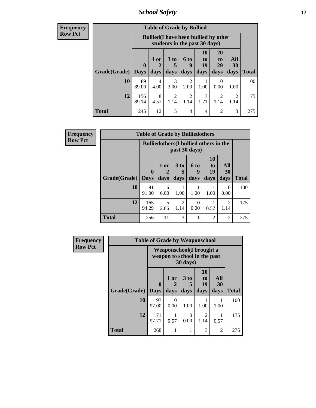*School Safety* **17**

| <b>Frequency</b><br>Row Pct |
|-----------------------------|
|                             |

| V | <b>Table of Grade by Bullied</b> |                    |                                |                                                                               |                        |                        |                               |                          |              |  |  |
|---|----------------------------------|--------------------|--------------------------------|-------------------------------------------------------------------------------|------------------------|------------------------|-------------------------------|--------------------------|--------------|--|--|
|   |                                  |                    |                                | <b>Bullied</b> (I have been bullied by other<br>students in the past 30 days) |                        |                        |                               |                          |              |  |  |
|   | Grade(Grade)                     | $\bf{0}$<br>  Days | 1 or<br>$\overline{2}$<br>days | $3$ to<br>days                                                                | 6 to<br>y<br>days      | 10<br>to<br>19<br>days | <b>20</b><br>to<br>29<br>days | All<br><b>30</b><br>days | <b>Total</b> |  |  |
|   | 10                               | 89<br>89.00        | 4<br>4.00                      | 3<br>3.00                                                                     | $\overline{c}$<br>2.00 | 1.00                   | $\theta$<br>0.00              | 1.00                     | 100          |  |  |
|   | 12                               | 156<br>89.14       | 8<br>4.57                      | $\mathfrak{D}$<br>1.14                                                        | $\mathfrak{D}$<br>1.14 | 3<br>1.71              | $\mathfrak{D}$<br>1.14        | $\mathfrak{D}$<br>1.14   | 175          |  |  |
|   | <b>Total</b>                     | 245                | 12                             | 5                                                                             | $\overline{4}$         | 4                      | $\mathfrak{D}$                | 3                        | 275          |  |  |

| <b>Frequency</b> | <b>Table of Grade by Bulliedothers</b> |              |                                                                |                         |                   |                               |                        |              |  |  |  |
|------------------|----------------------------------------|--------------|----------------------------------------------------------------|-------------------------|-------------------|-------------------------------|------------------------|--------------|--|--|--|
| <b>Row Pct</b>   |                                        |              | <b>Bulliedothers</b> (I bullied others in the<br>past 30 days) |                         |                   |                               |                        |              |  |  |  |
|                  | <b>Grade</b> (Grade) Days              | $\mathbf{0}$ | 1 or<br>days                                                   | 3 <sub>to</sub><br>days | 6 to<br>9<br>days | <b>10</b><br>to<br>19<br>days | All<br>30<br>days      | <b>Total</b> |  |  |  |
|                  | 10                                     | 91<br>91.00  | 6<br>6.00                                                      | 1.00                    | 1.00              | 1.00                          | $\Omega$<br>0.00       | 100          |  |  |  |
|                  | 12                                     | 165<br>94.29 | 5<br>2.86                                                      | $\overline{c}$<br>1.14  | 0<br>0.00         | 0.57                          | $\overline{2}$<br>1.14 | 175          |  |  |  |
|                  | <b>Total</b>                           | 256          | 11                                                             | 3                       |                   | $\overline{2}$                | $\overline{2}$         | 275          |  |  |  |

| <b>Frequency</b> |                     | <b>Table of Grade by Weaponschool</b>                     |              |                   |                        |                          |              |
|------------------|---------------------|-----------------------------------------------------------|--------------|-------------------|------------------------|--------------------------|--------------|
| <b>Row Pct</b>   |                     | Weaponschool (I brought a<br>weapon to school in the past |              |                   |                        |                          |              |
|                  | Grade(Grade)   Days | 0                                                         | 1 or<br>days | 3 to<br>5<br>days | 10<br>to<br>19<br>days | All<br><b>30</b><br>days | <b>Total</b> |
|                  | 10                  | 97<br>97.00                                               | 0<br>0.00    | 1.00              | 1.00                   | 1.00                     | 100          |
|                  | 12                  | 171<br>97.71                                              | 0.57         | 0<br>0.00         | 2<br>1.14              | 0.57                     | 175          |
|                  | <b>Total</b>        | 268                                                       |              |                   | 3                      | $\overline{2}$           | 275          |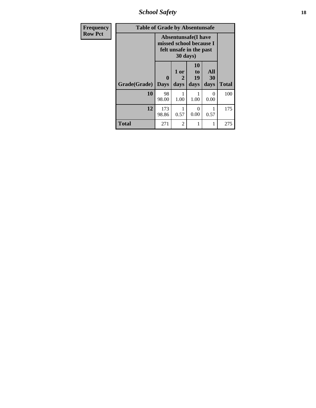*School Safety* **18**

| <b>Frequency</b> | <b>Table of Grade by Absentunsafe</b> |                                                                                  |                   |                        |                   |              |
|------------------|---------------------------------------|----------------------------------------------------------------------------------|-------------------|------------------------|-------------------|--------------|
| <b>Row Pct</b>   |                                       | <b>Absentunsafe(I have</b><br>missed school because I<br>felt unsafe in the past |                   |                        |                   |              |
|                  | Grade(Grade)                          | 0<br><b>Days</b>                                                                 | 1 or<br>2<br>days | 10<br>to<br>19<br>days | All<br>30<br>days | <b>Total</b> |
|                  | 10                                    | 98<br>98.00                                                                      | 1.00              | 1.00                   | 0<br>0.00         | 100          |
|                  | 12                                    | 173<br>98.86                                                                     | 0.57              | $\Omega$<br>0.00       | 0.57              | 175          |
|                  | <b>Total</b>                          | 271                                                                              | 2                 | 1                      | 1                 | 275          |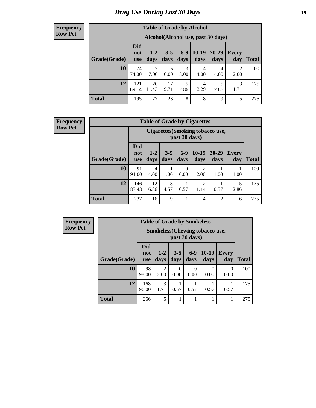# *Drug Use During Last 30 Days* **19**

#### **Frequency Row Pct**

| <b>Table of Grade by Alcohol</b> |                                 |                                    |                 |                 |                 |                   |              |              |  |  |  |
|----------------------------------|---------------------------------|------------------------------------|-----------------|-----------------|-----------------|-------------------|--------------|--------------|--|--|--|
|                                  |                                 | Alcohol(Alcohol use, past 30 days) |                 |                 |                 |                   |              |              |  |  |  |
| Grade(Grade)                     | <b>Did</b><br>not<br><b>use</b> | $1 - 2$<br>days                    | $3 - 5$<br>days | $6 - 9$<br>days | $10-19$<br>days | $20 - 29$<br>days | Every<br>day | <b>Total</b> |  |  |  |
| 10                               | 74<br>74.00                     | 7<br>7.00                          | 6<br>6.00       | 3<br>3.00       | 4<br>4.00       | 4<br>4.00         | 2<br>2.00    | 100          |  |  |  |
| 12                               | 121<br>69.14                    | 20<br>11.43                        | 17<br>9.71      | 5<br>2.86       | 4<br>2.29       | 5<br>2.86         | 3<br>1.71    | 175          |  |  |  |
| <b>Total</b>                     | 195                             | 27                                 | 23              | 8               | 8               | 9                 | 5            | 275          |  |  |  |

#### **Frequency Row Pct**

| <b>Table of Grade by Cigarettes</b> |                                 |                                                   |                 |                  |                        |                   |                     |       |  |  |  |
|-------------------------------------|---------------------------------|---------------------------------------------------|-----------------|------------------|------------------------|-------------------|---------------------|-------|--|--|--|
|                                     |                                 | Cigarettes (Smoking tobacco use,<br>past 30 days) |                 |                  |                        |                   |                     |       |  |  |  |
| Grade(Grade)                        | <b>Did</b><br>not<br><b>use</b> | $1 - 2$<br>days                                   | $3 - 5$<br>days | $6-9$<br>days    | $10-19$<br>days        | $20 - 29$<br>days | <b>Every</b><br>day | Total |  |  |  |
| 10                                  | 91<br>91.00                     | 4<br>4.00                                         | 1.00            | $\theta$<br>0.00 | $\overline{2}$<br>2.00 | 1.00              | 1.00                | 100   |  |  |  |
| 12                                  | 146<br>83.43                    | 12<br>6.86                                        | 8<br>4.57       | 0.57             | $\overline{2}$<br>1.14 | 0.57              | 5<br>2.86           | 175   |  |  |  |
| <b>Total</b>                        | 237                             | 16                                                | 9               | 1                | $\overline{4}$         | $\overline{2}$    | 6                   | 275   |  |  |  |

**Frequency Row Pct**

| <b>Table of Grade by Smokeless</b> |                                 |                                                        |                  |               |                           |                     |              |  |  |  |  |
|------------------------------------|---------------------------------|--------------------------------------------------------|------------------|---------------|---------------------------|---------------------|--------------|--|--|--|--|
|                                    |                                 | <b>Smokeless</b> (Chewing tobaccouse,<br>past 30 days) |                  |               |                           |                     |              |  |  |  |  |
| Grade(Grade)                       | <b>Did</b><br>not<br><b>use</b> | $1 - 2$<br>days                                        | $3 - 5$<br>days  | $6-9$<br>days | $10-19$<br>days           | <b>Every</b><br>day | <b>Total</b> |  |  |  |  |
| 10                                 | 98<br>98.00                     | 2<br>2.00                                              | $\Omega$<br>0.00 | 0.00          | $\mathbf{\Omega}$<br>0.00 | $\Omega$<br>0.00    | 100          |  |  |  |  |
| 12                                 | 168<br>96.00                    | 3<br>1.71                                              | 0.57             | 0.57          | 0.57                      | 0.57                | 175          |  |  |  |  |
| <b>Total</b>                       | 266                             | 5                                                      |                  |               |                           |                     | 275          |  |  |  |  |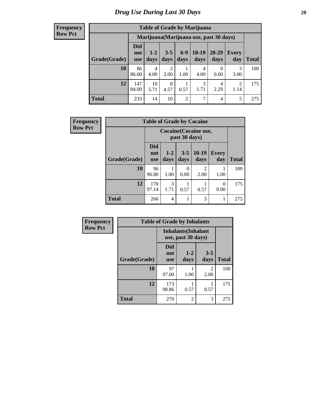#### **Frequency Row Pct**

| <b>Table of Grade by Marijuana</b> |                                 |                                         |                 |                |                 |               |                        |              |  |  |  |
|------------------------------------|---------------------------------|-----------------------------------------|-----------------|----------------|-----------------|---------------|------------------------|--------------|--|--|--|
|                                    |                                 | Marijuana (Marijuana use, past 30 days) |                 |                |                 |               |                        |              |  |  |  |
| Grade(Grade)                       | <b>Did</b><br>not<br><b>use</b> | $1 - 2$<br>days                         | $3 - 5$<br>days | $6-9$<br>days  | $10-19$<br>days | 20-29<br>days | Every<br>day           | <b>Total</b> |  |  |  |
| 10                                 | 86<br>86.00                     | $\overline{4}$<br>4.00                  | 2<br>2.00       | 1.00           | 4<br>4.00       | 0.00          | 3<br>3.00              | 100          |  |  |  |
| 12                                 | 147<br>84.00                    | 10<br>5.71                              | 8<br>4.57       | 0.57           | 3<br>1.71       | 4<br>2.29     | $\overline{2}$<br>1.14 | 175          |  |  |  |
| <b>Total</b>                       | 233                             | 14                                      | 10              | $\overline{2}$ | 7               | 4             | 5                      | 275          |  |  |  |

| Frequency      | <b>Table of Grade by Cocaine</b> |                                 |                                               |                 |                        |                     |              |  |
|----------------|----------------------------------|---------------------------------|-----------------------------------------------|-----------------|------------------------|---------------------|--------------|--|
| <b>Row Pct</b> |                                  |                                 | <b>Cocaine</b> (Cocaine use,<br>past 30 days) |                 |                        |                     |              |  |
|                | Grade(Grade)                     | <b>Did</b><br>not<br><b>use</b> | $1-2$<br>days                                 | $3 - 5$<br>days | $10-19$<br>days        | <b>Every</b><br>day | <b>Total</b> |  |
|                | 10                               | 96<br>96.00                     | 1.00                                          | 0<br>0.00       | $\mathfrak{D}$<br>2.00 | 1.00                | 100          |  |
|                | 12                               | 170<br>97.14                    | 3<br>1.71                                     | 0.57            | 0.57                   | 0<br>0.00           | 175          |  |
|                | <b>Total</b>                     | 266                             | 4                                             |                 | 3                      |                     | 275          |  |

| Frequency      | <b>Table of Grade by Inhalants</b> |                                 |                                                  |                        |              |  |  |  |
|----------------|------------------------------------|---------------------------------|--------------------------------------------------|------------------------|--------------|--|--|--|
| <b>Row Pct</b> |                                    |                                 | <b>Inhalants</b> (Inhalant<br>use, past 30 days) |                        |              |  |  |  |
|                | Grade(Grade)                       | <b>Did</b><br>not<br><b>use</b> | $1 - 2$<br>days                                  | $3 - 5$<br>days        | <b>Total</b> |  |  |  |
|                | 10                                 | 97<br>97.00                     | 1.00                                             | $\overline{c}$<br>2.00 | 100          |  |  |  |
|                | 12                                 | 173<br>98.86                    | 0.57                                             | 0.57                   | 175          |  |  |  |
|                | <b>Total</b>                       | 270                             | 2                                                | 3                      | 275          |  |  |  |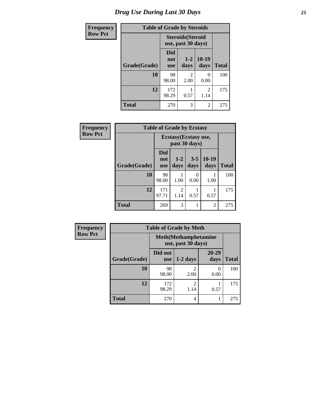| <b>Frequency</b> | <b>Table of Grade by Steroids</b> |                                                |                        |                           |              |  |
|------------------|-----------------------------------|------------------------------------------------|------------------------|---------------------------|--------------|--|
| <b>Row Pct</b>   |                                   | <b>Steroids</b> (Steroid<br>use, past 30 days) |                        |                           |              |  |
|                  | Grade(Grade)                      | Did<br>not<br><b>use</b>                       | $1 - 2$<br>days        | $10-19$<br>days           | <b>Total</b> |  |
|                  | 10                                | 98<br>98.00                                    | $\mathfrak{D}$<br>2.00 | $\mathbf{\Omega}$<br>0.00 | 100          |  |
|                  | 12                                | 172<br>98.29                                   | 0.57                   | 2<br>1.14                 | 175          |  |
|                  | <b>Total</b>                      | 270                                            | 3                      | 2                         | 275          |  |

| Frequency      | <b>Table of Grade by Ecstasy</b> |                                        |                        |                 |                 |              |
|----------------|----------------------------------|----------------------------------------|------------------------|-----------------|-----------------|--------------|
| <b>Row Pct</b> |                                  | Ecstasy (Ecstasy use,<br>past 30 days) |                        |                 |                 |              |
|                | Grade(Grade)                     | Did<br>not<br><b>use</b>               | $1 - 2$<br>days        | $3 - 5$<br>days | $10-19$<br>days | <b>Total</b> |
|                | 10                               | 98<br>98.00                            | 1.00                   | 0<br>0.00       | 1.00            | 100          |
|                | 12                               | 171<br>97.71                           | $\overline{2}$<br>1.14 | 0.57            | 0.57            | 175          |
|                | <b>Total</b>                     | 269                                    | 3                      | 1               | $\overline{2}$  | 275          |

| Frequency      | <b>Table of Grade by Meth</b> |                       |                                                                                                                                                                         |                   |              |  |  |
|----------------|-------------------------------|-----------------------|-------------------------------------------------------------------------------------------------------------------------------------------------------------------------|-------------------|--------------|--|--|
| <b>Row Pct</b> |                               |                       | <b>Meth</b> (Methamphetamine<br>use, past 30 days)                                                                                                                      |                   |              |  |  |
|                | Grade(Grade)                  | Did not<br><b>use</b> | $1-2$ days                                                                                                                                                              | $20 - 29$<br>days | <b>Total</b> |  |  |
|                | 10                            | 98<br>98.00           | $\mathcal{D}_{\mathcal{A}}^{\mathcal{A}}(\mathcal{A})=\mathcal{D}_{\mathcal{A}}^{\mathcal{A}}(\mathcal{A})\mathcal{D}_{\mathcal{A}}^{\mathcal{A}}(\mathcal{A})$<br>2.00 | 0<br>0.00         | 100          |  |  |
|                | 12                            | 172<br>98.29          | $\mathcal{D}$<br>1.14                                                                                                                                                   | 0.57              | 175          |  |  |
|                | <b>Total</b>                  | 270                   | 4                                                                                                                                                                       |                   | 275          |  |  |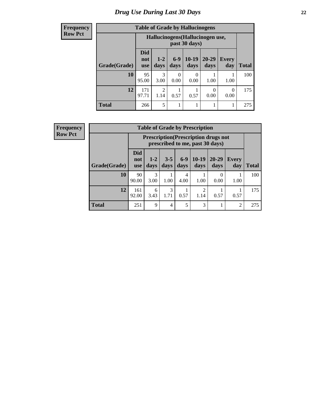# *Drug Use During Last 30 Days* **22**

#### **Frequency Row Pct**

| <b>Table of Grade by Hallucinogens</b> |                                 |                                                   |               |                 |                   |                     |              |  |  |
|----------------------------------------|---------------------------------|---------------------------------------------------|---------------|-----------------|-------------------|---------------------|--------------|--|--|
|                                        |                                 | Hallucinogens (Hallucinogen use,<br>past 30 days) |               |                 |                   |                     |              |  |  |
| Grade(Grade)                           | <b>Did</b><br>not<br><b>use</b> | $1 - 2$<br>days                                   | $6-9$<br>days | $10-19$<br>days | $20 - 29$<br>days | <b>Every</b><br>day | <b>Total</b> |  |  |
| 10                                     | 95<br>95.00                     | 3<br>3.00                                         | 0<br>0.00     | 0<br>0.00       | 1.00              | 1.00                | 100          |  |  |
| 12                                     | 171<br>97.71                    | 2<br>1.14                                         | 0.57          | 0.57            | 0<br>0.00         | 0<br>0.00           | 175          |  |  |
| <b>Total</b>                           | 266                             | 5                                                 |               |                 |                   |                     | 275          |  |  |

**Frequency Row Pct**

| <b>Table of Grade by Prescription</b> |                                 |                                                                                |                 |               |                 |                   |                     |              |  |
|---------------------------------------|---------------------------------|--------------------------------------------------------------------------------|-----------------|---------------|-----------------|-------------------|---------------------|--------------|--|
|                                       |                                 | <b>Prescription</b> (Prescription drugs not<br>prescribed to me, past 30 days) |                 |               |                 |                   |                     |              |  |
| Grade(Grade)                          | <b>Did</b><br>not<br><b>use</b> | $1 - 2$<br>days                                                                | $3 - 5$<br>days | $6-9$<br>days | $10-19$<br>days | $20 - 29$<br>days | <b>Every</b><br>day | <b>Total</b> |  |
| 10                                    | 90<br>90.00                     | 3<br>3.00                                                                      | 1.00            | 4<br>4.00     | 1.00            | 0<br>0.00         | 1.00                | 100          |  |
| 12                                    | 161<br>92.00                    | 6<br>3.43                                                                      | 3<br>1.71       | 0.57          | 2<br>1.14       | 0.57              | 0.57                | 175          |  |
| <b>Total</b>                          | 251                             | 9                                                                              | 4               | 5             | 3               |                   | 2                   | 275          |  |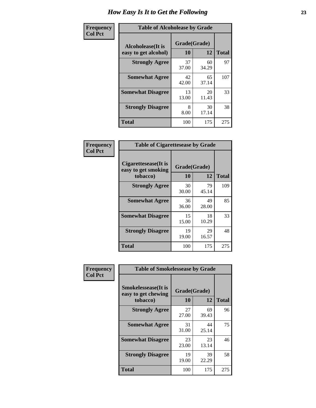| Frequency      | <b>Table of Alcoholease by Grade</b>              |                    |              |     |  |  |  |
|----------------|---------------------------------------------------|--------------------|--------------|-----|--|--|--|
| <b>Col Pct</b> | <b>Alcoholease</b> (It is<br>easy to get alcohol) | Grade(Grade)<br>10 | <b>Total</b> |     |  |  |  |
|                | <b>Strongly Agree</b>                             | 37<br>37.00        | 60<br>34.29  | 97  |  |  |  |
|                | <b>Somewhat Agree</b>                             | 42<br>42.00        | 65<br>37.14  | 107 |  |  |  |
|                | <b>Somewhat Disagree</b>                          | 13<br>13.00        | 20<br>11.43  | 33  |  |  |  |
|                | <b>Strongly Disagree</b>                          | 8<br>8.00          | 30<br>17.14  | 38  |  |  |  |
|                | <b>Total</b>                                      | 100                | 175          | 275 |  |  |  |

| <b>Frequency</b> |
|------------------|
| <b>Col Pct</b>   |

| <b>Table of Cigarettesease by Grade</b>                 |                    |             |              |  |  |  |
|---------------------------------------------------------|--------------------|-------------|--------------|--|--|--|
| Cigarettesease(It is<br>easy to get smoking<br>tobacco) | Grade(Grade)<br>10 | 12          | <b>Total</b> |  |  |  |
| <b>Strongly Agree</b>                                   | 30<br>30.00        | 79<br>45.14 | 109          |  |  |  |
| <b>Somewhat Agree</b>                                   | 36<br>36.00        | 49<br>28.00 | 85           |  |  |  |
| <b>Somewhat Disagree</b>                                | 15<br>15.00        | 18<br>10.29 | 33           |  |  |  |
| <b>Strongly Disagree</b>                                | 19<br>19.00        | 29<br>16.57 | 48           |  |  |  |
| <b>Total</b>                                            | 100                | 175         | 275          |  |  |  |

| Frequency      | <b>Table of Smokelessease by Grade</b>             |              |             |              |
|----------------|----------------------------------------------------|--------------|-------------|--------------|
| <b>Col Pct</b> | <b>Smokelessease</b> (It is<br>easy to get chewing | Grade(Grade) |             |              |
|                | tobacco)                                           | 10           | 12          | <b>Total</b> |
|                | <b>Strongly Agree</b>                              | 27<br>27.00  | 69<br>39.43 | 96           |
|                | <b>Somewhat Agree</b>                              | 31<br>31.00  | 44<br>25.14 | 75           |
|                | <b>Somewhat Disagree</b>                           | 23<br>23.00  | 23<br>13.14 | 46           |
|                | <b>Strongly Disagree</b>                           | 19<br>19.00  | 39<br>22.29 | 58           |
|                | <b>Total</b>                                       | 100          | 175         | 275          |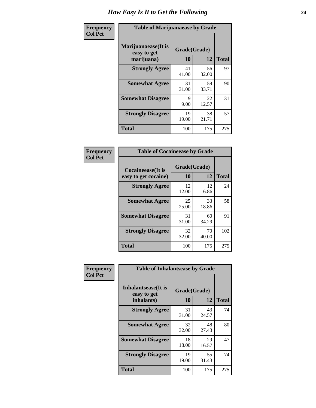| Frequency      | <b>Table of Marijuanaease by Grade</b>           |                    |             |              |  |  |  |
|----------------|--------------------------------------------------|--------------------|-------------|--------------|--|--|--|
| <b>Col Pct</b> | Marijuanaease(It is<br>easy to get<br>marijuana) | Grade(Grade)<br>10 | 12          | <b>Total</b> |  |  |  |
|                | <b>Strongly Agree</b>                            | 41<br>41.00        | 56<br>32.00 | 97           |  |  |  |
|                | <b>Somewhat Agree</b>                            | 31<br>31.00        | 59<br>33.71 | 90           |  |  |  |
|                | <b>Somewhat Disagree</b>                         | 9<br>9.00          | 22<br>12.57 | 31           |  |  |  |
|                | <b>Strongly Disagree</b>                         | 19<br>19.00        | 38<br>21.71 | 57           |  |  |  |
|                | <b>Total</b>                                     | 100                | 175         | 275          |  |  |  |

| <b>Table of Cocaineease by Grade</b> |              |             |              |  |  |  |  |  |  |
|--------------------------------------|--------------|-------------|--------------|--|--|--|--|--|--|
| <b>Cocaineease</b> (It is            | Grade(Grade) |             |              |  |  |  |  |  |  |
| easy to get cocaine)                 | 10           | 12          | <b>Total</b> |  |  |  |  |  |  |
| <b>Strongly Agree</b>                | 12<br>12.00  | 12<br>6.86  | 24           |  |  |  |  |  |  |
| <b>Somewhat Agree</b>                | 25<br>25.00  | 33<br>18.86 | 58           |  |  |  |  |  |  |
| <b>Somewhat Disagree</b>             | 31<br>31.00  | 60<br>34.29 | 91           |  |  |  |  |  |  |
| <b>Strongly Disagree</b>             | 32<br>32.00  | 70<br>40.00 | 102          |  |  |  |  |  |  |
| <b>Total</b>                         | 100          | 175         | 275          |  |  |  |  |  |  |

| Frequency      | <b>Table of Inhalantsease by Grade</b>                   |                    |             |              |  |  |  |  |  |  |
|----------------|----------------------------------------------------------|--------------------|-------------|--------------|--|--|--|--|--|--|
| <b>Col Pct</b> | <b>Inhalantsease</b> (It is<br>easy to get<br>inhalants) | Grade(Grade)<br>10 | 12          | <b>Total</b> |  |  |  |  |  |  |
|                | <b>Strongly Agree</b>                                    | 31<br>31.00        | 43<br>24.57 | 74           |  |  |  |  |  |  |
|                | <b>Somewhat Agree</b>                                    | 32<br>32.00        | 48<br>27.43 | 80           |  |  |  |  |  |  |
|                | <b>Somewhat Disagree</b>                                 | 18<br>18.00        | 29<br>16.57 | 47           |  |  |  |  |  |  |
|                | <b>Strongly Disagree</b>                                 | 19<br>19.00        | 55<br>31.43 | 74           |  |  |  |  |  |  |
|                | <b>Total</b>                                             | 100                | 175         | 275          |  |  |  |  |  |  |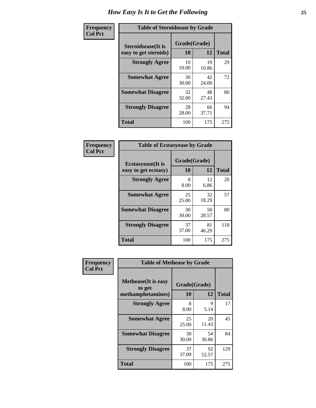| Frequency      | <b>Table of Steroidsease by Grade</b>               |                    |             |              |  |  |  |  |  |
|----------------|-----------------------------------------------------|--------------------|-------------|--------------|--|--|--|--|--|
| <b>Col Pct</b> | <b>Steroidsease</b> (It is<br>easy to get steroids) | Grade(Grade)<br>10 | 12          | <b>Total</b> |  |  |  |  |  |
|                | <b>Strongly Agree</b>                               | 10<br>10.00        | 19<br>10.86 | 29           |  |  |  |  |  |
|                | <b>Somewhat Agree</b>                               | 30<br>30.00        | 42<br>24.00 | 72           |  |  |  |  |  |
|                | <b>Somewhat Disagree</b>                            | 32<br>32.00        | 48<br>27.43 | 80           |  |  |  |  |  |
|                | <b>Strongly Disagree</b>                            | 28<br>28.00        | 66<br>37.71 | 94           |  |  |  |  |  |
|                | Total                                               | 100                | 175         | 275          |  |  |  |  |  |

| Frequency      | <b>Table of Ecstasyease by Grade</b>              |                           |             |              |  |  |  |  |
|----------------|---------------------------------------------------|---------------------------|-------------|--------------|--|--|--|--|
| <b>Col Pct</b> | <b>Ecstasyease</b> (It is<br>easy to get ecstasy) | Grade(Grade)<br><b>10</b> | 12          | <b>Total</b> |  |  |  |  |
|                | <b>Strongly Agree</b>                             | 8<br>8.00                 | 12<br>6.86  | 20           |  |  |  |  |
|                | <b>Somewhat Agree</b>                             | 25<br>25.00               | 32<br>18.29 | 57           |  |  |  |  |
|                | <b>Somewhat Disagree</b>                          | 30<br>30.00               | 50<br>28.57 | 80           |  |  |  |  |
|                | <b>Strongly Disagree</b>                          | 37<br>37.00               | 81<br>46.29 | 118          |  |  |  |  |
|                | <b>Total</b>                                      | 100                       | 175         | 275          |  |  |  |  |

| Frequency<br><b>Col Pct</b> | <b>Table of Methease by Grade</b>                          |                    |             |              |
|-----------------------------|------------------------------------------------------------|--------------------|-------------|--------------|
|                             | <b>Methease</b> (It is easy<br>to get<br>methamphetamines) | Grade(Grade)<br>10 | 12          | <b>Total</b> |
|                             | <b>Strongly Agree</b>                                      | 8<br>8.00          | 9<br>5.14   | 17           |
|                             | <b>Somewhat Agree</b>                                      | 25<br>25.00        | 20<br>11.43 | 45           |
|                             | <b>Somewhat Disagree</b>                                   | 30<br>30.00        | 54<br>30.86 | 84           |
|                             | <b>Strongly Disagree</b>                                   | 37<br>37.00        | 92<br>52.57 | 129          |
|                             | Total                                                      | 100                | 175         | 275          |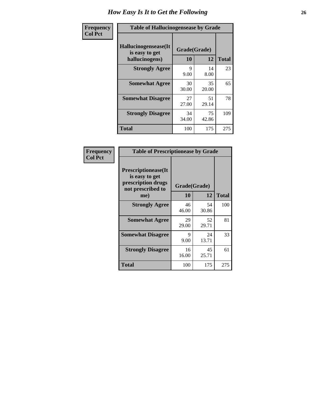| <b>Frequency</b> | <b>Table of Hallucinogensease by Grade</b>               |                    |             |              |
|------------------|----------------------------------------------------------|--------------------|-------------|--------------|
| <b>Col Pct</b>   | Hallucinogensease(It<br>is easy to get<br>hallucinogens) | Grade(Grade)<br>10 | 12          | <b>Total</b> |
|                  | <b>Strongly Agree</b>                                    | 9<br>9.00          | 14<br>8.00  | 23           |
|                  | <b>Somewhat Agree</b>                                    | 30<br>30.00        | 35<br>20.00 | 65           |
|                  | <b>Somewhat Disagree</b>                                 | 27<br>27.00        | 51<br>29.14 | 78           |
|                  | <b>Strongly Disagree</b>                                 | 34<br>34.00        | 75<br>42.86 | 109          |
|                  | <b>Total</b>                                             | 100                | 175         | 275          |

| <b>Frequency</b> |
|------------------|
| Col Pct          |

| <b>Table of Prescriptionease by Grade</b>                                                |              |             |              |  |  |  |  |  |
|------------------------------------------------------------------------------------------|--------------|-------------|--------------|--|--|--|--|--|
| <b>Prescriptionease</b> (It<br>is easy to get<br>prescription drugs<br>not prescribed to | Grade(Grade) |             |              |  |  |  |  |  |
| me)                                                                                      | 10           | 12          | <b>Total</b> |  |  |  |  |  |
| <b>Strongly Agree</b>                                                                    | 46<br>46.00  | 54<br>30.86 | 100          |  |  |  |  |  |
| <b>Somewhat Agree</b>                                                                    | 29<br>29.00  | 52<br>29.71 | 81           |  |  |  |  |  |
| <b>Somewhat Disagree</b>                                                                 | 9<br>9.00    | 24<br>13.71 | 33           |  |  |  |  |  |
| <b>Strongly Disagree</b>                                                                 | 16<br>16.00  | 45<br>25.71 | 61           |  |  |  |  |  |
| Total                                                                                    | 100          | 175         | 275          |  |  |  |  |  |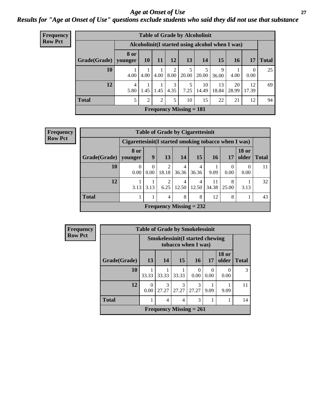#### *Age at Onset of Use* **27** *Results for "Age at Onset of Use" questions exclude students who said they did not use that substance*

| Frequency      |              | <b>Table of Grade by Alcoholinit</b>             |                 |      |                        |                           |             |                 |             |             |              |
|----------------|--------------|--------------------------------------------------|-----------------|------|------------------------|---------------------------|-------------|-----------------|-------------|-------------|--------------|
| <b>Row Pct</b> |              | Alcoholinit (I started using alcohol when I was) |                 |      |                        |                           |             |                 |             |             |              |
|                | Grade(Grade) | 8 or<br>younger                                  | 10 <sup>1</sup> | 11   | <b>12</b>              | 13 <sup>1</sup>           | <b>14</b>   | 15 <sub>1</sub> | 16          | 17          | <b>Total</b> |
|                | 10           | 4.00                                             | 4.00            | 4.00 | $\overline{2}$<br>8.00 | 20.00                     | 5<br>20.00  | 9<br>36.00      | 4.00        | 0<br>0.00   | 25           |
|                | 12           | 4<br>5.80                                        | 1.45            | 1.45 | 3<br>4.35              | 5<br>7.25                 | 10<br>14.49 | 13<br>18.84     | 20<br>28.99 | 12<br>17.39 | 69           |
|                | <b>Total</b> | 5                                                | 2               | 2    | 5                      | 10                        | 15          | 22              | 21          | 12          | 94           |
|                |              |                                                  |                 |      |                        | Frequency Missing $= 181$ |             |                 |             |             |              |

| <b>Frequency</b> | <b>Table of Grade by Cigarettesinit</b>               |                  |      |            |            |                                |             |                  |                                |              |
|------------------|-------------------------------------------------------|------------------|------|------------|------------|--------------------------------|-------------|------------------|--------------------------------|--------------|
| <b>Row Pct</b>   | Cigarettesinit (I started smoking tobacco when I was) |                  |      |            |            |                                |             |                  |                                |              |
|                  | Grade(Grade)                                          | 8 or<br>vounger  | 9    | 13         | 14         | 15                             | 16          | 17               | <b>18 or</b><br>$\Omega$ older | <b>Total</b> |
|                  | 10                                                    | $\theta$<br>0.00 | 0.00 | 2<br>18.18 | 4<br>36.36 | 4<br>36.36                     | 9.09        | $\Omega$<br>0.00 | 0<br>0.00                      | 11           |
|                  | 12                                                    | 3.13             | 3.13 | 2<br>6.25  | 4<br>12.50 | 4<br>12.50                     | 11<br>34.38 | 8<br>25.00       | 3.13                           | 32           |
|                  | <b>Total</b>                                          |                  |      | 4          | 8          | 8                              | 12          | 8                |                                | 43           |
|                  |                                                       |                  |      |            |            | <b>Frequency Missing = 232</b> |             |                  |                                |              |

| <b>Frequency</b> | <b>Table of Grade by Smokelessinit</b> |           |                                                               |                        |                           |                  |                       |              |  |
|------------------|----------------------------------------|-----------|---------------------------------------------------------------|------------------------|---------------------------|------------------|-----------------------|--------------|--|
| <b>Row Pct</b>   |                                        |           | <b>Smokelessinit(I started chewing</b><br>tobacco when I was) |                        |                           |                  |                       |              |  |
|                  | Grade(Grade)                           | 13        | 14                                                            | <b>15</b>              | <b>16</b>                 | 17               | <b>18 or</b><br>older | <b>Total</b> |  |
|                  | 10                                     | 33.33     | 33.33                                                         | 33.33                  | 0.00                      | $\Omega$<br>0.00 | 0.00                  | 3            |  |
|                  | 12                                     | 0<br>0.00 | $\mathcal{R}$<br>27.27                                        | $\mathcal{R}$<br>27.27 | $\mathcal{R}$<br>27.27    | 9.09             | 9.09                  | 11           |  |
|                  | <b>Total</b>                           |           | 4                                                             | 4                      | 3                         |                  |                       | 14           |  |
|                  |                                        |           |                                                               |                        | Frequency Missing $= 261$ |                  |                       |              |  |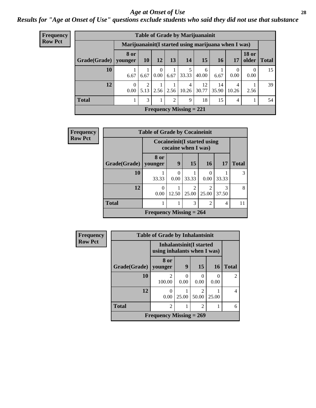#### *Age at Onset of Use* **28**

*Results for "Age at Onset of Use" questions exclude students who said they did not use that substance*

|                             | <b>Table of Grade by Marijuanainit</b> |                                                      |           |                  |                |                                   |             |             |                  |                       |              |
|-----------------------------|----------------------------------------|------------------------------------------------------|-----------|------------------|----------------|-----------------------------------|-------------|-------------|------------------|-----------------------|--------------|
| Frequency<br><b>Row Pct</b> |                                        | Marijuanainit (I started using marijuana when I was) |           |                  |                |                                   |             |             |                  |                       |              |
|                             | Grade(Grade)                           | <b>8 or</b><br>younger                               | <b>10</b> | 12               | 13             | 14                                | 15          | <b>16</b>   | 17               | <b>18 or</b><br>older | <b>Total</b> |
|                             | 10                                     | 6.67                                                 | 6.67      | $\Omega$<br>0.00 | 6.67           | 33.33                             | 6<br>40.00  | 6.67        | $\theta$<br>0.00 | $\Omega$<br>0.00      | 15           |
|                             | 12                                     | $\Omega$<br>$0.00\degree$                            |           |                  |                | 4<br>$5.13$   2.56   2.56   10.26 | 12<br>30.77 | 14<br>35.90 | 10.26            | 2.56                  | 39           |
|                             | <b>Total</b>                           |                                                      | 3         |                  | $\mathfrak{D}$ | 9                                 | 18          | 15          | 4                |                       | 54           |
|                             |                                        |                                                      |           |                  |                | Frequency Missing $= 221$         |             |             |                  |                       |              |

| Frequency      | <b>Table of Grade by Cocaineinit</b> |                           |                  |                                                            |                 |                |              |
|----------------|--------------------------------------|---------------------------|------------------|------------------------------------------------------------|-----------------|----------------|--------------|
| <b>Row Pct</b> |                                      |                           |                  | <b>Cocaineinit</b> (I started using<br>cocaine when I was) |                 |                |              |
|                | Grade(Grade)                         | 8 or<br>vounger           | 9                | 15                                                         | 16 <sup>1</sup> | <b>17</b>      | <b>Total</b> |
|                | 10                                   | 33.33                     | $\theta$<br>0.00 | 33.33                                                      | 0.00            | 33.33          | 3            |
|                | 12                                   | 0<br>0.00                 | 12.50            | $\mathfrak{D}$<br>25.00                                    | っ<br>25.00      | 3<br>37.50     | 8            |
|                | <b>Total</b>                         |                           |                  | 3                                                          | $\mathfrak{D}$  | $\overline{4}$ | 11           |
|                |                                      | Frequency Missing $= 264$ |                  |                                                            |                 |                |              |

| <b>Frequency</b> | <b>Table of Grade by Inhalantsinit</b> |                                                               |                  |                         |       |                |  |  |  |
|------------------|----------------------------------------|---------------------------------------------------------------|------------------|-------------------------|-------|----------------|--|--|--|
| <b>Row Pct</b>   |                                        | <b>Inhalantsinit(I started</b><br>using inhalants when I was) |                  |                         |       |                |  |  |  |
|                  | Grade(Grade)                           | 8 or<br>vounger                                               | 9                | 15                      | 16    | <b>Total</b>   |  |  |  |
|                  | 10                                     | $\mathfrak{D}$<br>100.00                                      | $\Omega$<br>0.00 | $\Omega$<br>0.00        | 0.00  | $\mathfrak{D}$ |  |  |  |
|                  | 12                                     | 0.00                                                          | 25.00            | $\mathfrak{D}$<br>50.00 | 25.00 | 4              |  |  |  |
|                  | <b>Total</b>                           | $\overline{2}$                                                |                  | $\overline{2}$          |       | 6              |  |  |  |
|                  | Frequency Missing $= 269$              |                                                               |                  |                         |       |                |  |  |  |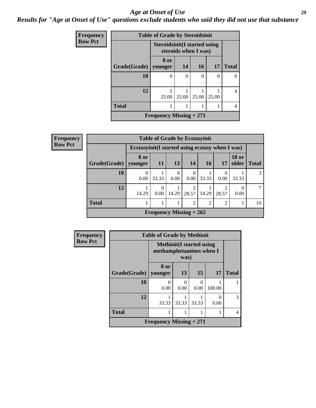#### *Age at Onset of Use* **29**

*Results for "Age at Onset of Use" questions exclude students who said they did not use that substance*

| Frequency      | <b>Table of Grade by Steroidsinit</b> |                                                              |          |       |       |              |  |
|----------------|---------------------------------------|--------------------------------------------------------------|----------|-------|-------|--------------|--|
| <b>Row Pct</b> |                                       | <b>Steroidsinit (I started using</b><br>steroids when I was) |          |       |       |              |  |
|                | Grade(Grade)                          | 8 or<br>younger                                              | 14       | 16    | 17    | <b>Total</b> |  |
|                | 10                                    | 0                                                            | $\theta$ | 0     | 0     | 0            |  |
|                | 12                                    | 25.00                                                        | 25.00    | 25.00 | 25.00 | 4            |  |
|                | <b>Total</b>                          |                                                              |          |       |       | 4            |  |
|                |                                       | Frequency Missing $= 271$                                    |          |       |       |              |  |

| <b>Frequency</b> | <b>Table of Grade by Ecstasyinit</b> |                                                  |                                |           |                |       |                        |                       |              |
|------------------|--------------------------------------|--------------------------------------------------|--------------------------------|-----------|----------------|-------|------------------------|-----------------------|--------------|
| <b>Row Pct</b>   |                                      | Ecstasyinit (I started using ecstasy when I was) |                                |           |                |       |                        |                       |              |
|                  | Grade(Grade)   younger               | 8 or                                             | <b>11</b>                      | <b>13</b> | <b>14</b>      | 16    | 17                     | <b>18 or</b><br>older | <b>Total</b> |
|                  | 10                                   | 0.00                                             | 33.33                          | 0<br>0.00 | 0.00           | 33.33 | 0.00                   | 33.33                 | 3            |
|                  | 12                                   | 14.29                                            | $\Omega$<br>0.00               | 14.29     | 28.57          | 14.29 | $\mathcal{L}$<br>28.57 | 0.00                  | 7            |
|                  | <b>Total</b>                         |                                                  |                                |           | $\overline{2}$ | ◠     | $\mathfrak{D}$         |                       | 10           |
|                  |                                      |                                                  | <b>Frequency Missing = 265</b> |           |                |       |                        |                       |              |

| Frequency      | <b>Table of Grade by Methinit</b> |                           |       |                                                                     |        |                |  |  |
|----------------|-----------------------------------|---------------------------|-------|---------------------------------------------------------------------|--------|----------------|--|--|
| <b>Row Pct</b> |                                   |                           |       | <b>Methinit</b> (I started using<br>methamphetamines when I<br>was) |        |                |  |  |
|                | Grade(Grade)                      | 8 or<br>vounger           | 13    | <b>15</b>                                                           | 17     | <b>Total</b>   |  |  |
|                | 10                                | $\mathbf{\Omega}$<br>0.00 | 0.00  | $\Omega$<br>0.00                                                    | 100.00 |                |  |  |
|                | 12                                | 33.33                     | 33.33 | 33.33                                                               | 0.00   | 3              |  |  |
|                | <b>Total</b>                      |                           |       |                                                                     |        | $\overline{4}$ |  |  |
|                |                                   | Frequency Missing $= 271$ |       |                                                                     |        |                |  |  |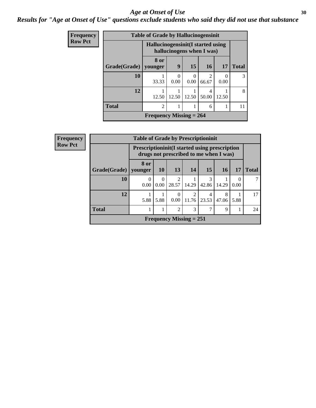#### Age at Onset of Use **30**

### *Results for "Age at Onset of Use" questions exclude students who said they did not use that substance*

| <b>Frequency</b> | <b>Table of Grade by Hallucinogensinit</b> |                                                                 |           |                  |                 |           |              |  |
|------------------|--------------------------------------------|-----------------------------------------------------------------|-----------|------------------|-----------------|-----------|--------------|--|
| <b>Row Pct</b>   |                                            | Hallucinogensinit (I started using<br>hallucinogens when I was) |           |                  |                 |           |              |  |
|                  | Grade(Grade)                               | 8 or<br>vounger                                                 | 9         | 15               | 16 <sup>1</sup> | <b>17</b> | <b>Total</b> |  |
|                  | 10                                         | 33.33                                                           | 0<br>0.00 | $\Omega$<br>0.00 | 2<br>66.67      | 0<br>0.00 | 3            |  |
|                  | 12                                         | 12.50                                                           | 12.50     | 12.50            | 4<br>50.00      | 12.50     | 8            |  |
|                  | <b>Total</b>                               | $\overline{2}$                                                  | 1         |                  | 6               |           | 11           |  |
|                  |                                            | Frequency Missing $= 264$                                       |           |                  |                 |           |              |  |

| <b>Frequency</b> | <b>Table of Grade by Prescriptioninit</b> |                                                                                                |                  |                         |                           |            |            |      |              |
|------------------|-------------------------------------------|------------------------------------------------------------------------------------------------|------------------|-------------------------|---------------------------|------------|------------|------|--------------|
| <b>Row Pct</b>   |                                           | <b>Prescriptioninit(I started using prescription</b><br>drugs not prescribed to me when I was) |                  |                         |                           |            |            |      |              |
|                  | Grade(Grade)                              | 8 or<br>younger                                                                                | <b>10</b>        | 13                      | 14                        | <b>15</b>  | 16         | 17   | <b>Total</b> |
|                  | <b>10</b>                                 | 0<br>0.00                                                                                      | $\Omega$<br>0.00 | $\overline{2}$<br>28.57 | 14.29                     | 3<br>42.86 | 14.29      | 0.00 |              |
|                  | 12                                        | 5.88                                                                                           | 5.88             | $\Omega$<br>0.00        | 2<br>11.76                | 4<br>23.53 | 8<br>47.06 | 5.88 | 17           |
|                  | <b>Total</b>                              |                                                                                                |                  | $\overline{2}$          | 3                         | 7          | 9          |      | 24           |
|                  |                                           |                                                                                                |                  |                         | Frequency Missing $= 251$ |            |            |      |              |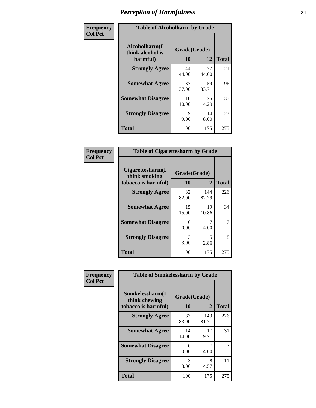| Frequency      | <b>Table of Alcoholharm by Grade</b>          |                    |             |              |  |
|----------------|-----------------------------------------------|--------------------|-------------|--------------|--|
| <b>Col Pct</b> | Alcoholharm(I<br>think alcohol is<br>harmful) | Grade(Grade)<br>10 | 12          | <b>Total</b> |  |
|                | <b>Strongly Agree</b>                         | 44<br>44.00        | 77<br>44.00 | 121          |  |
|                | <b>Somewhat Agree</b>                         | 37<br>37.00        | 59<br>33.71 | 96           |  |
|                | <b>Somewhat Disagree</b>                      | 10<br>10.00        | 25<br>14.29 | 35           |  |
|                | <b>Strongly Disagree</b>                      | 9<br>9.00          | 14<br>8.00  | 23           |  |
|                | <b>Total</b>                                  | 100                | 175         | 275          |  |

| <b>Table of Cigarettesharm by Grade</b>                  |                    |              |              |  |  |  |
|----------------------------------------------------------|--------------------|--------------|--------------|--|--|--|
| Cigarettesharm(I<br>think smoking<br>tobacco is harmful) | Grade(Grade)<br>10 | 12           | <b>Total</b> |  |  |  |
| <b>Strongly Agree</b>                                    | 82<br>82.00        | 144<br>82.29 | 226          |  |  |  |
| <b>Somewhat Agree</b>                                    | 15<br>15.00        | 19<br>10.86  | 34           |  |  |  |
| <b>Somewhat Disagree</b>                                 | 0<br>0.00          | 7<br>4.00    | 7            |  |  |  |
| <b>Strongly Disagree</b>                                 | 3<br>3.00          | 5<br>2.86    | 8            |  |  |  |
| <b>Total</b>                                             | 100                | 175          | 275          |  |  |  |

| Frequency      | <b>Table of Smokelessharm by Grade</b>                  |                           |              |              |
|----------------|---------------------------------------------------------|---------------------------|--------------|--------------|
| <b>Col Pct</b> | Smokelessharm(I<br>think chewing<br>tobacco is harmful) | Grade(Grade)<br>10        | 12           | <b>Total</b> |
|                | <b>Strongly Agree</b>                                   | 83<br>83.00               | 143<br>81.71 | 226          |
|                | <b>Somewhat Agree</b>                                   | 14<br>14.00               | 17<br>9.71   | 31           |
|                | <b>Somewhat Disagree</b>                                | $\mathbf{\Omega}$<br>0.00 | 4.00         |              |
|                | <b>Strongly Disagree</b>                                | 3<br>3.00                 | 8<br>4.57    | 11           |
|                | <b>Total</b>                                            | 100                       | 175          | 275          |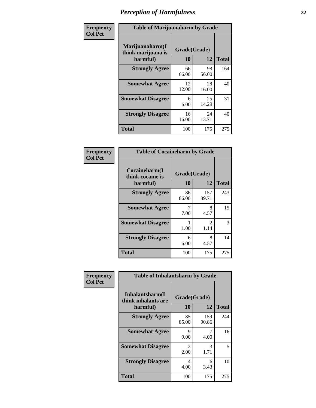| Frequency      | <b>Table of Marijuanaharm by Grade</b>            |                    |             |              |  |
|----------------|---------------------------------------------------|--------------------|-------------|--------------|--|
| <b>Col Pct</b> | Marijuanaharm(I<br>think marijuana is<br>harmful) | Grade(Grade)<br>10 | 12          | <b>Total</b> |  |
|                | <b>Strongly Agree</b>                             | 66<br>66.00        | 98<br>56.00 | 164          |  |
|                | <b>Somewhat Agree</b>                             | 12<br>12.00        | 28<br>16.00 | 40           |  |
|                | <b>Somewhat Disagree</b>                          | 6<br>6.00          | 25<br>14.29 | 31           |  |
|                | <b>Strongly Disagree</b>                          | 16<br>16.00        | 24<br>13.71 | 40           |  |
|                | <b>Total</b>                                      | 100                | 175         | 275          |  |

| <b>Table of Cocaineharm by Grade</b>          |                    |                        |              |  |  |  |  |
|-----------------------------------------------|--------------------|------------------------|--------------|--|--|--|--|
| Cocaineharm(I<br>think cocaine is<br>harmful) | Grade(Grade)<br>10 | 12                     | <b>Total</b> |  |  |  |  |
| <b>Strongly Agree</b>                         | 86<br>86.00        | 157<br>89.71           | 243          |  |  |  |  |
| <b>Somewhat Agree</b>                         | 7<br>7.00          | 8<br>4.57              | 15           |  |  |  |  |
| <b>Somewhat Disagree</b>                      | 1<br>1.00          | $\mathfrak{D}$<br>1.14 | 3            |  |  |  |  |
| <b>Strongly Disagree</b>                      | 6<br>6.00          | 8<br>4.57              | 14           |  |  |  |  |
| <b>Total</b>                                  | 100                | 175                    | 275          |  |  |  |  |

| Frequency      | <b>Table of Inhalantsharm by Grade</b>             |                        |              |              |
|----------------|----------------------------------------------------|------------------------|--------------|--------------|
| <b>Col Pct</b> | Inhalantsharm(I<br>think inhalants are<br>harmful) | Grade(Grade)<br>10     | 12           | <b>Total</b> |
|                | <b>Strongly Agree</b>                              | 85<br>85.00            | 159<br>90.86 | 244          |
|                | <b>Somewhat Agree</b>                              | 9<br>9.00              | 4.00         | 16           |
|                | <b>Somewhat Disagree</b>                           | $\mathfrak{D}$<br>2.00 | 3<br>1.71    | 5            |
|                | <b>Strongly Disagree</b>                           | $\overline{4}$<br>4.00 | 6<br>3.43    | 10           |
|                | <b>Total</b>                                       | 100                    | 175          | 275          |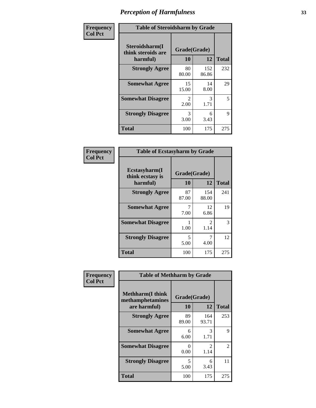| Frequency      | <b>Table of Steroidsharm by Grade</b>            |                                     |              |              |
|----------------|--------------------------------------------------|-------------------------------------|--------------|--------------|
| <b>Col Pct</b> | Steroidsharm(I<br>think steroids are<br>harmful) | Grade(Grade)<br>10                  | 12           | <b>Total</b> |
|                | <b>Strongly Agree</b>                            | 80<br>80.00                         | 152<br>86.86 | 232          |
|                | <b>Somewhat Agree</b>                            | 15<br>15.00                         | 14<br>8.00   | 29           |
|                | <b>Somewhat Disagree</b>                         | $\mathcal{D}_{\mathcal{L}}$<br>2.00 | 3<br>1.71    | 5            |
|                | <b>Strongly Disagree</b>                         | 3<br>3.00                           | 6<br>3.43    | Q            |
|                | <b>Total</b>                                     | 100                                 | 175          | 275          |

| <b>Table of Ecstasyharm by Grade</b>          |                    |                        |              |  |  |
|-----------------------------------------------|--------------------|------------------------|--------------|--|--|
| Ecstasyharm(I<br>think ecstasy is<br>harmful) | Grade(Grade)<br>10 | 12                     | <b>Total</b> |  |  |
| <b>Strongly Agree</b>                         | 87<br>87.00        | 154<br>88.00           | 241          |  |  |
| <b>Somewhat Agree</b>                         | 7<br>7.00          | 12<br>6.86             | 19           |  |  |
| <b>Somewhat Disagree</b>                      | 1<br>1.00          | $\mathfrak{D}$<br>1.14 | 3            |  |  |
| <b>Strongly Disagree</b>                      | 5<br>5.00          | 7<br>4.00              | 12           |  |  |
| <b>Total</b>                                  | 100                | 175                    | 275          |  |  |

| Frequency      | <b>Table of Methharm by Grade</b>                            |                    |                        |              |
|----------------|--------------------------------------------------------------|--------------------|------------------------|--------------|
| <b>Col Pct</b> | <b>Methharm</b> (I think<br>methamphetamines<br>are harmful) | Grade(Grade)<br>10 | 12                     | <b>Total</b> |
|                | <b>Strongly Agree</b>                                        | 89<br>89.00        | 164<br>93.71           | 253          |
|                | <b>Somewhat Agree</b>                                        | 6<br>6.00          | 3<br>1.71              | 9            |
|                | <b>Somewhat Disagree</b>                                     | 0<br>0.00          | $\mathfrak{D}$<br>1.14 | 2            |
|                | <b>Strongly Disagree</b>                                     | 5<br>5.00          | 6<br>3.43              | 11           |
|                | <b>Total</b>                                                 | 100                | 175                    | 275          |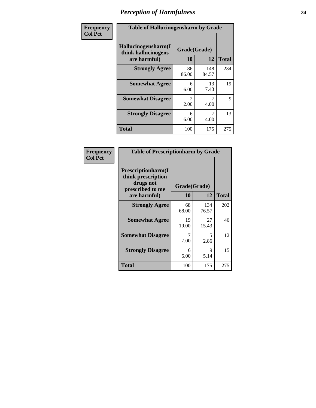| Frequency      | <b>Table of Hallucinogensharm by Grade</b>                 |                        |              |              |
|----------------|------------------------------------------------------------|------------------------|--------------|--------------|
| <b>Col Pct</b> | Hallucinogensharm(I<br>think hallucinogens<br>are harmful) | Grade(Grade)<br>10     | 12           | <b>Total</b> |
|                | <b>Strongly Agree</b>                                      | 86<br>86.00            | 148<br>84.57 | 234          |
|                | <b>Somewhat Agree</b>                                      | 6<br>6.00              | 13<br>7.43   | 19           |
|                | <b>Somewhat Disagree</b>                                   | $\mathfrak{D}$<br>2.00 | 7<br>4.00    | 9            |
|                | <b>Strongly Disagree</b>                                   | 6<br>6.00              | 7<br>4.00    | 13           |
|                | <b>Total</b>                                               | 100                    | 175          | 275          |

| <b>Table of Prescriptionharm by Grade</b>                                 |              |              |              |  |  |
|---------------------------------------------------------------------------|--------------|--------------|--------------|--|--|
| Prescriptionharm(I<br>think prescription<br>drugs not<br>prescribed to me | Grade(Grade) |              |              |  |  |
| are harmful)                                                              | 10           | 12           | <b>Total</b> |  |  |
| <b>Strongly Agree</b>                                                     | 68<br>68.00  | 134<br>76.57 | 202          |  |  |
| <b>Somewhat Agree</b>                                                     | 19<br>19.00  | 27<br>15.43  | 46           |  |  |
| <b>Somewhat Disagree</b>                                                  | 7<br>7.00    | 5<br>2.86    | 12           |  |  |
| <b>Strongly Disagree</b>                                                  | 6<br>6.00    | 9<br>5.14    | 15           |  |  |
| <b>Total</b>                                                              | 100          | 175          | 275          |  |  |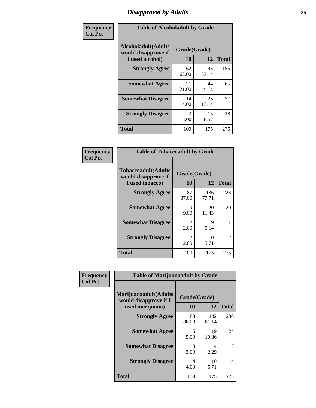# *Disapproval by Adults* **35**

| Frequency      |                                                                       | <b>Table of Alcoholadult by Grade</b> |             |              |  |
|----------------|-----------------------------------------------------------------------|---------------------------------------|-------------|--------------|--|
| <b>Col Pct</b> | <b>Alcoholadult</b> (Adults<br>would disapprove if<br>I used alcohol) | Grade(Grade)<br>10                    | 12          | <b>Total</b> |  |
|                | <b>Strongly Agree</b>                                                 | 62<br>62.00                           | 93<br>53.14 | 155          |  |
|                | <b>Somewhat Agree</b>                                                 | 21<br>21.00                           | 44<br>25.14 | 65           |  |
|                | <b>Somewhat Disagree</b>                                              | 14<br>14.00                           | 23<br>13.14 | 37           |  |
|                | <b>Strongly Disagree</b>                                              | 3<br>3.00                             | 15<br>8.57  | 18           |  |
|                | <b>Total</b>                                                          | 100                                   | 175         | 275          |  |

| <b>Table of Tobaccoadult by Grade</b>                                 |                                     |                    |              |  |  |
|-----------------------------------------------------------------------|-------------------------------------|--------------------|--------------|--|--|
| <b>Tobaccoadult</b> (Adults<br>would disapprove if<br>I used tobacco) | 10                                  | Grade(Grade)<br>12 | <b>Total</b> |  |  |
| <b>Strongly Agree</b>                                                 | 87<br>87.00                         | 136<br>77.71       | 223          |  |  |
| <b>Somewhat Agree</b>                                                 | 9<br>9.00                           | 20<br>11.43        | 29           |  |  |
| <b>Somewhat Disagree</b>                                              | $\mathcal{L}$<br>2.00               | 9<br>5.14          | 11           |  |  |
| <b>Strongly Disagree</b>                                              | $\mathcal{D}_{\mathcal{L}}$<br>2.00 | 10<br>5.71         | 12           |  |  |
| Total                                                                 | 100                                 | 175                | 275          |  |  |

| Frequency      | <b>Table of Marijuanaadult by Grade</b>                           |                    |              |              |
|----------------|-------------------------------------------------------------------|--------------------|--------------|--------------|
| <b>Col Pct</b> | Marijuanaadult(Adults<br>would disapprove if I<br>used marijuana) | Grade(Grade)<br>10 | 12           | <b>Total</b> |
|                | <b>Strongly Agree</b>                                             | 88<br>88.00        | 142<br>81.14 | 230          |
|                | <b>Somewhat Agree</b>                                             | 5<br>5.00          | 19<br>10.86  | 24           |
|                | <b>Somewhat Disagree</b>                                          | 3<br>3.00          | 4<br>2.29    |              |
|                | <b>Strongly Disagree</b>                                          | 4<br>4.00          | 10<br>5.71   | 14           |
|                | <b>Total</b>                                                      | 100                | 175          | 275          |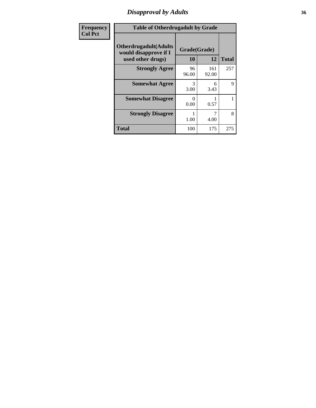### *Disapproval by Adults* **36**

| Frequency      | <b>Table of Otherdrugadult by Grade</b>                                     |                       |              |              |
|----------------|-----------------------------------------------------------------------------|-----------------------|--------------|--------------|
| <b>Col Pct</b> | <b>Otherdrugadult</b> (Adults<br>would disapprove if I<br>used other drugs) | Grade(Grade)<br>10    | 12           | <b>Total</b> |
|                | <b>Strongly Agree</b>                                                       | 96<br>96.00           | 161<br>92.00 | 257          |
|                | <b>Somewhat Agree</b>                                                       | $\mathcal{R}$<br>3.00 | 6<br>3.43    | 9            |
|                | <b>Somewhat Disagree</b>                                                    | ∩<br>0.00             | 0.57         |              |
|                | <b>Strongly Disagree</b>                                                    | 1.00                  | 4.00         | 8            |
|                | <b>Total</b>                                                                | 100                   | 175          | 275          |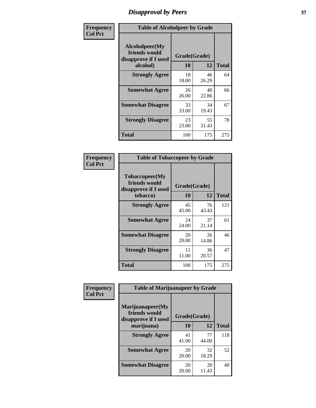# *Disapproval by Peers* **37**

| Frequency      | <b>Table of Alcoholpeer by Grade</b>                    |              |             |              |  |
|----------------|---------------------------------------------------------|--------------|-------------|--------------|--|
| <b>Col Pct</b> | Alcoholpeer(My<br>friends would<br>disapprove if I used | Grade(Grade) |             |              |  |
|                | alcohol)                                                | 10           | 12          | <b>Total</b> |  |
|                | <b>Strongly Agree</b>                                   | 18<br>18.00  | 46<br>26.29 | 64           |  |
|                | <b>Somewhat Agree</b>                                   | 26<br>26.00  | 40<br>22.86 | 66           |  |
|                | <b>Somewhat Disagree</b>                                | 33<br>33.00  | 34<br>19.43 | 67           |  |
|                | <b>Strongly Disagree</b>                                | 23<br>23.00  | 55<br>31.43 | 78           |  |
|                | Total                                                   | 100          | 175         | 275          |  |

| Frequency      | <b>Table of Tobaccopeer by Grade</b>                                |                    |             |              |  |
|----------------|---------------------------------------------------------------------|--------------------|-------------|--------------|--|
| <b>Col Pct</b> | Tobaccopeer(My<br>friends would<br>disapprove if I used<br>tobacco) | Grade(Grade)<br>10 | 12          | <b>Total</b> |  |
|                | <b>Strongly Agree</b>                                               | 45<br>45.00        | 76<br>43.43 | 121          |  |
|                | <b>Somewhat Agree</b>                                               | 24<br>24.00        | 37<br>21.14 | 61           |  |
|                | <b>Somewhat Disagree</b>                                            | 20<br>20.00        | 26<br>14.86 | 46           |  |
|                | <b>Strongly Disagree</b>                                            | 11<br>11.00        | 36<br>20.57 | 47           |  |
|                | Total                                                               | 100                | 175         | 275          |  |

| Frequency<br><b>Col Pct</b> | <b>Table of Marijuanapeer by Grade</b> |                    |             |              |
|-----------------------------|----------------------------------------|--------------------|-------------|--------------|
|                             | Marijuanapeer(My<br>friends would      |                    |             |              |
|                             | disapprove if I used<br>marijuana)     | Grade(Grade)<br>10 | 12          | <b>Total</b> |
|                             | <b>Strongly Agree</b>                  | 41<br>41.00        | 77<br>44.00 | 118          |
|                             | <b>Somewhat Agree</b>                  | 20<br>20.00        | 32<br>18.29 | 52           |
|                             | <b>Somewhat Disagree</b>               | 20<br>20.00        | 20<br>11.43 | 40           |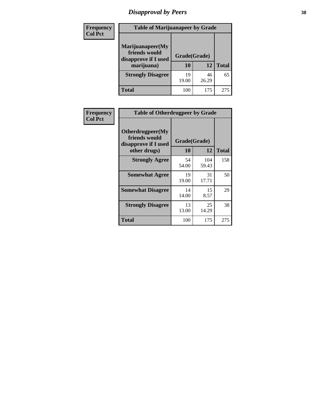# *Disapproval by Peers* **38**

| <b>Frequency</b> | <b>Table of Marijuanapeer by Grade</b>                                  |                    |             |              |  |
|------------------|-------------------------------------------------------------------------|--------------------|-------------|--------------|--|
| <b>Col Pct</b>   | Marijuanapeer(My<br>friends would<br>disapprove if I used<br>marijuana) | Grade(Grade)<br>10 | 12          | <b>Total</b> |  |
|                  | <b>Strongly Disagree</b>                                                | 19<br>19.00        | 46<br>26.29 | 65           |  |
|                  | <b>Total</b>                                                            | 100                | 175         | 275          |  |

| <b>Frequency</b> | <b>Table of Otherdrugpeer by Grade</b>                                    |                    |              |              |
|------------------|---------------------------------------------------------------------------|--------------------|--------------|--------------|
| <b>Col Pct</b>   | Otherdrugpeer(My<br>friends would<br>disapprove if I used<br>other drugs) | Grade(Grade)<br>10 | 12           | <b>Total</b> |
|                  | <b>Strongly Agree</b>                                                     | 54<br>54.00        | 104<br>59.43 | 158          |
|                  | <b>Somewhat Agree</b>                                                     | 19<br>19.00        | 31<br>17.71  | 50           |
|                  | <b>Somewhat Disagree</b>                                                  | 14<br>14.00        | 15<br>8.57   | 29           |
|                  | <b>Strongly Disagree</b>                                                  | 13<br>13.00        | 25<br>14.29  | 38           |
|                  | Total                                                                     | 100                | 175          | 275          |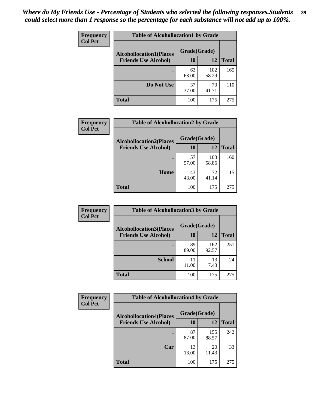| Frequency<br><b>Col Pct</b> | <b>Table of Alcohollocation1 by Grade</b> |              |              |              |
|-----------------------------|-------------------------------------------|--------------|--------------|--------------|
|                             | <b>Alcohollocation1(Places</b>            | Grade(Grade) |              |              |
|                             | <b>Friends Use Alcohol)</b>               | 10           | 12           | <b>Total</b> |
|                             |                                           | 63<br>63.00  | 102<br>58.29 | 165          |
|                             | Do Not Use                                | 37<br>37.00  | 73<br>41.71  | 110          |
|                             | <b>Total</b>                              | 100          | 175          | 275          |

| Frequency      | <b>Table of Alcohollocation2 by Grade</b>                     |                    |              |              |
|----------------|---------------------------------------------------------------|--------------------|--------------|--------------|
| <b>Col Pct</b> | <b>Alcohollocation2(Places</b><br><b>Friends Use Alcohol)</b> | Grade(Grade)<br>10 | 12           | <b>Total</b> |
|                |                                                               | 57<br>57.00        | 103<br>58.86 | 160          |
|                | Home                                                          | 43<br>43.00        | 72<br>41.14  | 115          |
|                | <b>Total</b>                                                  | 100                | 175          | 275          |

| Frequency<br><b>Col Pct</b> | <b>Table of Alcohollocation 3 by Grade</b> |              |              |              |
|-----------------------------|--------------------------------------------|--------------|--------------|--------------|
|                             | <b>Alcohollocation3(Places</b>             | Grade(Grade) |              |              |
|                             | <b>Friends Use Alcohol)</b>                | 10           | 12           | <b>Total</b> |
|                             |                                            | 89<br>89.00  | 162<br>92.57 | 251          |
|                             | <b>School</b>                              | 11<br>11.00  | 13<br>7.43   | 24           |
|                             | <b>Total</b>                               | 100          | 175          | 275          |

| <b>Frequency</b> | <b>Table of Alcohollocation4 by Grade</b> |              |              |              |  |
|------------------|-------------------------------------------|--------------|--------------|--------------|--|
| <b>Col Pct</b>   | <b>Alcohollocation4(Places</b>            | Grade(Grade) |              |              |  |
|                  | <b>Friends Use Alcohol)</b>               | 10           | 12           | <b>Total</b> |  |
|                  |                                           | 87<br>87.00  | 155<br>88.57 | 242          |  |
|                  | Car                                       | 13<br>13.00  | 20<br>11.43  | 33           |  |
|                  | <b>Total</b>                              | 100          | 175          | 275          |  |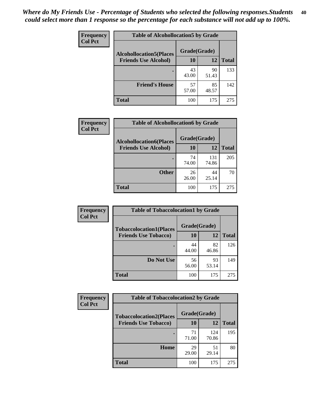| Frequency<br><b>Col Pct</b> | <b>Table of Alcohollocation5 by Grade</b> |              |             |              |  |
|-----------------------------|-------------------------------------------|--------------|-------------|--------------|--|
|                             | <b>Alcohollocation5(Places</b>            | Grade(Grade) |             |              |  |
|                             | <b>Friends Use Alcohol)</b>               | 10           | 12          | <b>Total</b> |  |
|                             |                                           | 43<br>43.00  | 90<br>51.43 | 133          |  |
|                             | <b>Friend's House</b>                     | 57<br>57.00  | 85<br>48.57 | 142          |  |
|                             | <b>Total</b>                              | 100          | 175         | 275          |  |

| <b>Frequency</b> | <b>Table of Alcohollocation6 by Grade</b>                     |                    |             |              |
|------------------|---------------------------------------------------------------|--------------------|-------------|--------------|
| <b>Col Pct</b>   | <b>Alcohollocation6(Places</b><br><b>Friends Use Alcohol)</b> | Grade(Grade)<br>10 | 12          | <b>Total</b> |
|                  |                                                               | 74                 | 131         | 205          |
|                  |                                                               | 74.00              | 74.86       |              |
|                  | <b>Other</b>                                                  | 26<br>26.00        | 44<br>25.14 | 70           |
|                  | Total                                                         | 100                | 175         | 275          |

| Frequency      | <b>Table of Tobaccolocation1 by Grade</b> |              |             |              |
|----------------|-------------------------------------------|--------------|-------------|--------------|
| <b>Col Pct</b> | <b>Tobaccolocation1(Places</b>            | Grade(Grade) |             |              |
|                | <b>Friends Use Tobacco)</b>               | 10           | <b>12</b>   | <b>Total</b> |
|                |                                           | 44<br>44.00  | 82<br>46.86 | 126          |
|                | Do Not Use                                | 56<br>56.00  | 93<br>53.14 | 149          |
|                | <b>Total</b>                              | 100          | 175         | 275          |

| <b>Frequency</b> | <b>Table of Tobaccolocation2 by Grade</b> |              |              |              |  |
|------------------|-------------------------------------------|--------------|--------------|--------------|--|
| <b>Col Pct</b>   | <b>Tobaccolocation2(Places</b>            | Grade(Grade) |              |              |  |
|                  | <b>Friends Use Tobacco)</b>               | 10           | 12           | <b>Total</b> |  |
|                  |                                           | 71<br>71.00  | 124<br>70.86 | 195          |  |
|                  | Home                                      | 29<br>29.00  | 51<br>29.14  | 80           |  |
|                  | <b>Total</b>                              | 100          | 175          | 275          |  |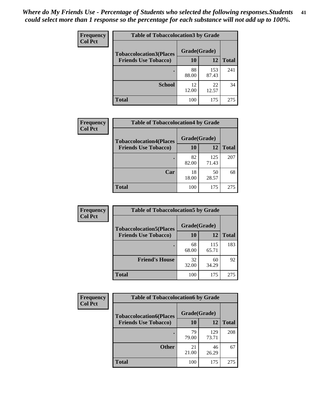| Frequency      | <b>Table of Tobaccolocation 3 by Grade</b> |              |              |              |  |
|----------------|--------------------------------------------|--------------|--------------|--------------|--|
| <b>Col Pct</b> | <b>Tobaccolocation3(Places</b>             | Grade(Grade) |              |              |  |
|                | <b>Friends Use Tobacco)</b>                | 10           | 12           | <b>Total</b> |  |
|                |                                            | 88<br>88.00  | 153<br>87.43 | 241          |  |
|                | <b>School</b>                              | 12<br>12.00  | 22<br>12.57  | 34           |  |
|                | <b>Total</b>                               | 100          | 175          | 275          |  |

| Frequency<br><b>Col Pct</b> | <b>Table of Tobaccolocation4 by Grade</b> |              |              |              |
|-----------------------------|-------------------------------------------|--------------|--------------|--------------|
|                             | <b>Tobaccolocation4(Places</b>            | Grade(Grade) |              |              |
|                             | <b>Friends Use Tobacco)</b>               | 10           | 12           | <b>Total</b> |
|                             |                                           | 82<br>82.00  | 125<br>71.43 | 207          |
|                             | Car                                       | 18<br>18.00  | 50<br>28.57  | 68           |
|                             | <b>Total</b>                              | 100          | 175          | 275          |

| Frequency      | <b>Table of Tobaccolocation5 by Grade</b> |              |              |              |
|----------------|-------------------------------------------|--------------|--------------|--------------|
| <b>Col Pct</b> | <b>Tobaccolocation5(Places</b>            | Grade(Grade) |              |              |
|                | <b>Friends Use Tobacco)</b>               | 10           | 12           | <b>Total</b> |
|                |                                           | 68<br>68.00  | 115<br>65.71 | 183          |
|                | <b>Friend's House</b>                     | 32<br>32.00  | 60<br>34.29  | 92           |
|                | <b>Total</b>                              | 100          | 175          | 275          |

| <b>Frequency</b> | <b>Table of Tobaccolocation6 by Grade</b> |              |              |              |
|------------------|-------------------------------------------|--------------|--------------|--------------|
| <b>Col Pct</b>   | <b>Tobaccolocation6(Places</b>            | Grade(Grade) |              |              |
|                  | <b>Friends Use Tobacco)</b>               | 10           | 12           | <b>Total</b> |
|                  |                                           | 79<br>79.00  | 129<br>73.71 | 208          |
|                  | <b>Other</b>                              | 21<br>21.00  | 46<br>26.29  | 67           |
|                  | <b>Total</b>                              | 100          | 175          | 275          |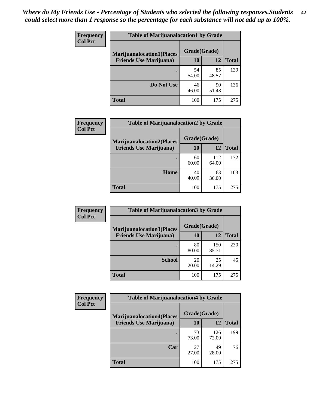| <b>Frequency</b> | <b>Table of Marijuanalocation1 by Grade</b> |              |             |              |
|------------------|---------------------------------------------|--------------|-------------|--------------|
| <b>Col Pct</b>   | <b>Marijuanalocation1(Places</b>            | Grade(Grade) |             |              |
|                  | <b>Friends Use Marijuana</b> )              | <b>10</b>    | 12          | <b>Total</b> |
|                  |                                             | 54<br>54.00  | 85<br>48.57 | 139          |
|                  | Do Not Use                                  | 46<br>46.00  | 90<br>51.43 | 136          |
|                  | <b>Total</b>                                | 100          | 175         | 275          |

| <b>Frequency</b> | <b>Table of Marijuanalocation2 by Grade</b>                        |                    |              |              |
|------------------|--------------------------------------------------------------------|--------------------|--------------|--------------|
| <b>Col Pct</b>   | <b>Marijuanalocation2(Places</b><br><b>Friends Use Marijuana</b> ) | Grade(Grade)<br>10 | 12           | <b>Total</b> |
|                  |                                                                    | 60<br>60.00        | 112<br>64.00 | 172          |
|                  | Home                                                               | 40<br>40.00        | 63<br>36.00  | 103          |
|                  | <b>Total</b>                                                       | 100                | 175          | 275          |

| Frequency<br><b>Col Pct</b> | <b>Table of Marijuanalocation3 by Grade</b> |              |              |              |
|-----------------------------|---------------------------------------------|--------------|--------------|--------------|
|                             | <b>Marijuanalocation3</b> (Places           | Grade(Grade) |              |              |
|                             | <b>Friends Use Marijuana</b> )              | 10           | 12           | <b>Total</b> |
|                             |                                             | 80<br>80.00  | 150<br>85.71 | 230          |
|                             | <b>School</b>                               | 20<br>20.00  | 25<br>14.29  | 45           |
|                             | <b>Total</b>                                | 100          | 175          | 275          |

| Frequency      | <b>Table of Marijuanalocation4 by Grade</b> |              |              |              |  |
|----------------|---------------------------------------------|--------------|--------------|--------------|--|
| <b>Col Pct</b> | <b>Marijuanalocation4(Places</b>            | Grade(Grade) |              |              |  |
|                | <b>Friends Use Marijuana</b> )              | <b>10</b>    | 12           | <b>Total</b> |  |
|                |                                             | 73<br>73.00  | 126<br>72.00 | 199          |  |
|                | Car                                         | 27<br>27.00  | 49<br>28.00  | 76           |  |
|                | <b>Total</b>                                | 100          | 175          | 275          |  |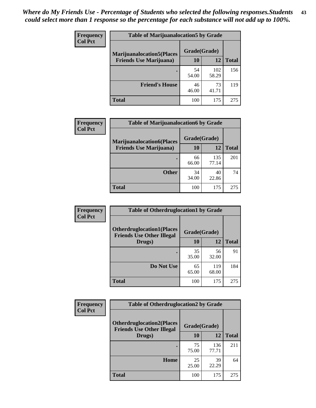| <b>Frequency</b>               | <b>Table of Marijuanalocation5 by Grade</b> |              |              |     |
|--------------------------------|---------------------------------------------|--------------|--------------|-----|
| <b>Col Pct</b>                 | <b>Marijuanalocation5</b> (Places           | Grade(Grade) |              |     |
| <b>Friends Use Marijuana</b> ) | 10                                          | 12           | <b>Total</b> |     |
|                                |                                             | 54<br>54.00  | 102<br>58.29 | 156 |
|                                | <b>Friend's House</b>                       | 46<br>46.00  | 73<br>41.71  | 119 |
|                                | <b>Total</b>                                | 100          | 175          | 275 |

| <b>Frequency</b> | <b>Table of Marijuanalocation6 by Grade</b>                        |                    |              |              |
|------------------|--------------------------------------------------------------------|--------------------|--------------|--------------|
| <b>Col Pct</b>   | <b>Marijuanalocation6(Places</b><br><b>Friends Use Marijuana</b> ) | Grade(Grade)<br>10 | 12           | <b>Total</b> |
|                  |                                                                    | 66<br>66.00        | 135<br>77.14 | 201          |
|                  | <b>Other</b>                                                       | 34<br>34.00        | 40<br>22.86  | 74           |
|                  | <b>Total</b>                                                       | 100                | 175          | 275          |

| <b>Frequency</b> | <b>Table of Otherdruglocation1 by Grade</b>                          |              |              |              |
|------------------|----------------------------------------------------------------------|--------------|--------------|--------------|
| <b>Col Pct</b>   | <b>Otherdruglocation1(Places</b><br><b>Friends Use Other Illegal</b> | Grade(Grade) |              |              |
|                  | Drugs)                                                               | 10           | 12           | <b>Total</b> |
|                  |                                                                      | 35<br>35.00  | 56<br>32.00  | 91           |
|                  | Do Not Use                                                           | 65<br>65.00  | 119<br>68.00 | 184          |
|                  | <b>Total</b>                                                         | 100          | 175          | 275          |

| Frequency                                                                              | <b>Table of Otherdruglocation2 by Grade</b> |              |              |              |
|----------------------------------------------------------------------------------------|---------------------------------------------|--------------|--------------|--------------|
| <b>Col Pct</b><br><b>Otherdruglocation2(Places</b><br><b>Friends Use Other Illegal</b> |                                             | Grade(Grade) |              |              |
|                                                                                        | Drugs)                                      | 10           | 12           | <b>Total</b> |
|                                                                                        |                                             | 75<br>75.00  | 136<br>77.71 | 211          |
|                                                                                        | <b>Home</b>                                 | 25<br>25.00  | 39<br>22.29  | 64           |
|                                                                                        | <b>Total</b>                                | 100          | 175          | 275          |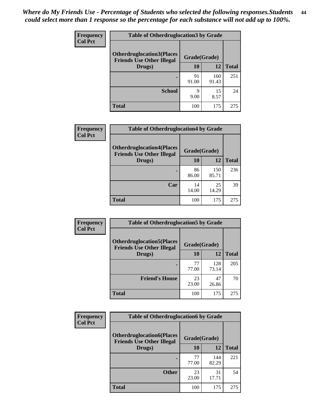| <b>Frequency</b> | <b>Table of Otherdruglocation 3 by Grade</b>                         |              |              |              |
|------------------|----------------------------------------------------------------------|--------------|--------------|--------------|
| <b>Col Pct</b>   | <b>Otherdruglocation3(Places</b><br><b>Friends Use Other Illegal</b> | Grade(Grade) |              |              |
|                  | Drugs)                                                               | 10           | 12           | <b>Total</b> |
|                  |                                                                      | 91<br>91.00  | 160<br>91.43 | 251          |
|                  | <b>School</b>                                                        | q<br>9.00    | 15<br>8.57   | 24           |
|                  | <b>Total</b>                                                         | 100          | 175          | 275          |

| <b>Frequency</b> | <b>Table of Otherdruglocation4 by Grade</b>                          |              |              |              |
|------------------|----------------------------------------------------------------------|--------------|--------------|--------------|
| <b>Col Pct</b>   | <b>Otherdruglocation4(Places</b><br><b>Friends Use Other Illegal</b> | Grade(Grade) |              |              |
|                  | Drugs)                                                               | 10           | 12           | <b>Total</b> |
|                  |                                                                      | 86<br>86.00  | 150<br>85.71 | 236          |
|                  | Car                                                                  | 14<br>14.00  | 25<br>14.29  | 39           |
|                  | <b>Total</b>                                                         | 100          | 175          | 275          |

| <b>Frequency</b><br><b>Col Pct</b> | <b>Table of Otherdruglocation5 by Grade</b>                          |              |              |              |
|------------------------------------|----------------------------------------------------------------------|--------------|--------------|--------------|
|                                    | <b>Otherdruglocation5(Places</b><br><b>Friends Use Other Illegal</b> | Grade(Grade) |              |              |
|                                    | Drugs)                                                               | 10           | 12           | <b>Total</b> |
|                                    |                                                                      | 77<br>77.00  | 128<br>73.14 | 205          |
|                                    | <b>Friend's House</b>                                                | 23<br>23.00  | 47<br>26.86  | 70           |
|                                    | <b>Total</b>                                                         | 100          | 175          | 275          |

| <b>Frequency</b>                                                                       | <b>Table of Otherdruglocation6 by Grade</b> |              |              |              |
|----------------------------------------------------------------------------------------|---------------------------------------------|--------------|--------------|--------------|
| <b>Col Pct</b><br><b>Otherdruglocation6(Places</b><br><b>Friends Use Other Illegal</b> |                                             | Grade(Grade) |              |              |
|                                                                                        | Drugs)                                      | 10           | 12           | <b>Total</b> |
|                                                                                        |                                             | 77<br>77.00  | 144<br>82.29 | 221          |
|                                                                                        | <b>Other</b>                                | 23<br>23.00  | 31<br>17.71  | 54           |
|                                                                                        | <b>Total</b>                                | 100          | 175          | 275          |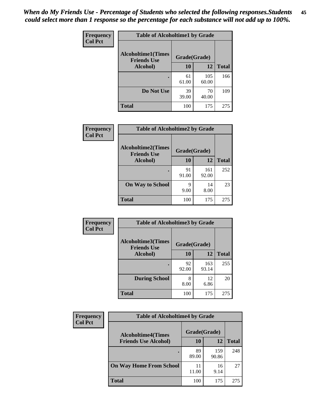| Frequency      | <b>Table of Alcoholtime1 by Grade</b>                           |             |              |              |
|----------------|-----------------------------------------------------------------|-------------|--------------|--------------|
| <b>Col Pct</b> | <b>Alcoholtime1(Times</b><br>Grade(Grade)<br><b>Friends Use</b> |             |              |              |
|                | Alcohol)                                                        | <b>10</b>   | 12           | <b>Total</b> |
|                |                                                                 | 61<br>61.00 | 105<br>60.00 | 166          |
|                | Do Not Use                                                      | 39<br>39.00 | 70<br>40.00  | 109          |
|                | <b>Total</b>                                                    | 100         | 175          | 275          |

| Frequency      | <b>Table of Alcoholtime2 by Grade</b>           |              |              |              |
|----------------|-------------------------------------------------|--------------|--------------|--------------|
| <b>Col Pct</b> | <b>Alcoholtime2(Times</b><br><b>Friends Use</b> | Grade(Grade) |              |              |
|                | Alcohol)                                        | 10           | 12           | <b>Total</b> |
|                |                                                 | 91<br>91.00  | 161<br>92.00 | 252          |
|                | <b>On Way to School</b>                         | q<br>9.00    | 14<br>8.00   | 23           |
|                | <b>Total</b>                                    | 100          | 175          | 275          |

| Frequency |                                                 | <b>Table of Alcoholtime3 by Grade</b> |              |              |  |
|-----------|-------------------------------------------------|---------------------------------------|--------------|--------------|--|
| Col Pct   | <b>Alcoholtime3(Times</b><br><b>Friends Use</b> | Grade(Grade)                          |              |              |  |
|           | Alcohol)                                        | 10                                    | 12           | <b>Total</b> |  |
|           |                                                 | 92<br>92.00                           | 163<br>93.14 | 255          |  |
|           | <b>During School</b>                            | 8<br>8.00                             | 12<br>6.86   | 20           |  |
|           | <b>Total</b>                                    | 100                                   | 175          | 275          |  |

| <b>Frequency</b> | <b>Table of Alcoholtime4 by Grade</b> |              |              |              |
|------------------|---------------------------------------|--------------|--------------|--------------|
| <b>Col Pct</b>   | <b>Alcoholtime4(Times</b>             | Grade(Grade) |              |              |
|                  | <b>Friends Use Alcohol)</b>           | 10           | 12           | <b>Total</b> |
|                  |                                       | 89<br>89.00  | 159<br>90.86 | 248          |
|                  | <b>On Way Home From School</b>        | 11<br>11.00  | 16<br>9.14   | 27           |
|                  | <b>Total</b>                          | 100          | 175          | 275          |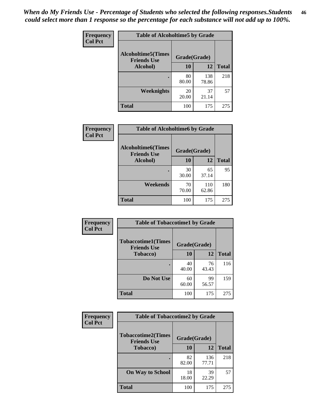*When do My Friends Use - Percentage of Students who selected the following responses.Students could select more than 1 response so the percentage for each substance will not add up to 100%.* **46**

| <b>Frequency</b> | <b>Table of Alcoholtime5 by Grade</b>            |              |              |              |
|------------------|--------------------------------------------------|--------------|--------------|--------------|
| <b>Col Pct</b>   | <b>Alcoholtime5</b> (Times<br><b>Friends Use</b> | Grade(Grade) |              |              |
|                  | Alcohol)                                         | 10           | 12           | <b>Total</b> |
|                  |                                                  | 80<br>80.00  | 138<br>78.86 | 218          |
|                  | Weeknights                                       | 20<br>20.00  | 37<br>21.14  | 57           |
|                  | <b>Total</b>                                     | 100          | 175          | 275          |

| Frequency      | <b>Table of Alcoholtime6 by Grade</b>           |              |              |              |
|----------------|-------------------------------------------------|--------------|--------------|--------------|
| <b>Col Pct</b> | <b>Alcoholtime6(Times</b><br><b>Friends Use</b> | Grade(Grade) |              |              |
|                | Alcohol)                                        | 10           | 12           | <b>Total</b> |
|                |                                                 | 30<br>30.00  | 65<br>37.14  | 95           |
|                | Weekends                                        | 70<br>70.00  | 110<br>62.86 | 180          |
|                | <b>Total</b>                                    | 100          | 175          | 275          |

| Frequency<br><b>Col Pct</b> | <b>Table of Tobaccotime1 by Grade</b>           |              |             |              |
|-----------------------------|-------------------------------------------------|--------------|-------------|--------------|
|                             | <b>Tobaccotime1(Times</b><br><b>Friends Use</b> | Grade(Grade) |             |              |
|                             | <b>Tobacco</b> )                                | 10           | 12          | <b>Total</b> |
|                             | ٠                                               | 40<br>40.00  | 76<br>43.43 | 116          |
|                             | Do Not Use                                      | 60<br>60.00  | 99<br>56.57 | 159          |
|                             | <b>Total</b>                                    | 100          | 175         | 275          |

| Frequency      | <b>Table of Tobaccotime2 by Grade</b>           |              |              |              |
|----------------|-------------------------------------------------|--------------|--------------|--------------|
| <b>Col Pct</b> | <b>Tobaccotime2(Times</b><br><b>Friends Use</b> | Grade(Grade) |              |              |
|                | <b>Tobacco</b> )                                | 10           | 12           | <b>Total</b> |
|                |                                                 | 82<br>82.00  | 136<br>77.71 | 218          |
|                | <b>On Way to School</b>                         | 18<br>18.00  | 39<br>22.29  | 57           |
|                | <b>Total</b>                                    | 100          | 175          | 275          |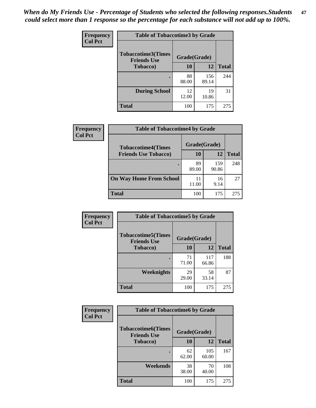*When do My Friends Use - Percentage of Students who selected the following responses.Students could select more than 1 response so the percentage for each substance will not add up to 100%.* **47**

| <b>Frequency</b> | <b>Table of Tobaccotime3 by Grade</b>           |              |              |              |  |
|------------------|-------------------------------------------------|--------------|--------------|--------------|--|
| <b>Col Pct</b>   | <b>Tobaccotime3(Times</b><br><b>Friends Use</b> | Grade(Grade) |              |              |  |
|                  | <b>Tobacco</b> )                                | 10           | 12           | <b>Total</b> |  |
|                  |                                                 | 88<br>88.00  | 156<br>89.14 | 244          |  |
|                  | <b>During School</b>                            | 12<br>12.00  | 19<br>10.86  | 31           |  |
|                  | <b>Total</b>                                    | 100          | 175          | 275          |  |

| <b>Frequency</b><br><b>Col Pct</b> | <b>Table of Tobaccotime4 by Grade</b> |              |              |              |
|------------------------------------|---------------------------------------|--------------|--------------|--------------|
|                                    | <b>Tobaccotime4(Times</b>             | Grade(Grade) |              |              |
|                                    | <b>Friends Use Tobacco)</b>           | 10           | 12           | <b>Total</b> |
|                                    |                                       | 89<br>89.00  | 159<br>90.86 | 248          |
|                                    | <b>On Way Home From School</b>        | 11<br>11.00  | 16<br>9.14   | 27           |
|                                    | Total                                 | 100          | 175          | 275          |

| Frequency      | <b>Table of Tobaccotime5 by Grade</b>            |              |              |              |
|----------------|--------------------------------------------------|--------------|--------------|--------------|
| <b>Col Pct</b> | <b>Tobaccotime5</b> (Times<br><b>Friends Use</b> | Grade(Grade) |              |              |
|                | <b>Tobacco</b> )                                 | 10           | 12           | <b>Total</b> |
|                |                                                  | 71<br>71.00  | 117<br>66.86 | 188          |
|                | Weeknights                                       | 29<br>29.00  | 58<br>33.14  | 87           |
|                | <b>Total</b>                                     | 100          | 175          | 275          |

| <b>Frequency</b> | <b>Table of Tobaccotime6 by Grade</b>           |              |              |              |
|------------------|-------------------------------------------------|--------------|--------------|--------------|
| <b>Col Pct</b>   | <b>Tobaccotime6(Times</b><br><b>Friends Use</b> | Grade(Grade) |              |              |
|                  | <b>Tobacco</b> )                                | 10           | 12           | <b>Total</b> |
|                  | ٠                                               | 62<br>62.00  | 105<br>60.00 | 167          |
|                  | Weekends                                        | 38<br>38.00  | 70<br>40.00  | 108          |
|                  | <b>Total</b>                                    | 100          | 175          | 275          |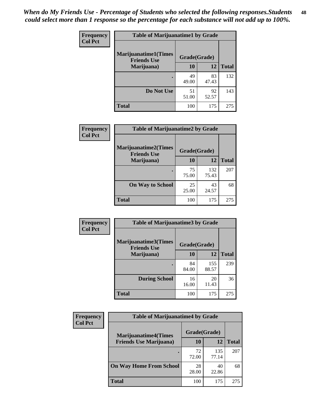| Frequency      | <b>Table of Marijuanatime1 by Grade</b>           |              |             |              |  |
|----------------|---------------------------------------------------|--------------|-------------|--------------|--|
| <b>Col Pct</b> | <b>Marijuanatime1(Times</b><br><b>Friends Use</b> | Grade(Grade) |             |              |  |
|                | Marijuana)                                        | 10           | 12          | <b>Total</b> |  |
|                |                                                   | 49<br>49.00  | 83<br>47.43 | 132          |  |
|                | Do Not Use                                        | 51<br>51.00  | 92<br>52.57 | 143          |  |
|                | <b>Total</b>                                      | 100          | 175         | 275          |  |

| Frequency      | <b>Table of Marijuanatime2 by Grade</b>           |              |              |              |
|----------------|---------------------------------------------------|--------------|--------------|--------------|
| <b>Col Pct</b> | <b>Marijuanatime2(Times</b><br><b>Friends Use</b> | Grade(Grade) |              |              |
|                | Marijuana)                                        | 10           | 12           | <b>Total</b> |
|                | ٠                                                 | 75<br>75.00  | 132<br>75.43 | 207          |
|                | <b>On Way to School</b>                           | 25<br>25.00  | 43<br>24.57  | 68           |
|                | <b>Total</b>                                      | 100          | 175          | 275          |

| Frequency      | <b>Table of Marijuanatime3 by Grade</b>    |              |              |              |
|----------------|--------------------------------------------|--------------|--------------|--------------|
| <b>Col Pct</b> | Marijuanatime3(Times<br><b>Friends Use</b> | Grade(Grade) |              |              |
|                | Marijuana)                                 | 10           | 12           | <b>Total</b> |
|                |                                            | 84<br>84.00  | 155<br>88.57 | 239          |
|                | <b>During School</b>                       | 16<br>16.00  | 20<br>11.43  | 36           |
|                | <b>Total</b>                               | 100          | 175          | 275          |

| <b>Frequency</b><br><b>Col Pct</b> | <b>Table of Marijuanatime4 by Grade</b> |              |              |              |
|------------------------------------|-----------------------------------------|--------------|--------------|--------------|
|                                    | <b>Marijuanatime4(Times</b>             | Grade(Grade) |              |              |
|                                    | <b>Friends Use Marijuana</b> )          | 10           | 12           | <b>Total</b> |
|                                    |                                         | 72<br>72.00  | 135<br>77.14 | 207          |
|                                    | <b>On Way Home From School</b>          | 28<br>28.00  | 40<br>22.86  | 68           |
|                                    | <b>Total</b>                            | 100          | 175          | 275          |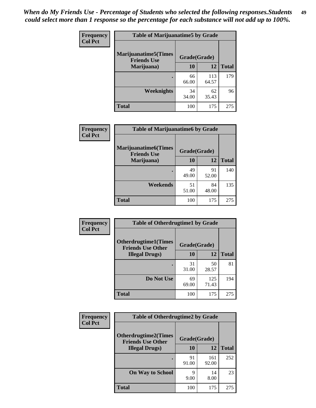| Frequency<br><b>Col Pct</b> | <b>Table of Marijuanatime5 by Grade</b>            |              |              |              |
|-----------------------------|----------------------------------------------------|--------------|--------------|--------------|
|                             | <b>Marijuanatime5</b> (Times<br><b>Friends Use</b> | Grade(Grade) |              |              |
|                             | Marijuana)                                         | 10           | 12           | <b>Total</b> |
|                             |                                                    | 66<br>66.00  | 113<br>64.57 | 179          |
|                             | <b>Weeknights</b>                                  | 34<br>34.00  | 62<br>35.43  | 96           |
|                             | <b>Total</b>                                       | 100          | 175          | 275          |

| Frequency      | <b>Table of Marijuanatime6 by Grade</b>            |              |             |              |
|----------------|----------------------------------------------------|--------------|-------------|--------------|
| <b>Col Pct</b> | <b>Marijuanatime6</b> (Times<br><b>Friends Use</b> | Grade(Grade) |             |              |
|                | Marijuana)                                         | 10           | 12          | <b>Total</b> |
|                |                                                    | 49<br>49.00  | 91<br>52.00 | 140          |
|                | Weekends                                           | 51<br>51.00  | 84<br>48.00 | 135          |
|                | <b>Total</b>                                       | 100          | 175         | 275          |

| <b>Frequency</b> | <b>Table of Otherdrugtime1 by Grade</b>                  |              |              |              |
|------------------|----------------------------------------------------------|--------------|--------------|--------------|
| <b>Col Pct</b>   | <b>Otherdrugtime1</b> (Times<br><b>Friends Use Other</b> | Grade(Grade) |              |              |
|                  | <b>Illegal Drugs</b> )                                   | 10           | 12           | <b>Total</b> |
|                  |                                                          | 31<br>31.00  | 50<br>28.57  | 81           |
|                  | Do Not Use                                               | 69<br>69.00  | 125<br>71.43 | 194          |
|                  | <b>Total</b>                                             | 100          | 175          | 275          |

| Frequency      | <b>Table of Otherdrugtime2 by Grade</b>                                 |             |              |              |  |  |
|----------------|-------------------------------------------------------------------------|-------------|--------------|--------------|--|--|
| <b>Col Pct</b> | <b>Otherdrugtime2(Times</b><br>Grade(Grade)<br><b>Friends Use Other</b> |             |              |              |  |  |
|                | <b>Illegal Drugs</b> )                                                  | 10          | 12           | <b>Total</b> |  |  |
|                |                                                                         | 91<br>91.00 | 161<br>92.00 | 252          |  |  |
|                | <b>On Way to School</b>                                                 | q<br>9.00   | 14<br>8.00   | 23           |  |  |
|                | Total                                                                   | 100         | 175          | 275          |  |  |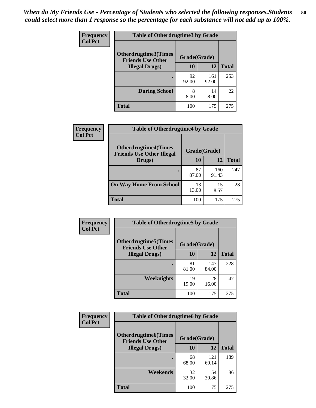| <b>Frequency</b> | <b>Table of Otherdrugtime3 by Grade</b>          |              |              |              |  |  |
|------------------|--------------------------------------------------|--------------|--------------|--------------|--|--|
| <b>Col Pct</b>   | Otherdrugtime3(Times<br><b>Friends Use Other</b> | Grade(Grade) |              |              |  |  |
|                  | <b>Illegal Drugs</b> )                           | 10           | 12           | <b>Total</b> |  |  |
|                  |                                                  | 92<br>92.00  | 161<br>92.00 | 253          |  |  |
|                  | <b>During School</b>                             | 8<br>8.00    | 14<br>8.00   | 22           |  |  |
|                  | Total                                            | 100          | 175          | 275          |  |  |

| <b>Frequency</b> | <b>Table of Otherdrugtime4 by Grade</b>                         |              |              |              |  |  |
|------------------|-----------------------------------------------------------------|--------------|--------------|--------------|--|--|
| <b>Col Pct</b>   | <b>Otherdrugtime4(Times</b><br><b>Friends Use Other Illegal</b> | Grade(Grade) |              |              |  |  |
|                  | Drugs)                                                          | 10           | 12           | <b>Total</b> |  |  |
|                  |                                                                 | 87<br>87.00  | 160<br>91.43 | 247          |  |  |
|                  | <b>On Way Home From School</b>                                  | 13<br>13.00  | 15<br>8.57   | 28           |  |  |
|                  | <b>Total</b>                                                    | 100          | 175          | 275          |  |  |

| <b>Frequency</b><br><b>Col Pct</b> | <b>Table of Otherdrugtime5 by Grade</b>                  |              |              |              |  |  |
|------------------------------------|----------------------------------------------------------|--------------|--------------|--------------|--|--|
|                                    | <b>Otherdrugtime5</b> (Times<br><b>Friends Use Other</b> | Grade(Grade) |              |              |  |  |
|                                    | <b>Illegal Drugs</b> )                                   | 10           | 12           | <b>Total</b> |  |  |
|                                    |                                                          | 81<br>81.00  | 147<br>84.00 | 228          |  |  |
|                                    | Weeknights                                               | 19<br>19.00  | 28<br>16.00  | 47           |  |  |
|                                    | Total                                                    | 100          | 175          | 275          |  |  |

| <b>Frequency</b> | <b>Table of Otherdrugtime6 by Grade</b>                 |              |              |              |  |  |
|------------------|---------------------------------------------------------|--------------|--------------|--------------|--|--|
| <b>Col Pct</b>   | <b>Otherdrugtime6(Times</b><br><b>Friends Use Other</b> | Grade(Grade) |              |              |  |  |
|                  | <b>Illegal Drugs</b> )                                  | 10           | 12           | <b>Total</b> |  |  |
|                  |                                                         | 68<br>68.00  | 121<br>69.14 | 189          |  |  |
|                  | Weekends                                                | 32<br>32.00  | 54<br>30.86  | 86           |  |  |
|                  | Total                                                   | 100          | 175          | 275          |  |  |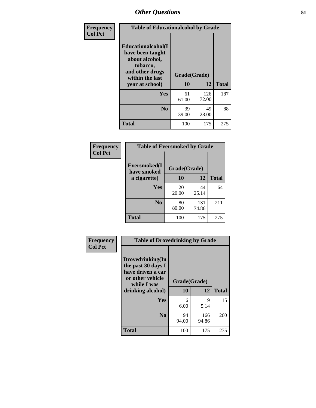| Frequency      | <b>Table of Educationalcohol by Grade</b>                                                                  |              |              |              |  |
|----------------|------------------------------------------------------------------------------------------------------------|--------------|--------------|--------------|--|
| <b>Col Pct</b> | Educationalcohol(I<br>have been taught<br>about alcohol,<br>tobacco,<br>and other drugs<br>within the last | Grade(Grade) |              |              |  |
|                | year at school)                                                                                            | 10           | 12           | <b>Total</b> |  |
|                | Yes                                                                                                        | 61<br>61.00  | 126<br>72.00 | 187          |  |
|                | N <sub>0</sub>                                                                                             | 39<br>39.00  | 49<br>28.00  | 88           |  |
|                | <b>Total</b>                                                                                               | 100          | 175          | 275          |  |

| Frequency      | <b>Table of Eversmoked by Grade</b> |              |              |              |  |  |
|----------------|-------------------------------------|--------------|--------------|--------------|--|--|
| <b>Col Pct</b> | Eversmoked(I<br>have smoked         | Grade(Grade) |              |              |  |  |
|                | a cigarette)                        | 10           | 12           | <b>Total</b> |  |  |
|                | Yes                                 | 20<br>20.00  | 44<br>25.14  | 64           |  |  |
|                | N <sub>0</sub>                      | 80<br>80.00  | 131<br>74.86 | 211          |  |  |
|                | <b>Total</b>                        | 100          | 175          | 275          |  |  |

| Frequency      | <b>Table of Drovedrinking by Grade</b>                                                                              |                    |              |              |  |
|----------------|---------------------------------------------------------------------------------------------------------------------|--------------------|--------------|--------------|--|
| <b>Col Pct</b> | Drovedrinking(In<br>the past 30 days I<br>have driven a car<br>or other vehicle<br>while I was<br>drinking alcohol) | Grade(Grade)<br>10 | 12           | <b>Total</b> |  |
|                | <b>Yes</b>                                                                                                          | 6<br>6.00          | 9<br>5.14    | 15           |  |
|                | N <sub>0</sub>                                                                                                      | 94<br>94.00        | 166<br>94.86 | 260          |  |
|                | <b>Total</b>                                                                                                        | 100                | 175          | 275          |  |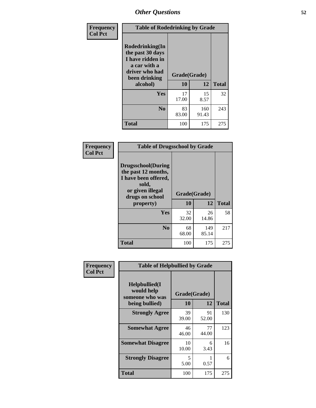| Frequency      | <b>Table of Rodedrinking by Grade</b>                                                                      |              |              |              |  |  |
|----------------|------------------------------------------------------------------------------------------------------------|--------------|--------------|--------------|--|--|
| <b>Col Pct</b> | Rodedrinking(In<br>the past 30 days<br>I have ridden in<br>a car with a<br>driver who had<br>been drinking | Grade(Grade) |              |              |  |  |
|                | alcohol)                                                                                                   | 10           | 12           | <b>Total</b> |  |  |
|                | <b>Yes</b>                                                                                                 | 17<br>17.00  | 15<br>8.57   | 32           |  |  |
|                | N <sub>0</sub>                                                                                             | 83<br>83.00  | 160<br>91.43 | 243          |  |  |
|                | <b>Total</b>                                                                                               | 100          | 175          | 275          |  |  |

#### **Frequency Col Pct**

| <b>Table of Drugsschool by Grade</b>                                                                                      |             |              |              |  |  |  |
|---------------------------------------------------------------------------------------------------------------------------|-------------|--------------|--------------|--|--|--|
| <b>Drugsschool</b> (During<br>the past 12 months,<br>I have been offered,<br>sold,<br>or given illegal<br>drugs on school |             | Grade(Grade) |              |  |  |  |
| property)                                                                                                                 | 10          | 12           | <b>Total</b> |  |  |  |
| Yes                                                                                                                       | 32<br>32.00 | 26<br>14.86  | 58           |  |  |  |
| N <sub>0</sub>                                                                                                            | 68<br>68.00 | 149<br>85.14 | 217          |  |  |  |
| <b>Total</b>                                                                                                              | 100         | 175          | 275          |  |  |  |

| Frequency      | <b>Table of Helpbullied by Grade</b>           |              |             |              |  |  |  |
|----------------|------------------------------------------------|--------------|-------------|--------------|--|--|--|
| <b>Col Pct</b> | Helpbullied(I<br>would help<br>someone who was | Grade(Grade) |             |              |  |  |  |
|                | being bullied)                                 | 10           | 12          | <b>Total</b> |  |  |  |
|                | <b>Strongly Agree</b>                          | 39<br>39.00  | 91<br>52.00 | 130          |  |  |  |
|                | <b>Somewhat Agree</b>                          | 46<br>46.00  | 77<br>44.00 | 123          |  |  |  |
|                | <b>Somewhat Disagree</b>                       | 10<br>10.00  | 6<br>3.43   | 16           |  |  |  |
|                | <b>Strongly Disagree</b>                       | 5<br>5.00    | 0.57        | 6            |  |  |  |
|                | <b>Total</b>                                   | 100          | 175         | 275          |  |  |  |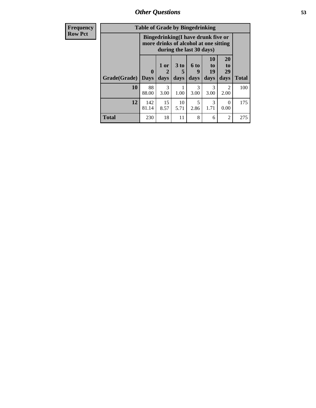*Other Questions* **53**

| <b>Frequency</b> | <b>Table of Grade by Bingedrinking</b> |                         |                |                |                                                                                                         |                          |                        |              |
|------------------|----------------------------------------|-------------------------|----------------|----------------|---------------------------------------------------------------------------------------------------------|--------------------------|------------------------|--------------|
| <b>Row Pct</b>   |                                        |                         |                |                | Bingedrinking(I have drunk five or<br>more drinks of alcohol at one sitting<br>during the last 30 days) |                          |                        |              |
|                  | Grade(Grade)                           | $\bf{0}$<br><b>Days</b> | $1$ or<br>days | $3$ to<br>days | $6$ to<br>9<br>days                                                                                     | 10<br>to  <br>19<br>days | 20<br>to<br>29<br>days | <b>Total</b> |
|                  | 10                                     | 88<br>88.00             | 3<br>3.00      | 1.00           | 3<br>3.00                                                                                               | 3<br>3.00                | $\mathfrak{D}$<br>2.00 | 100          |
|                  | 12                                     | 142<br>81.14            | 15<br>8.57     | 10<br>5.71     | 5<br>2.86                                                                                               | 3<br>1.71                | $\Omega$<br>0.00       | 175          |
|                  | <b>Total</b>                           | 230                     | 18             | 11             | 8                                                                                                       | 6                        | 2                      | 275          |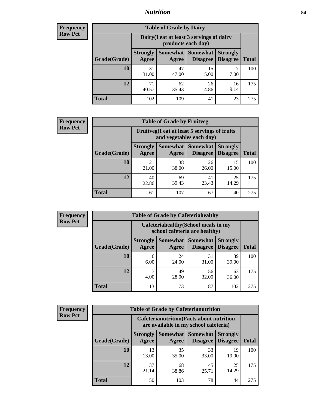## *Nutrition* **54**

| <b>Frequency</b> |
|------------------|
| <b>Row Pct</b>   |

| <b>Table of Grade by Dairy</b> |                          |                                                                                          |             |            |     |  |  |  |
|--------------------------------|--------------------------|------------------------------------------------------------------------------------------|-------------|------------|-----|--|--|--|
|                                |                          | Dairy (I eat at least 3 servings of dairy<br>products each day)                          |             |            |     |  |  |  |
| Grade(Grade)                   | <b>Strongly</b><br>Agree | Somewhat  <br><b>Somewhat</b><br><b>Strongly</b><br><b>Disagree</b><br>Disagree<br>Agree |             |            |     |  |  |  |
| 10                             | 31<br>31.00              | 47<br>47.00                                                                              | 15<br>15.00 | 7.00       | 100 |  |  |  |
| 12                             | 71<br>40.57              | 62<br>35.43                                                                              | 26<br>14.86 | 16<br>9.14 | 175 |  |  |  |
| <b>Total</b>                   | 102                      | 109                                                                                      | 41          | 23         | 275 |  |  |  |

| <b>Frequency</b> |  |
|------------------|--|
| <b>Row Pct</b>   |  |

| <b>Table of Grade by Fruitveg</b> |                                                                          |             |                   |                                             |              |  |  |
|-----------------------------------|--------------------------------------------------------------------------|-------------|-------------------|---------------------------------------------|--------------|--|--|
|                                   | Fruitveg(I eat at least 5 servings of fruits<br>and vegetables each day) |             |                   |                                             |              |  |  |
| Grade(Grade)                      | <b>Strongly</b><br>Agree                                                 | Agree       | Somewhat Somewhat | <b>Strongly</b><br><b>Disagree</b> Disagree | <b>Total</b> |  |  |
| 10                                | 21<br>21.00                                                              | 38<br>38.00 | 26<br>26.00       | 15<br>15.00                                 | 100          |  |  |
| 12                                | 40<br>22.86                                                              | 69<br>39.43 | 41<br>23.43       | 25<br>14.29                                 | 175          |  |  |
| <b>Total</b>                      | 61                                                                       | 107         | 67                | 40                                          | 275          |  |  |

| <b>Frequency</b> | <b>Table of Grade by Cafeteriahealthy</b> |                                                                       |             |                                        |                                    |              |  |
|------------------|-------------------------------------------|-----------------------------------------------------------------------|-------------|----------------------------------------|------------------------------------|--------------|--|
| <b>Row Pct</b>   |                                           | Cafeteriahealthy (School meals in my<br>school cafeteria are healthy) |             |                                        |                                    |              |  |
|                  | Grade(Grade)                              | <b>Strongly</b><br>Agree                                              | Agree       | Somewhat   Somewhat<br><b>Disagree</b> | <b>Strongly</b><br><b>Disagree</b> | <b>Total</b> |  |
|                  | 10                                        | 6<br>6.00                                                             | 24<br>24.00 | 31<br>31.00                            | 39<br>39.00                        | 100          |  |
|                  | 12                                        | $\mathbf{r}$<br>4.00                                                  | 49<br>28.00 | 56<br>32.00                            | 63<br>36.00                        | 175          |  |
|                  | <b>Total</b>                              | 13                                                                    | 73          | 87                                     | 102                                | 275          |  |

| <b>Frequency</b> |
|------------------|
| <b>Row Pct</b>   |

| <b>Table of Grade by Cafeterianutrition</b> |                          |                                                                                           |                                    |                                    |              |  |  |
|---------------------------------------------|--------------------------|-------------------------------------------------------------------------------------------|------------------------------------|------------------------------------|--------------|--|--|
|                                             |                          | <b>Cafeterianutrition</b> (Facts about nutrition<br>are available in my school cafeteria) |                                    |                                    |              |  |  |
| Grade(Grade)                                | <b>Strongly</b><br>Agree | Somewhat  <br>Agree                                                                       | <b>Somewhat</b><br><b>Disagree</b> | <b>Strongly</b><br><b>Disagree</b> | <b>Total</b> |  |  |
| 10                                          | 13<br>13.00              | 35<br>35.00                                                                               | 33<br>33.00                        | 19<br>19.00                        | 100          |  |  |
| 12                                          | 37<br>21.14              | 68<br>38.86                                                                               | 45<br>25.71                        | 25<br>14.29                        | 175          |  |  |
| <b>Total</b>                                | 50                       | 103                                                                                       | 78                                 | 44                                 | 275          |  |  |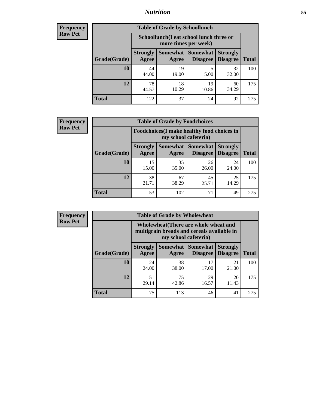## *Nutrition* **55**

| Frequency |
|-----------|
| Row Pct   |

| <b>Table of Grade by Schoollunch</b> |                          |                                                                                                          |             |             |     |  |  |  |
|--------------------------------------|--------------------------|----------------------------------------------------------------------------------------------------------|-------------|-------------|-----|--|--|--|
|                                      |                          | Schoollunch(I eat school lunch three or<br>more times per week)                                          |             |             |     |  |  |  |
| Grade(Grade)                         | <b>Strongly</b><br>Agree | Somewhat  <br><b>Somewhat</b><br><b>Strongly</b><br><b>Disagree</b><br>Disagree<br><b>Total</b><br>Agree |             |             |     |  |  |  |
| 10                                   | 44<br>44.00              | 19<br>19.00                                                                                              | 5<br>5.00   | 32<br>32.00 | 100 |  |  |  |
| 12                                   | 78<br>44.57              | 18<br>10.29                                                                                              | 19<br>10.86 | 60<br>34.29 | 175 |  |  |  |
| <b>Total</b>                         | 122                      | 37                                                                                                       | 24          | 92          | 275 |  |  |  |

| <b>Frequency</b> |  |
|------------------|--|
| <b>Row Pct</b>   |  |

| <b>Table of Grade by Foodchoices</b>                                |                          |             |                                               |                                    |              |  |  |
|---------------------------------------------------------------------|--------------------------|-------------|-----------------------------------------------|------------------------------------|--------------|--|--|
| Foodchoices (I make healthy food choices in<br>my school cafeteria) |                          |             |                                               |                                    |              |  |  |
| Grade(Grade)                                                        | <b>Strongly</b><br>Agree | Agree       | <b>Somewhat   Somewhat</b><br><b>Disagree</b> | <b>Strongly</b><br><b>Disagree</b> | <b>Total</b> |  |  |
| 10                                                                  | 15<br>15.00              | 35<br>35.00 | 26<br>26.00                                   | 24<br>24.00                        | 100          |  |  |
| 12                                                                  | 38<br>21.71              | 67<br>38.29 | 45<br>25.71                                   | 25<br>14.29                        | 175          |  |  |
| <b>Total</b>                                                        | 53                       | 102         | 71                                            | 49                                 | 275          |  |  |

| <b>Frequency</b> | <b>Table of Grade by Wholewheat</b> |                          |                                                                                                             |                 |                                    |              |  |  |
|------------------|-------------------------------------|--------------------------|-------------------------------------------------------------------------------------------------------------|-----------------|------------------------------------|--------------|--|--|
| <b>Row Pct</b>   |                                     |                          | Wholewheat (There are whole wheat and<br>multigrain breads and cereals available in<br>my school cafeteria) |                 |                                    |              |  |  |
|                  | Grade(Grade)                        | <b>Strongly</b><br>Agree | Somewhat Somewhat<br>Agree                                                                                  | <b>Disagree</b> | <b>Strongly</b><br><b>Disagree</b> | <b>Total</b> |  |  |
|                  | 10                                  | 24<br>24.00              | 38<br>38.00                                                                                                 | 17<br>17.00     | 21<br>21.00                        | 100          |  |  |
|                  | 12                                  | 51<br>29.14              | 75<br>42.86                                                                                                 | 29<br>16.57     | 20<br>11.43                        | 175          |  |  |
|                  | <b>Total</b>                        | 75                       | 113                                                                                                         | 46              | 41                                 | 275          |  |  |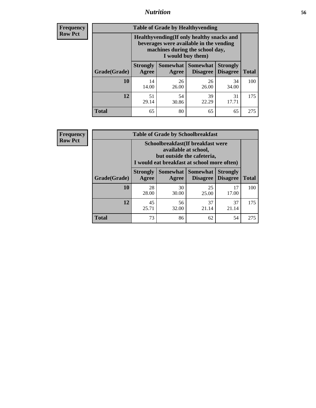## *Nutrition* **56**

**Frequency Row Pct**

| <b>Table of Grade by Healthyvending</b> |                                                                                                                                               |                          |                                    |                                    |              |  |
|-----------------------------------------|-----------------------------------------------------------------------------------------------------------------------------------------------|--------------------------|------------------------------------|------------------------------------|--------------|--|
|                                         | Healthyvending (If only healthy snacks and<br>beverages were available in the vending<br>machines during the school day,<br>I would buy them) |                          |                                    |                                    |              |  |
| Grade(Grade)                            | <b>Strongly</b><br>Agree                                                                                                                      | <b>Somewhat</b><br>Agree | <b>Somewhat</b><br><b>Disagree</b> | <b>Strongly</b><br><b>Disagree</b> | <b>Total</b> |  |
| 10                                      | 14<br>14.00                                                                                                                                   | 26<br>26.00              | 26<br>26.00                        | 34<br>34.00                        | 100          |  |
| 12                                      | 51<br>29.14                                                                                                                                   | 54<br>30.86              | 39<br>22.29                        | 31<br>17.71                        | 175          |  |
| <b>Total</b>                            | 65                                                                                                                                            | 80                       | 65                                 | 65                                 | 275          |  |

**Frequency Row Pct**

| <b>Table of Grade by Schoolbreakfast</b> |                                                                                                                                         |             |                                        |                                    |              |  |
|------------------------------------------|-----------------------------------------------------------------------------------------------------------------------------------------|-------------|----------------------------------------|------------------------------------|--------------|--|
|                                          | Schoolbreakfast (If breakfast were<br>available at school,<br>but outside the cafeteria,<br>I would eat breakfast at school more often) |             |                                        |                                    |              |  |
| Grade(Grade)                             | <b>Strongly</b><br>Agree                                                                                                                | Agree       | Somewhat   Somewhat<br><b>Disagree</b> | <b>Strongly</b><br><b>Disagree</b> | <b>Total</b> |  |
| 10                                       | 28<br>28.00                                                                                                                             | 30<br>30.00 | 25<br>25.00                            | 17<br>17.00                        | 100          |  |
| 12                                       | 45<br>25.71                                                                                                                             | 56<br>32.00 | 37<br>21.14                            | 37<br>21.14                        | 175          |  |
| <b>Total</b>                             | 73                                                                                                                                      | 86          | 62                                     | 54                                 | 275          |  |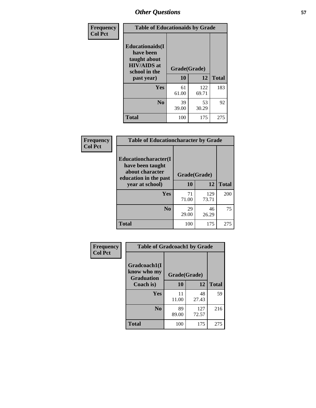| Frequency<br><b>Col Pct</b> | <b>Table of Educationaids by Grade</b>                                                                    |                    |              |              |
|-----------------------------|-----------------------------------------------------------------------------------------------------------|--------------------|--------------|--------------|
|                             | <b>Educationaids</b> (I<br>have been<br>taught about<br><b>HIV/AIDS</b> at<br>school in the<br>past year) | Grade(Grade)<br>10 | 12           | <b>Total</b> |
|                             | <b>Yes</b>                                                                                                | 61<br>61.00        | 122<br>69.71 | 183          |
|                             | N <sub>0</sub>                                                                                            | 39<br>39.00        | 53<br>30.29  | 92           |
|                             | <b>Total</b>                                                                                              | 100                | 175          | 275          |

| Frequency      | <b>Table of Educationcharacter by Grade</b> |              |              |              |
|----------------|---------------------------------------------|--------------|--------------|--------------|
| <b>Col Pct</b> | Educationcharacter(I<br>have been taught    |              |              |              |
|                | about character<br>education in the past    | Grade(Grade) |              |              |
|                | year at school)                             | 10           | 12           | <b>Total</b> |
|                | Yes                                         | 71<br>71.00  | 129<br>73.71 | 200          |
|                | N <sub>0</sub>                              | 29<br>29.00  | 46<br>26.29  | 75           |
|                | <b>Total</b>                                | 100          | 175          | 275          |

| Frequency      | <b>Table of Gradcoach1 by Grade</b>              |              |              |              |
|----------------|--------------------------------------------------|--------------|--------------|--------------|
| <b>Col Pct</b> | Gradcoach1(I<br>know who my<br><b>Graduation</b> | Grade(Grade) |              |              |
|                | Coach is)                                        | 10           | 12           | <b>Total</b> |
|                | Yes                                              | 11<br>11.00  | 48<br>27.43  | 59           |
|                | N <sub>0</sub>                                   | 89<br>89.00  | 127<br>72.57 | 216          |
|                | <b>Total</b>                                     | 100          | 175          | 275          |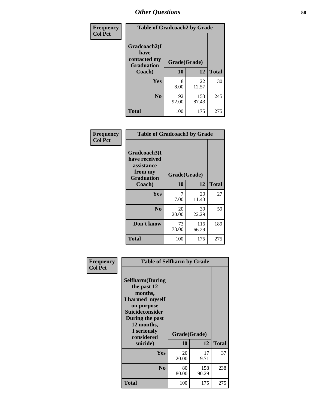| Frequency      | <b>Table of Gradcoach2 by Grade</b> |              |              |              |
|----------------|-------------------------------------|--------------|--------------|--------------|
| <b>Col Pct</b> |                                     |              |              |              |
|                | Gradcoach2(I<br>have                |              |              |              |
|                | contacted my<br><b>Graduation</b>   | Grade(Grade) |              |              |
|                | Coach)                              | 10           | 12           | <b>Total</b> |
|                | <b>Yes</b>                          | 8<br>8.00    | 22<br>12.57  | 30           |
|                | N <sub>0</sub>                      | 92<br>92.00  | 153<br>87.43 | 245          |
|                | <b>Total</b>                        | 100          | 175          | 275          |

| Frequency<br><b>Col Pct</b> | <b>Table of Gradcoach3 by Grade</b>                    |              |       |              |
|-----------------------------|--------------------------------------------------------|--------------|-------|--------------|
|                             | Gradcoach3(I<br>have received<br>assistance<br>from my |              |       |              |
|                             | <b>Graduation</b>                                      | Grade(Grade) |       |              |
|                             | Coach)                                                 | 10           | 12    | <b>Total</b> |
|                             | Yes                                                    | 7            | 20    | 27           |
|                             |                                                        | 7.00         | 11.43 |              |
|                             | N <sub>0</sub>                                         | 20           | 39    | 59           |
|                             |                                                        | 20.00        | 22.29 |              |
|                             | Don't know                                             | 73           | 116   | 189          |
|                             |                                                        | 73.00        | 66.29 |              |
|                             | <b>Total</b>                                           | 100          | 175   | 275          |

| Frequency<br><b>Col Pct</b> | <b>Table of Selfharm by Grade</b>                                                                                                                                          |             |              |              |
|-----------------------------|----------------------------------------------------------------------------------------------------------------------------------------------------------------------------|-------------|--------------|--------------|
|                             | <b>Selfharm</b> (During<br>the past 12<br>months,<br>I harmed myself<br>on purpose<br><b>Suicideconsider</b><br>During the past<br>12 months,<br>I seriously<br>considered |             | Grade(Grade) |              |
|                             | suicide)                                                                                                                                                                   | 10          | 12           | <b>Total</b> |
|                             | Yes                                                                                                                                                                        | 20<br>20.00 | 17<br>9.71   | 37           |
|                             | N <sub>0</sub>                                                                                                                                                             | 80<br>80.00 | 158<br>90.29 | 238          |
|                             | <b>Total</b>                                                                                                                                                               | 100         | 175          | 275          |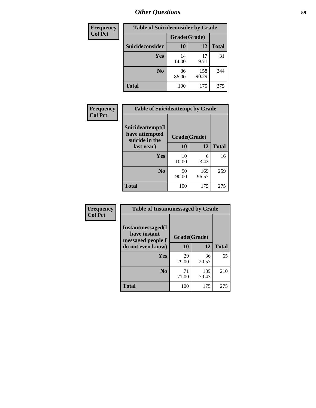| <b>Frequency</b> | <b>Table of Suicideconsider by Grade</b> |              |              |              |  |  |
|------------------|------------------------------------------|--------------|--------------|--------------|--|--|
| <b>Col Pct</b>   |                                          | Grade(Grade) |              |              |  |  |
|                  | Suicideconsider                          | <b>10</b>    | 12           | <b>Total</b> |  |  |
|                  | Yes                                      | 14<br>14.00  | 17<br>9.71   | 31           |  |  |
|                  | N <sub>0</sub>                           | 86<br>86.00  | 158<br>90.29 | 244          |  |  |
|                  | <b>Total</b>                             | 100          | 175          | 275          |  |  |

| Frequency      | <b>Table of Suicideattempt by Grade</b>              |              |              |              |
|----------------|------------------------------------------------------|--------------|--------------|--------------|
| <b>Col Pct</b> | Suicideattempt(I<br>have attempted<br>suicide in the | Grade(Grade) |              |              |
|                | last year)                                           | 10           | 12           | <b>Total</b> |
|                | Yes                                                  | 10<br>10.00  | 6<br>3.43    | 16           |
|                | N <sub>0</sub>                                       | 90<br>90.00  | 169<br>96.57 | 259          |
|                | <b>Total</b>                                         | 100          | 175          | 275          |

| Frequency      | <b>Table of Instantmessaged by Grade</b>                |              |              |              |
|----------------|---------------------------------------------------------|--------------|--------------|--------------|
| <b>Col Pct</b> | Instantmessaged(I)<br>have instant<br>messaged people I | Grade(Grade) |              |              |
|                | do not even know)                                       | 10           | 12           | <b>Total</b> |
|                | Yes                                                     | 29<br>29.00  | 36<br>20.57  | 65           |
|                | N <sub>0</sub>                                          | 71<br>71.00  | 139<br>79.43 | 210          |
|                | <b>Total</b>                                            | 100          | 175          | 275          |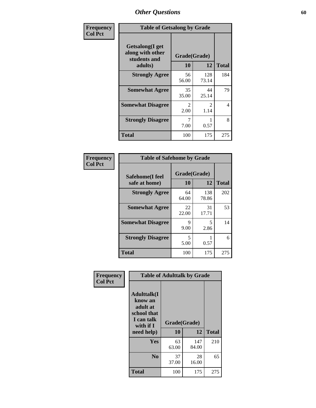| Frequency      | <b>Table of Getsalong by Grade</b>                          |                        |              |              |
|----------------|-------------------------------------------------------------|------------------------|--------------|--------------|
| <b>Col Pct</b> | <b>Getsalong</b> (I get<br>along with other<br>students and | Grade(Grade)           |              |              |
|                | adults)                                                     | 10                     | 12           | <b>Total</b> |
|                | <b>Strongly Agree</b>                                       | 56<br>56.00            | 128<br>73.14 | 184          |
|                | <b>Somewhat Agree</b>                                       | 35<br>35.00            | 44<br>25.14  | 79           |
|                | <b>Somewhat Disagree</b>                                    | $\mathfrak{D}$<br>2.00 | 2<br>1.14    | 4            |
|                | <b>Strongly Disagree</b>                                    | 7<br>7.00              | 0.57         | 8            |
|                | <b>Total</b>                                                | 100                    | 175          | 275          |

| Frequency      | <b>Table of Safehome by Grade</b> |             |                    |              |  |
|----------------|-----------------------------------|-------------|--------------------|--------------|--|
| <b>Col Pct</b> | Safehome(I feel<br>safe at home)  | 10          | Grade(Grade)<br>12 | <b>Total</b> |  |
|                | <b>Strongly Agree</b>             | 64<br>64.00 | 138<br>78.86       | 202          |  |
|                | <b>Somewhat Agree</b>             | 22<br>22.00 | 31<br>17.71        | 53           |  |
|                | <b>Somewhat Disagree</b>          | 9<br>9.00   | 5<br>2.86          | 14           |  |
|                | <b>Strongly Disagree</b>          | 5<br>5.00   | 0.57               | 6            |  |
|                | <b>Total</b>                      | 100         | 175                | 275          |  |

I

| Frequency      |                                                                                      | <b>Table of Adulttalk by Grade</b> |              |              |
|----------------|--------------------------------------------------------------------------------------|------------------------------------|--------------|--------------|
| <b>Col Pct</b> | <b>Adulttalk</b> (I<br>know an<br>adult at<br>school that<br>I can talk<br>with if I | Grade(Grade)                       |              |              |
|                | need help)                                                                           | 10                                 | 12           | <b>Total</b> |
|                | <b>Yes</b>                                                                           | 63<br>63.00                        | 147<br>84.00 | 210          |
|                | N <sub>0</sub>                                                                       | 37<br>37.00                        | 28<br>16.00  | 65           |
|                | <b>Total</b>                                                                         | 100                                | 175          | 275          |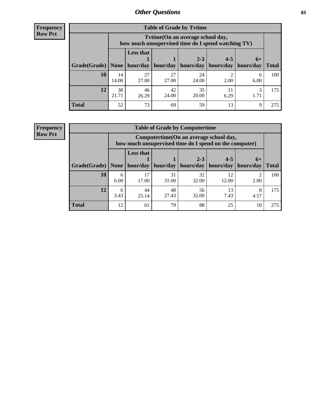**Frequency Row Pct**

| <b>Table of Grade by Tvtime</b> |             |                                                                                         |             |             |           |           |              |  |  |
|---------------------------------|-------------|-----------------------------------------------------------------------------------------|-------------|-------------|-----------|-----------|--------------|--|--|
|                                 |             | Tvtime (On an average school day,<br>how much unsupervised time do I spend watching TV) |             |             |           |           |              |  |  |
|                                 |             | <b>Less that</b>                                                                        |             | $2 - 3$     | $4 - 5$   | $6+$      |              |  |  |
| Grade(Grade)   None             |             | hour/day                                                                                | hour/day    | hours/day   | hours/day | hours/day | <b>Total</b> |  |  |
| 10                              | 14<br>14.00 | 27<br>27.00                                                                             | 27<br>27.00 | 24<br>24.00 | 2.00      | 6<br>6.00 | 100          |  |  |
| 12                              | 38<br>21.71 | 46<br>26.29                                                                             | 42<br>24.00 | 35<br>20.00 | 6.29      | 1.71      | 175          |  |  |
| <b>Total</b>                    | 52          | 73                                                                                      | 69          | 59          | 13        | 9         | 275          |  |  |

**Frequency Row Pct**

| <b>Table of Grade by Computertime</b> |           |                                                                                                   |                     |             |             |           |              |  |  |
|---------------------------------------|-----------|---------------------------------------------------------------------------------------------------|---------------------|-------------|-------------|-----------|--------------|--|--|
|                                       |           | Computertime (On an average school day,<br>how much unsupervised time do I spend on the computer) |                     |             |             |           |              |  |  |
|                                       |           | <b>Less that</b>                                                                                  |                     | $2 - 3$     | $4 - 5$     | $6+$      |              |  |  |
| Grade(Grade)                          | None      |                                                                                                   | hour/day   hour/day | hours/day   | hours/day   | hours/day | <b>Total</b> |  |  |
| 10                                    | 6<br>6.00 | 17<br>17.00                                                                                       | 31<br>31.00         | 32<br>32.00 | 12<br>12.00 | 2.00      | 100          |  |  |
| 12                                    | 6<br>3.43 | 44<br>25.14                                                                                       | 48<br>27.43         | 56<br>32.00 | 13<br>7.43  | 8<br>4.57 | 175          |  |  |
| <b>Total</b>                          | 12        | 61                                                                                                | 79                  | 88          | 25          | 10        | 275          |  |  |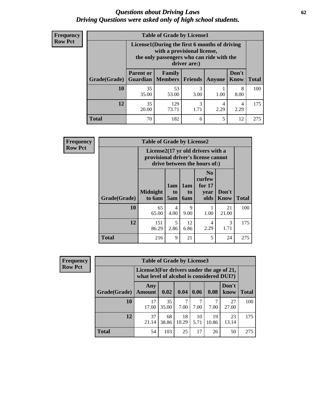#### *Questions about Driving Laws* **62** *Driving Questions were asked only of high school students.*

| <b>Frequency</b> |
|------------------|
| <b>Row Pct</b>   |

| <b>Table of Grade by License1</b> |                                                                    |                                                                                                                                           |                |        |               |              |  |  |  |
|-----------------------------------|--------------------------------------------------------------------|-------------------------------------------------------------------------------------------------------------------------------------------|----------------|--------|---------------|--------------|--|--|--|
|                                   |                                                                    | License1(During the first 6 months of driving<br>with a provisional license,<br>the only passengers who can ride with the<br>driver are:) |                |        |               |              |  |  |  |
| Grade(Grade)                      | <b>Parent or</b><br>Guardian                                       | Family<br><b>Members</b>                                                                                                                  | <b>Friends</b> | Anyone | Don't<br>Know | <b>Total</b> |  |  |  |
| 10                                | 35<br>35.00                                                        | 53<br>53.00                                                                                                                               | 3<br>3.00      | 1.00   | 8<br>8.00     | 100          |  |  |  |
| 12                                | 3<br>35<br>129<br>4<br>4<br>73.71<br>2.29<br>20.00<br>2.29<br>1.71 |                                                                                                                                           |                |        |               |              |  |  |  |
| Total                             | 70                                                                 | 182                                                                                                                                       | 6              | 5      | 12            | 275          |  |  |  |

| <b>Frequency</b> | <b>Table of Grade by License2</b> |                           |                  |                              |                                                                                                                      |                      |              |  |
|------------------|-----------------------------------|---------------------------|------------------|------------------------------|----------------------------------------------------------------------------------------------------------------------|----------------------|--------------|--|
| <b>Row Pct</b>   |                                   |                           |                  |                              | License $2(17 \text{ yr})$ old drivers with a<br>provisional driver's license cannot<br>drive between the hours of:) |                      |              |  |
|                  | Grade(Grade)                      | <b>Midnight</b><br>to 6am | 1am<br>to<br>5am | 1am<br>t <sub>0</sub><br>6am | N <sub>0</sub><br>curfew<br>for $17$<br>year<br>olds                                                                 | Don't<br><b>Know</b> | <b>Total</b> |  |
|                  | 10                                | 65<br>65.00               | 4<br>4.00        | 9<br>9.00                    | 1.00                                                                                                                 | 21<br>21.00          | 100          |  |
|                  | 12                                | 151<br>86.29              | 5<br>2.86        | 12<br>6.86                   | 4<br>2.29                                                                                                            | 3<br>1.71            | 175          |  |
|                  | <b>Total</b>                      | 216                       | 9                | 21                           | 5                                                                                                                    | 24                   | 275          |  |

| <b>Frequency</b> |              | <b>Table of Grade by License3</b> |                                                                                        |             |            |             |               |              |
|------------------|--------------|-----------------------------------|----------------------------------------------------------------------------------------|-------------|------------|-------------|---------------|--------------|
| <b>Row Pct</b>   |              |                                   | License3(For drivers under the age of 21,<br>what level of alcohol is considered DUI?) |             |            |             |               |              |
|                  | Grade(Grade) | Any<br>Amount                     | 0.02                                                                                   | 0.04        | 0.06       | 0.08        | Don't<br>know | <b>Total</b> |
|                  | 10           | 17<br>17.00                       | 35<br>35.00                                                                            | 7<br>7.00   | 7.00       | 7.00        | 27<br>27.00   | 100          |
|                  | 12           | 37<br>21.14                       | 68<br>38.86                                                                            | 18<br>10.29 | 10<br>5.71 | 19<br>10.86 | 23<br>13.14   | 175          |
|                  | <b>Total</b> | 54                                | 103                                                                                    | 25          | 17         | 26          | 50            | 275          |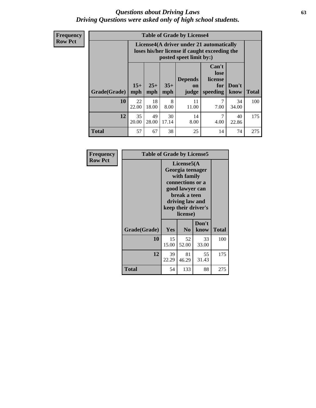#### *Questions about Driving Laws* **63** *Driving Questions were asked only of high school students.*

**Frequency Row Pct**

|              |              |                                                                                                                                               |             | <b>Table of Grade by License4</b> |           |             |     |  |
|--------------|--------------|-----------------------------------------------------------------------------------------------------------------------------------------------|-------------|-----------------------------------|-----------|-------------|-----|--|
|              |              | License4(A driver under 21 automatically<br>loses his/her license if caught exceeding the<br>posted speet limit by:)                          |             |                                   |           |             |     |  |
| Grade(Grade) | $15+$<br>mph | Can't<br>lose<br><b>Depends</b><br>license<br>$25+$<br>$35+$<br>Don't<br>for<br>on<br><b>Total</b><br>mph<br>mph<br>speeding<br>know<br>judge |             |                                   |           |             |     |  |
| 10           | 22<br>22.00  | 18<br>18.00                                                                                                                                   | 8<br>8.00   | 11<br>11.00                       | 7<br>7.00 | 34<br>34.00 | 100 |  |
| 12           | 35<br>20.00  | 49<br>28.00                                                                                                                                   | 30<br>17.14 | 14<br>8.00                        | 7<br>4.00 | 40<br>22.86 | 175 |  |
| <b>Total</b> | 57           | 67                                                                                                                                            | 38          | 25                                | 14        | 74          | 275 |  |

| Frequency      | <b>Table of Grade by License5</b> |             |                                                                                                                                      |                     |              |
|----------------|-----------------------------------|-------------|--------------------------------------------------------------------------------------------------------------------------------------|---------------------|--------------|
| <b>Row Pct</b> |                                   |             | License5(A)<br>Georgia teenager<br>with family<br>connections or a<br>good lawyer can<br>break a teen<br>driving law and<br>license) | keep their driver's |              |
|                | Grade(Grade)                      | <b>Yes</b>  | N <sub>0</sub>                                                                                                                       | Don't<br>know       | <b>Total</b> |
|                | 10                                | 15<br>15.00 | 52<br>52.00                                                                                                                          | 33<br>33.00         | 100          |
|                | 12                                | 39<br>22.29 | 81<br>46.29                                                                                                                          | 55<br>31.43         | 175          |
|                | <b>Total</b>                      | 54          | 133                                                                                                                                  | 88                  | 275          |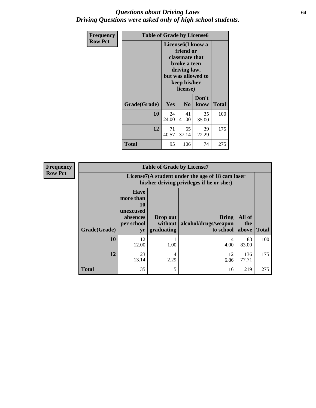#### *Questions about Driving Laws* **64** *Driving Questions were asked only of high school students.*

| <b>Frequency</b> | <b>Table of Grade by License6</b> |             |                                                                                                                           |                    |              |  |
|------------------|-----------------------------------|-------------|---------------------------------------------------------------------------------------------------------------------------|--------------------|--------------|--|
| <b>Row Pct</b>   |                                   |             | License <sub>6</sub> (I know a<br>friend or<br>classmate that<br>broke a teen<br>driving law,<br>keep his/her<br>license) | but was allowed to |              |  |
|                  | Grade(Grade)                      | Yes         | N <sub>0</sub>                                                                                                            | Don't<br>know      | <b>Total</b> |  |
|                  | 10                                | 24<br>24.00 | 41<br>41.00                                                                                                               | 35<br>35.00        | 100          |  |
|                  | 12                                | 71<br>40.57 | 65<br>37.14                                                                                                               | 39<br>22.29        | 175          |  |
|                  | Total                             | 95          | 106                                                                                                                       | 74                 | 275          |  |

| <b>Frequency</b> |              |                                                                             | <b>Table of Grade by License7</b>                                                             |                                                   |                        |              |  |  |  |
|------------------|--------------|-----------------------------------------------------------------------------|-----------------------------------------------------------------------------------------------|---------------------------------------------------|------------------------|--------------|--|--|--|
| <b>Row Pct</b>   |              |                                                                             | License7(A student under the age of 18 cam loser<br>his/her driving privileges if he or she:) |                                                   |                        |              |  |  |  |
|                  | Grade(Grade) | <b>Have</b><br>more than<br>10<br>unexcused<br>absences<br>per school<br>yr | Drop out<br>without  <br>graduating                                                           | <b>Bring</b><br>alcohol/drugs/weapon<br>to school | All of<br>the<br>above | <b>Total</b> |  |  |  |
|                  | 10           | 12<br>12.00                                                                 | 1.00                                                                                          | 4<br>4.00                                         | 83<br>83.00            | 100          |  |  |  |
|                  | 12           | 23<br>13.14                                                                 | 4<br>2.29                                                                                     | 12<br>6.86                                        | 136<br>77.71           | 175          |  |  |  |
|                  | <b>Total</b> | 35                                                                          | 5                                                                                             | 16                                                | 219                    | 275          |  |  |  |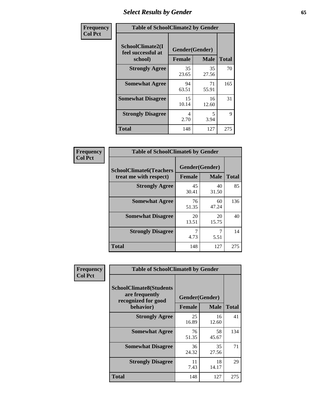# *Select Results by Gender* **65**

| Frequency      | <b>Table of SchoolClimate2 by Gender</b>          |                                 |             |              |  |
|----------------|---------------------------------------------------|---------------------------------|-------------|--------------|--|
| <b>Col Pct</b> | SchoolClimate2(I<br>feel successful at<br>school) | Gender(Gender)<br><b>Female</b> | <b>Male</b> | <b>Total</b> |  |
|                | <b>Strongly Agree</b>                             | 35<br>23.65                     | 35<br>27.56 | 70           |  |
|                | <b>Somewhat Agree</b>                             | 94<br>63.51                     | 71<br>55.91 | 165          |  |
|                | <b>Somewhat Disagree</b>                          | 15<br>10.14                     | 16<br>12.60 | 31           |  |
|                | <b>Strongly Disagree</b>                          | 4<br>2.70                       | 5<br>3.94   | 9            |  |
|                | <b>Total</b>                                      | 148                             | 127         | 275          |  |

| Frequency      | <b>Table of SchoolClimate6 by Gender</b>                 |                          |             |              |  |
|----------------|----------------------------------------------------------|--------------------------|-------------|--------------|--|
| <b>Col Pct</b> | <b>SchoolClimate6(Teachers</b><br>treat me with respect) | Gender(Gender)<br>Female | <b>Male</b> | <b>Total</b> |  |
|                | <b>Strongly Agree</b>                                    | 45<br>30.41              | 40<br>31.50 | 85           |  |
|                | <b>Somewhat Agree</b>                                    | 76<br>51.35              | 60<br>47.24 | 136          |  |
|                | <b>Somewhat Disagree</b>                                 | 20<br>13.51              | 20<br>15.75 | 40           |  |
|                | <b>Strongly Disagree</b>                                 | 7<br>4.73                | 5.51        | 14           |  |
|                | <b>Total</b>                                             | 148                      | 127         | 275          |  |

| <b>Frequency</b> | <b>Table of SchoolClimate8 by Gender</b>                                             |                                 |              |     |
|------------------|--------------------------------------------------------------------------------------|---------------------------------|--------------|-----|
| <b>Col Pct</b>   | <b>SchoolClimate8(Students</b><br>are frequently<br>recognized for good<br>behavior) | Gender(Gender)<br><b>Female</b> | <b>Total</b> |     |
|                  |                                                                                      |                                 | <b>Male</b>  |     |
|                  | <b>Strongly Agree</b>                                                                | 25<br>16.89                     | 16<br>12.60  | 41  |
|                  | <b>Somewhat Agree</b>                                                                | 76<br>51.35                     | 58<br>45.67  | 134 |
|                  | <b>Somewhat Disagree</b>                                                             | 36<br>24.32                     | 35<br>27.56  | 71  |
|                  | <b>Strongly Disagree</b>                                                             | 11<br>7.43                      | 18<br>14.17  | 29  |
|                  | <b>Total</b>                                                                         | 148                             | 127          | 275 |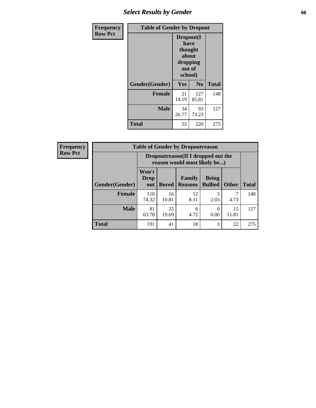## *Select Results by Gender* **66**

| Frequency      | <b>Table of Gender by Dropout</b> |                                                                        |                |              |
|----------------|-----------------------------------|------------------------------------------------------------------------|----------------|--------------|
| <b>Row Pct</b> |                                   | Dropout(I<br>have<br>thought<br>about<br>dropping<br>out of<br>school) |                |              |
|                | Gender(Gender)                    | <b>Yes</b>                                                             | N <sub>0</sub> | <b>Total</b> |
|                | <b>Female</b>                     | 21<br>14.19                                                            | 127<br>85.81   | 148          |
|                | <b>Male</b>                       | 34<br>26.77                                                            | 93<br>73.23    | 127          |
|                | <b>Total</b>                      | 55                                                                     | 220            | 275          |

| Frequency      | <b>Table of Gender by Dropoutreason</b> |                             |                                                                    |                          |                                |              |              |  |
|----------------|-----------------------------------------|-----------------------------|--------------------------------------------------------------------|--------------------------|--------------------------------|--------------|--------------|--|
| <b>Row Pct</b> |                                         |                             | Dropoutreason(If I dropped out the<br>reason would most likely be) |                          |                                |              |              |  |
|                | Gender(Gender)                          | Won't<br><b>Drop</b><br>out | <b>Bored</b>                                                       | Family<br><b>Reasons</b> | <b>Being</b><br><b>Bullied</b> | <b>Other</b> | <b>Total</b> |  |
|                | <b>Female</b>                           | 110<br>74.32                | 16<br>10.81                                                        | 12<br>8.11               | 3<br>2.03                      | 4.73         | 148          |  |
|                | <b>Male</b>                             | 81<br>63.78                 | 25<br>19.69                                                        | 6<br>4.72                | 0<br>0.00                      | 15<br>11.81  | 127          |  |
|                | <b>Total</b>                            | 191                         | 41                                                                 | 18                       | 3                              | 22           | 275          |  |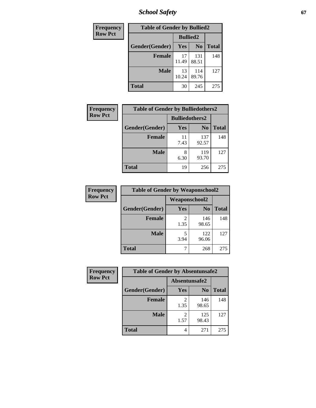*School Safety* **67**

| Frequency      | <b>Table of Gender by Bullied2</b> |                 |                |              |
|----------------|------------------------------------|-----------------|----------------|--------------|
| <b>Row Pct</b> |                                    | <b>Bullied2</b> |                |              |
|                | Gender(Gender)                     | Yes             | N <sub>0</sub> | <b>Total</b> |
|                | <b>Female</b>                      | 17<br>11.49     | 131<br>88.51   | 148          |
|                | <b>Male</b>                        | 13<br>10.24     | 114<br>89.76   | 127          |
|                | <b>Total</b>                       | 30              | 245            | 275          |

| <b>Frequency</b> | <b>Table of Gender by Bulliedothers2</b> |                       |                |       |
|------------------|------------------------------------------|-----------------------|----------------|-------|
| <b>Row Pct</b>   |                                          | <b>Bulliedothers2</b> |                |       |
|                  | Gender(Gender)                           | <b>Yes</b>            | N <sub>0</sub> | Total |
|                  | <b>Female</b>                            | 11<br>7.43            | 137<br>92.57   | 148   |
|                  | <b>Male</b>                              | 8<br>6.30             | 119<br>93.70   | 127   |
|                  | <b>Total</b>                             | 19                    | 256            | 275   |

| Frequency      | <b>Table of Gender by Weaponschool2</b> |                      |                |              |
|----------------|-----------------------------------------|----------------------|----------------|--------------|
| <b>Row Pct</b> |                                         | <b>Weaponschool2</b> |                |              |
|                | Gender(Gender)                          | <b>Yes</b>           | N <sub>0</sub> | <b>Total</b> |
|                | <b>Female</b>                           | 1.35                 | 146<br>98.65   | 148          |
|                | <b>Male</b>                             | 5<br>3.94            | 122<br>96.06   | 127          |
|                | <b>Total</b>                            |                      | 268            | 275          |

| Frequency      | <b>Table of Gender by Absentunsafe2</b> |               |                |              |
|----------------|-----------------------------------------|---------------|----------------|--------------|
| <b>Row Pct</b> |                                         | Absentunsafe2 |                |              |
|                | Gender(Gender)                          | Yes           | N <sub>0</sub> | <b>Total</b> |
|                | <b>Female</b>                           | 1.35          | 146<br>98.65   | 148          |
|                | <b>Male</b>                             | 1.57          | 125<br>98.43   | 127          |
|                | <b>Total</b>                            | 4             | 271            | 275          |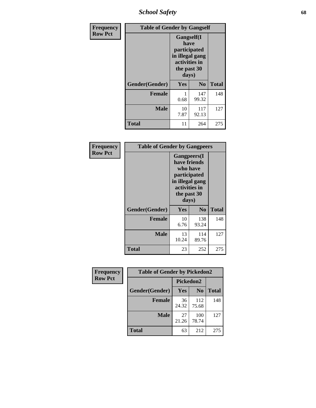*School Safety* **68**

| Frequency      | <b>Table of Gender by Gangself</b> |                                                                                                        |                |              |
|----------------|------------------------------------|--------------------------------------------------------------------------------------------------------|----------------|--------------|
| <b>Row Pct</b> |                                    | <b>Gangself</b> (I<br>have<br>participated<br>in illegal gang<br>activities in<br>the past 30<br>days) |                |              |
|                | Gender(Gender)                     | Yes                                                                                                    | N <sub>0</sub> | <b>Total</b> |
|                | <b>Female</b>                      | 0.68                                                                                                   | 147<br>99.32   | 148          |
|                | <b>Male</b>                        | 10<br>7.87                                                                                             | 117<br>92.13   | 127          |
|                | <b>Total</b>                       | 11                                                                                                     | 264            | 275          |

| Frequency      | <b>Table of Gender by Gangpeers</b> |                                                                                                                             |                |              |
|----------------|-------------------------------------|-----------------------------------------------------------------------------------------------------------------------------|----------------|--------------|
| <b>Row Pct</b> |                                     | <b>Gangpeers</b> (I<br>have friends<br>who have<br>participated<br>in illegal gang<br>activities in<br>the past 30<br>days) |                |              |
|                | Gender(Gender)                      | Yes                                                                                                                         | N <sub>0</sub> | <b>Total</b> |
|                | <b>Female</b>                       | 10<br>6.76                                                                                                                  | 138<br>93.24   | 148          |
|                | <b>Male</b>                         | 13<br>10.24                                                                                                                 | 114<br>89.76   | 127          |
|                | <b>Total</b>                        | 23                                                                                                                          | 252            | 275          |

| <b>Frequency</b> | <b>Table of Gender by Pickedon2</b> |             |                |              |
|------------------|-------------------------------------|-------------|----------------|--------------|
| <b>Row Pct</b>   |                                     | Pickedon2   |                |              |
|                  | Gender(Gender)                      | Yes         | N <sub>0</sub> | <b>Total</b> |
|                  | <b>Female</b>                       | 36<br>24.32 | 112<br>75.68   | 148          |
|                  | <b>Male</b>                         | 27<br>21.26 | 100<br>78.74   | 127          |
|                  | <b>Total</b>                        | 63          | 212            | 275          |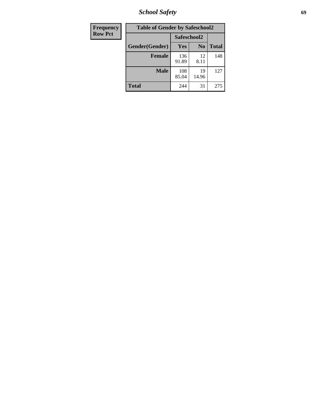*School Safety* **69**

| Frequency      | <b>Table of Gender by Safeschool2</b> |              |                |              |  |
|----------------|---------------------------------------|--------------|----------------|--------------|--|
| <b>Row Pct</b> |                                       | Safeschool2  |                |              |  |
|                | Gender(Gender)                        | Yes          | N <sub>0</sub> | <b>Total</b> |  |
|                | <b>Female</b>                         | 136<br>91.89 | 12<br>8.11     | 148          |  |
|                | <b>Male</b>                           | 108<br>85.04 | 19<br>14.96    | 127          |  |
|                | <b>Total</b>                          | 244          | 31             | 275          |  |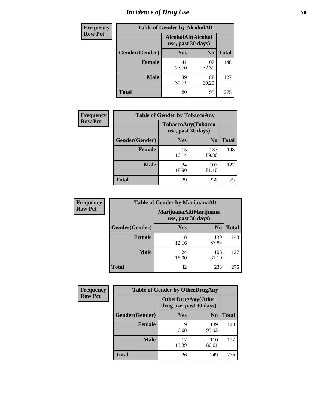# *Incidence of Drug Use* **70**

| <b>Frequency</b> |                | <b>Table of Gender by AlcoholAlt</b>     |                |              |
|------------------|----------------|------------------------------------------|----------------|--------------|
| <b>Row Pct</b>   |                | AlcoholAlt(Alcohol<br>use, past 30 days) |                |              |
|                  | Gender(Gender) | <b>Yes</b>                               | N <sub>0</sub> | <b>Total</b> |
|                  | <b>Female</b>  | 41<br>27.70                              | 107<br>72.30   | 148          |
|                  | <b>Male</b>    | 39<br>30.71                              | 88<br>69.29    | 127          |
|                  | <b>Total</b>   | 80                                       | 195            | 275          |

| <b>Frequency</b> | <b>Table of Gender by TobaccoAny</b> |                    |                    |              |  |
|------------------|--------------------------------------|--------------------|--------------------|--------------|--|
| <b>Row Pct</b>   |                                      | use, past 30 days) | TobaccoAny(Tobacco |              |  |
|                  | Gender(Gender)                       | Yes                | N <sub>0</sub>     | <b>Total</b> |  |
|                  | <b>Female</b>                        | 15<br>10.14        | 133<br>89.86       | 148          |  |
|                  | <b>Male</b>                          | 24<br>18.90        | 103<br>81.10       | 127          |  |
|                  | <b>Total</b>                         | 39                 | 236                | 275          |  |

| <b>Frequency</b> | <b>Table of Gender by MarijuanaAlt</b> |             |                                              |              |
|------------------|----------------------------------------|-------------|----------------------------------------------|--------------|
| <b>Row Pct</b>   |                                        |             | MarijuanaAlt(Marijuana<br>use, past 30 days) |              |
|                  | Gender(Gender)                         | <b>Yes</b>  | N <sub>0</sub>                               | <b>Total</b> |
|                  | <b>Female</b>                          | 18<br>12.16 | 130<br>87.84                                 | 148          |
|                  | <b>Male</b>                            | 24<br>18.90 | 103<br>81.10                                 | 127          |
|                  | <b>Total</b>                           | 42          | 233                                          | 275          |

| <b>Frequency</b> | <b>Table of Gender by OtherDrugAny</b> |                                                      |                |              |  |
|------------------|----------------------------------------|------------------------------------------------------|----------------|--------------|--|
| <b>Row Pct</b>   |                                        | <b>OtherDrugAny(Other</b><br>drug use, past 30 days) |                |              |  |
|                  | Gender(Gender)                         | <b>Yes</b>                                           | N <sub>0</sub> | <b>Total</b> |  |
|                  | <b>Female</b>                          | 9<br>6.08                                            | 139<br>93.92   | 148          |  |
|                  | <b>Male</b>                            | 17<br>13.39                                          | 110<br>86.61   | 127          |  |
|                  | <b>Total</b>                           | 26                                                   | 249            | 275          |  |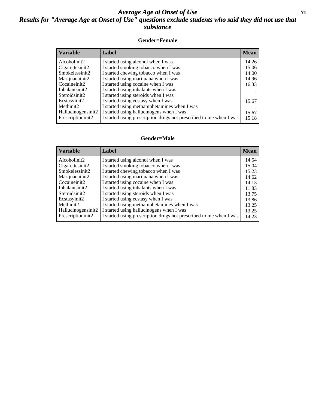#### *Average Age at Onset of Use* **71** *Results for "Average Age at Onset of Use" questions exclude students who said they did not use that substance*

#### **Gender=Female**

| <b>Variable</b>    | <b>Label</b>                                                       | <b>Mean</b> |
|--------------------|--------------------------------------------------------------------|-------------|
| Alcoholinit2       | I started using alcohol when I was                                 | 14.26       |
| Cigarettesinit2    | I started smoking tobacco when I was                               | 15.06       |
| Smokelessinit2     | I started chewing tobacco when I was                               | 14.00       |
| Marijuanainit2     | I started using marijuana when I was                               | 14.96       |
| Cocaineinit2       | I started using cocaine when I was                                 | 16.33       |
| Inhalantsinit2     | I started using inhalants when I was                               |             |
| Steroidsinit2      | I started using steroids when I was                                |             |
| Ecstasyinit2       | I started using ecstasy when I was                                 | 15.67       |
| Methinit2          | I started using methamphetamines when I was                        |             |
| Hallucinogensinit2 | I started using hallucinogens when I was                           | 15.67       |
| Prescription in t2 | I started using prescription drugs not prescribed to me when I was | 15.18       |

#### **Gender=Male**

| <i><b>Variable</b></i> | Label                                                              | <b>Mean</b> |
|------------------------|--------------------------------------------------------------------|-------------|
| Alcoholinit2           | I started using alcohol when I was                                 | 14.54       |
| Cigarettesinit2        | I started smoking tobacco when I was                               | 15.04       |
| Smokelessinit2         | I started chewing tobacco when I was                               | 15.23       |
| Marijuanainit2         | I started using marijuana when I was                               | 14.62       |
| Cocaineinit2           | I started using cocaine when I was                                 | 14.13       |
| Inhalantsinit2         | I started using inhalants when I was                               | 11.83       |
| Steroidsinit2          | I started using steroids when I was                                | 13.75       |
| Ecstasyinit2           | I started using ecstasy when I was                                 | 13.86       |
| Methinit2              | I started using methamphetamines when I was                        | 13.25       |
| Hallucinogensinit2     | I started using hallucinogens when I was                           | 13.25       |
| Prescriptioninit2      | I started using prescription drugs not prescribed to me when I was | 14.23       |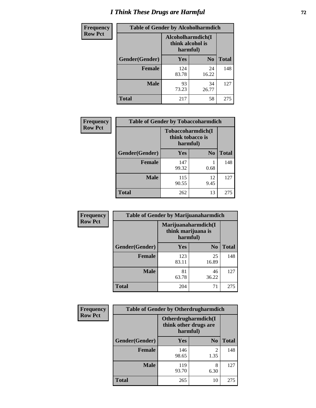# *I Think These Drugs are Harmful* **72**

| <b>Frequency</b> | <b>Table of Gender by Alcoholharmdich</b> |                                                   |                |              |  |
|------------------|-------------------------------------------|---------------------------------------------------|----------------|--------------|--|
| <b>Row Pct</b>   |                                           | Alcoholharmdich(I<br>think alcohol is<br>harmful) |                |              |  |
|                  | Gender(Gender)                            | <b>Yes</b>                                        | N <sub>0</sub> | <b>Total</b> |  |
|                  | <b>Female</b>                             | 124<br>83.78                                      | 24<br>16.22    | 148          |  |
|                  | <b>Male</b>                               | 93<br>73.23                                       | 34<br>26.77    | 127          |  |
|                  | <b>Total</b>                              | 217                                               | 58             | 275          |  |

| Frequency      | <b>Table of Gender by Tobaccoharmdich</b> |                              |                   |              |  |
|----------------|-------------------------------------------|------------------------------|-------------------|--------------|--|
| <b>Row Pct</b> |                                           | think tobacco is<br>harmful) | Tobaccoharmdich(I |              |  |
|                | Gender(Gender)                            | Yes                          | N <sub>0</sub>    | <b>Total</b> |  |
|                | <b>Female</b>                             | 147<br>99.32                 | 0.68              | 148          |  |
|                | <b>Male</b>                               | 115<br>90.55                 | 12<br>9.45        | 127          |  |
|                | <b>Total</b>                              | 262                          | 13                | 275          |  |

| Frequency      | <b>Table of Gender by Marijuanaharmdich</b> |                                                       |                |              |  |
|----------------|---------------------------------------------|-------------------------------------------------------|----------------|--------------|--|
| <b>Row Pct</b> |                                             | Marijuanaharmdich(I<br>think marijuana is<br>harmful) |                |              |  |
|                | Gender(Gender)                              | <b>Yes</b>                                            | N <sub>0</sub> | <b>Total</b> |  |
|                | <b>Female</b>                               | 123<br>83.11                                          | 25<br>16.89    | 148          |  |
|                | <b>Male</b>                                 | 81<br>63.78                                           | 46<br>36.22    | 127          |  |
|                | <b>Total</b>                                | 204                                                   | 71             | 275          |  |

| Frequency      | <b>Table of Gender by Otherdrugharmdich</b> |                                                          |                        |              |  |
|----------------|---------------------------------------------|----------------------------------------------------------|------------------------|--------------|--|
| <b>Row Pct</b> |                                             | Otherdrugharmdich(I<br>think other drugs are<br>harmful) |                        |              |  |
|                | Gender(Gender)                              | <b>Yes</b>                                               | $\mathbf{N_0}$         | <b>Total</b> |  |
|                | <b>Female</b>                               | 146<br>98.65                                             | $\mathfrak{D}$<br>1.35 | 148          |  |
|                | <b>Male</b>                                 | 119<br>93.70                                             | 8<br>6.30              | 127          |  |
|                | <b>Total</b>                                | 265                                                      | 10                     | 275          |  |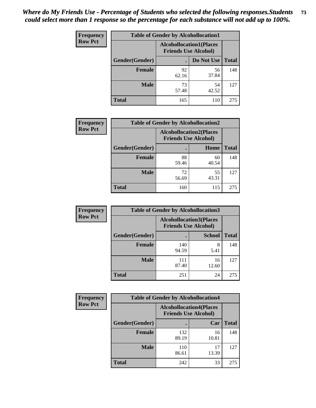| <b>Frequency</b> | <b>Table of Gender by Alcohollocation1</b> |                                                               |             |              |
|------------------|--------------------------------------------|---------------------------------------------------------------|-------------|--------------|
| <b>Row Pct</b>   |                                            | <b>Alcohollocation1(Places</b><br><b>Friends Use Alcohol)</b> |             |              |
|                  | Gender(Gender)                             |                                                               | Do Not Use  | <b>Total</b> |
|                  | <b>Female</b>                              | 92<br>62.16                                                   | 56<br>37.84 | 148          |
|                  | <b>Male</b>                                | 73<br>57.48                                                   | 54<br>42.52 | 127          |
|                  | <b>Total</b>                               | 165                                                           | 110         | 275          |

| <b>Frequency</b> | <b>Table of Gender by Alcohollocation2</b> |                                                               |             |              |
|------------------|--------------------------------------------|---------------------------------------------------------------|-------------|--------------|
| <b>Row Pct</b>   |                                            | <b>Alcohollocation2(Places</b><br><b>Friends Use Alcohol)</b> |             |              |
|                  | Gender(Gender)                             |                                                               | Home        | <b>Total</b> |
|                  | <b>Female</b>                              | 88<br>59.46                                                   | 60<br>40.54 | 148          |
|                  | <b>Male</b>                                | 72<br>56.69                                                   | 55<br>43.31 | 127          |
|                  | <b>Total</b>                               | 160                                                           | 115         | 275          |

| Frequency      | <b>Table of Gender by Alcohollocation3</b> |              |                                                               |              |
|----------------|--------------------------------------------|--------------|---------------------------------------------------------------|--------------|
| <b>Row Pct</b> |                                            |              | <b>Alcohollocation3(Places</b><br><b>Friends Use Alcohol)</b> |              |
|                | Gender(Gender)                             |              | <b>School</b>                                                 | <b>Total</b> |
|                | <b>Female</b>                              | 140<br>94.59 | 8<br>5.41                                                     | 148          |
|                | <b>Male</b>                                | 111<br>87.40 | 16<br>12.60                                                   | 127          |
|                | <b>Total</b>                               | 251          | 24                                                            | 275          |

| Frequency      | <b>Table of Gender by Alcohollocation4</b> |                                                               |             |              |
|----------------|--------------------------------------------|---------------------------------------------------------------|-------------|--------------|
| <b>Row Pct</b> |                                            | <b>Alcohollocation4(Places</b><br><b>Friends Use Alcohol)</b> |             |              |
|                | <b>Gender</b> (Gender)                     |                                                               | Car         | <b>Total</b> |
|                | <b>Female</b>                              | 132<br>89.19                                                  | 16<br>10.81 | 148          |
|                | <b>Male</b>                                | 110<br>86.61                                                  | 17<br>13.39 | 127          |
|                | <b>Total</b>                               | 242                                                           | 33          | 275          |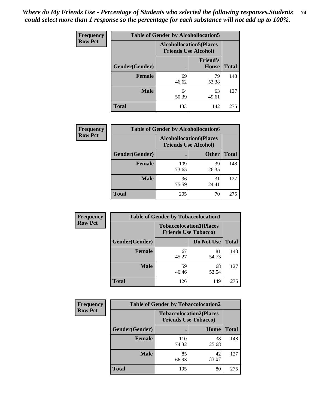| <b>Frequency</b> | <b>Table of Gender by Alcohollocation5</b> |                                                                |                                 |              |
|------------------|--------------------------------------------|----------------------------------------------------------------|---------------------------------|--------------|
| <b>Row Pct</b>   |                                            | <b>Alcohollocation5</b> (Places<br><b>Friends Use Alcohol)</b> |                                 |              |
|                  | Gender(Gender)                             | ٠                                                              | <b>Friend's</b><br><b>House</b> | <b>Total</b> |
|                  | <b>Female</b>                              | 69<br>46.62                                                    | 79<br>53.38                     | 148          |
|                  | <b>Male</b>                                | 64<br>50.39                                                    | 63<br>49.61                     | 127          |
|                  | <b>Total</b>                               | 133                                                            | 142                             | 275          |

| <b>Frequency</b> | <b>Table of Gender by Alcohollocation6</b> |                                                               |              |              |
|------------------|--------------------------------------------|---------------------------------------------------------------|--------------|--------------|
| <b>Row Pct</b>   |                                            | <b>Alcohollocation6(Places</b><br><b>Friends Use Alcohol)</b> |              |              |
|                  | <b>Gender</b> (Gender)                     |                                                               | <b>Other</b> | <b>Total</b> |
|                  | <b>Female</b>                              | 109<br>73.65                                                  | 39<br>26.35  | 148          |
|                  | <b>Male</b>                                | 96<br>75.59                                                   | 31<br>24.41  | 127          |
|                  | <b>Total</b>                               | 205                                                           | 70           | 275          |

| Frequency      | <b>Table of Gender by Tobaccolocation1</b> |                                                               |             |              |  |
|----------------|--------------------------------------------|---------------------------------------------------------------|-------------|--------------|--|
| <b>Row Pct</b> |                                            | <b>Tobaccolocation1(Places</b><br><b>Friends Use Tobacco)</b> |             |              |  |
|                | Gender(Gender)                             |                                                               | Do Not Use  | <b>Total</b> |  |
|                | Female                                     | 67<br>45.27                                                   | 81<br>54.73 | 148          |  |
|                | <b>Male</b>                                | 59<br>46.46                                                   | 68<br>53.54 | 127          |  |
|                | <b>Total</b>                               | 126                                                           | 149         | 275          |  |

| <b>Frequency</b> | <b>Table of Gender by Tobaccolocation2</b> |                                                               |             |              |
|------------------|--------------------------------------------|---------------------------------------------------------------|-------------|--------------|
| <b>Row Pct</b>   |                                            | <b>Tobaccolocation2(Places</b><br><b>Friends Use Tobacco)</b> |             |              |
|                  | Gender(Gender)                             |                                                               | Home        | <b>Total</b> |
|                  | Female                                     | 110<br>74.32                                                  | 38<br>25.68 | 148          |
|                  | <b>Male</b>                                | 85<br>66.93                                                   | 42<br>33.07 | 127          |
|                  | <b>Total</b>                               | 195                                                           | 80          | 275          |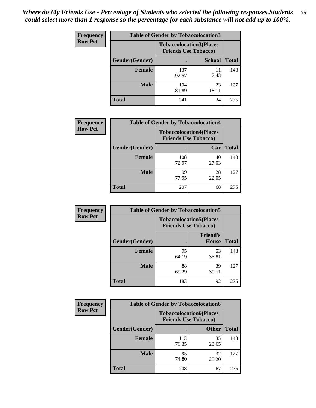| <b>Frequency</b> | <b>Table of Gender by Tobaccolocation3</b> |              |                                                               |              |
|------------------|--------------------------------------------|--------------|---------------------------------------------------------------|--------------|
| <b>Row Pct</b>   |                                            |              | <b>Tobaccolocation3(Places</b><br><b>Friends Use Tobacco)</b> |              |
|                  | Gender(Gender)                             |              | <b>School</b>                                                 | <b>Total</b> |
|                  | Female                                     | 137<br>92.57 | 11<br>7.43                                                    | 148          |
|                  | <b>Male</b>                                | 104<br>81.89 | 23<br>18.11                                                   | 127          |
|                  | Total                                      | 241          | 34                                                            | 275          |

| <b>Frequency</b> | <b>Table of Gender by Tobaccolocation4</b> |                                                               |             |              |
|------------------|--------------------------------------------|---------------------------------------------------------------|-------------|--------------|
| <b>Row Pct</b>   |                                            | <b>Tobaccolocation4(Places</b><br><b>Friends Use Tobacco)</b> |             |              |
|                  | Gender(Gender)                             |                                                               | Car         | <b>Total</b> |
|                  | <b>Female</b>                              | 108<br>72.97                                                  | 40<br>27.03 | 148          |
|                  | <b>Male</b>                                | 99<br>77.95                                                   | 28<br>22.05 | 127          |
|                  | <b>Total</b>                               | 207                                                           | 68          | 275          |

| <b>Frequency</b> | <b>Table of Gender by Tobaccolocation5</b> |                                                               |                          |              |
|------------------|--------------------------------------------|---------------------------------------------------------------|--------------------------|--------------|
| <b>Row Pct</b>   |                                            | <b>Tobaccolocation5(Places</b><br><b>Friends Use Tobacco)</b> |                          |              |
|                  | Gender(Gender)                             |                                                               | <b>Friend's</b><br>House | <b>Total</b> |
|                  | <b>Female</b>                              | 95<br>64.19                                                   | 53<br>35.81              | 148          |
|                  | <b>Male</b>                                | 88<br>69.29                                                   | 39<br>30.71              | 127          |
|                  | <b>Total</b>                               | 183                                                           | 92                       | 275          |

| Frequency      | <b>Table of Gender by Tobaccolocation6</b> |                                                               |              |              |
|----------------|--------------------------------------------|---------------------------------------------------------------|--------------|--------------|
| <b>Row Pct</b> |                                            | <b>Tobaccolocation6(Places</b><br><b>Friends Use Tobacco)</b> |              |              |
|                | Gender(Gender)                             |                                                               | <b>Other</b> | <b>Total</b> |
|                | Female                                     | 113<br>76.35                                                  | 35<br>23.65  | 148          |
|                | <b>Male</b>                                | 95<br>74.80                                                   | 32<br>25.20  | 127          |
|                | <b>Total</b>                               | 208                                                           | 67           | 275          |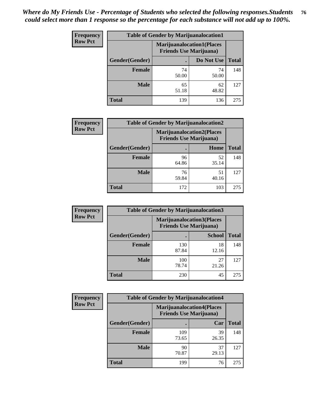| <b>Frequency</b> | <b>Table of Gender by Marijuanalocation1</b> |                                |                                  |              |
|------------------|----------------------------------------------|--------------------------------|----------------------------------|--------------|
| <b>Row Pct</b>   |                                              | <b>Friends Use Marijuana</b> ) | <b>Marijuanalocation1(Places</b> |              |
|                  | Gender(Gender)                               |                                | Do Not Use                       | <b>Total</b> |
|                  | <b>Female</b>                                | 74<br>50.00                    | 74<br>50.00                      | 148          |
|                  | <b>Male</b>                                  | 65<br>51.18                    | 62<br>48.82                      | 127          |
|                  | <b>Total</b>                                 | 139                            | 136                              | 275          |

| <b>Frequency</b> | <b>Table of Gender by Marijuanalocation2</b> |                                                                    |             |              |  |
|------------------|----------------------------------------------|--------------------------------------------------------------------|-------------|--------------|--|
| <b>Row Pct</b>   |                                              | <b>Marijuanalocation2(Places</b><br><b>Friends Use Marijuana</b> ) |             |              |  |
|                  | Gender(Gender)                               |                                                                    | Home        | <b>Total</b> |  |
|                  | Female                                       | 96<br>64.86                                                        | 52<br>35.14 | 148          |  |
|                  | <b>Male</b>                                  | 76<br>59.84                                                        | 51<br>40.16 | 127          |  |
|                  | <b>Total</b>                                 | 172                                                                | 103         | 275          |  |

| Frequency      | <b>Table of Gender by Marijuanalocation3</b> |                                |                                  |              |  |
|----------------|----------------------------------------------|--------------------------------|----------------------------------|--------------|--|
| <b>Row Pct</b> |                                              | <b>Friends Use Marijuana</b> ) | <b>Marijuanalocation3(Places</b> |              |  |
|                | Gender(Gender)                               |                                | <b>School</b>                    | <b>Total</b> |  |
|                | Female                                       | 130<br>87.84                   | 18<br>12.16                      | 148          |  |
|                | <b>Male</b>                                  | 100<br>78.74                   | 27<br>21.26                      | 127          |  |
|                | <b>Total</b>                                 | 230                            | 45                               | 275          |  |

| Frequency      | <b>Table of Gender by Marijuanalocation4</b> |                                |                                  |              |  |
|----------------|----------------------------------------------|--------------------------------|----------------------------------|--------------|--|
| <b>Row Pct</b> |                                              | <b>Friends Use Marijuana</b> ) | <b>Marijuanalocation4(Places</b> |              |  |
|                | Gender(Gender)                               |                                | Car                              | <b>Total</b> |  |
|                | <b>Female</b>                                | 109<br>73.65                   | 39<br>26.35                      | 148          |  |
|                | <b>Male</b>                                  | 90<br>70.87                    | 37<br>29.13                      | 127          |  |
|                | <b>Total</b>                                 | 199                            | 76                               | 275          |  |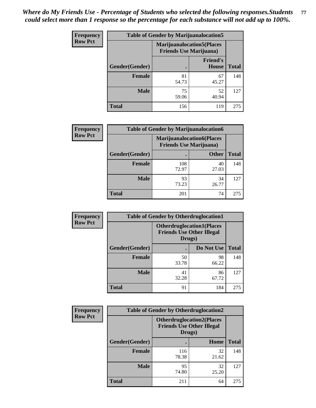| <b>Frequency</b> | <b>Table of Gender by Marijuanalocation5</b> |                                                                    |                          |              |
|------------------|----------------------------------------------|--------------------------------------------------------------------|--------------------------|--------------|
| <b>Row Pct</b>   |                                              | <b>Marijuanalocation5(Places</b><br><b>Friends Use Marijuana</b> ) |                          |              |
|                  | Gender(Gender)                               |                                                                    | <b>Friend's</b><br>House | <b>Total</b> |
|                  | <b>Female</b>                                | 81<br>54.73                                                        | 67<br>45.27              | 148          |
|                  | <b>Male</b>                                  | 75<br>59.06                                                        | 52<br>40.94              | 127          |
|                  | <b>Total</b>                                 | 156                                                                | 119                      | 275          |

| <b>Frequency</b> | <b>Table of Gender by Marijuanalocation6</b> |                                                                    |              |              |
|------------------|----------------------------------------------|--------------------------------------------------------------------|--------------|--------------|
| <b>Row Pct</b>   |                                              | <b>Marijuanalocation6(Places</b><br><b>Friends Use Marijuana</b> ) |              |              |
|                  | <b>Gender</b> (Gender)                       |                                                                    | <b>Other</b> | <b>Total</b> |
|                  | <b>Female</b>                                | 108<br>72.97                                                       | 40<br>27.03  | 148          |
|                  | <b>Male</b>                                  | 93<br>73.23                                                        | 34<br>26.77  | 127          |
|                  | <b>Total</b>                                 | 201                                                                | 74           | 275          |

| <b>Frequency</b> | <b>Table of Gender by Otherdruglocation1</b> |                                                                                |             |              |
|------------------|----------------------------------------------|--------------------------------------------------------------------------------|-------------|--------------|
| <b>Row Pct</b>   |                                              | <b>Otherdruglocation1(Places</b><br><b>Friends Use Other Illegal</b><br>Drugs) |             |              |
|                  | <b>Gender</b> (Gender)                       |                                                                                | Do Not Use  | <b>Total</b> |
|                  | <b>Female</b>                                | 50<br>33.78                                                                    | 98<br>66.22 | 148          |
|                  | <b>Male</b>                                  | 41<br>32.28                                                                    | 86<br>67.72 | 127          |
|                  | <b>Total</b>                                 | 91                                                                             | 184         | 275          |

| Frequency      | <b>Table of Gender by Otherdruglocation2</b> |                                                                                |             |              |
|----------------|----------------------------------------------|--------------------------------------------------------------------------------|-------------|--------------|
| <b>Row Pct</b> |                                              | <b>Otherdruglocation2(Places</b><br><b>Friends Use Other Illegal</b><br>Drugs) |             |              |
|                | Gender(Gender)                               |                                                                                | Home        | <b>Total</b> |
|                | <b>Female</b>                                | 116<br>78.38                                                                   | 32<br>21.62 | 148          |
|                | <b>Male</b>                                  | 95<br>74.80                                                                    | 32<br>25.20 | 127          |
|                | <b>Total</b>                                 | 211                                                                            | 64          | 275          |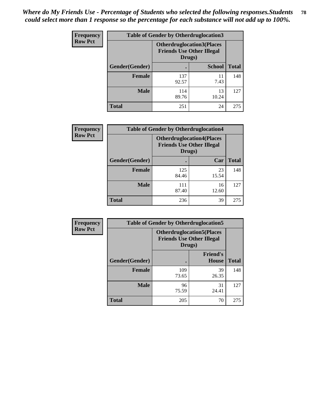| Frequency      | <b>Table of Gender by Otherdruglocation3</b> |                                                                                |               |              |
|----------------|----------------------------------------------|--------------------------------------------------------------------------------|---------------|--------------|
| <b>Row Pct</b> |                                              | <b>Otherdruglocation3(Places</b><br><b>Friends Use Other Illegal</b><br>Drugs) |               |              |
|                | Gender(Gender)                               |                                                                                | <b>School</b> | <b>Total</b> |
|                | Female                                       | 137<br>92.57                                                                   | 11<br>7.43    | 148          |
|                | <b>Male</b>                                  | 114<br>89.76                                                                   | 13<br>10.24   | 127          |
|                | <b>Total</b>                                 | 251                                                                            | 24            | 275          |

| Frequency      | <b>Table of Gender by Otherdruglocation4</b> |                                                                                |             |              |
|----------------|----------------------------------------------|--------------------------------------------------------------------------------|-------------|--------------|
| <b>Row Pct</b> |                                              | <b>Otherdruglocation4(Places</b><br><b>Friends Use Other Illegal</b><br>Drugs) |             |              |
|                | Gender(Gender)                               |                                                                                | Car         | <b>Total</b> |
|                | Female                                       | 125<br>84.46                                                                   | 23<br>15.54 | 148          |
|                | <b>Male</b>                                  | 111<br>87.40                                                                   | 16<br>12.60 | 127          |
|                | <b>Total</b>                                 | 236                                                                            | 39          | 275          |

| Frequency      | <b>Table of Gender by Otherdruglocation5</b>                                   |              |                                 |              |
|----------------|--------------------------------------------------------------------------------|--------------|---------------------------------|--------------|
| <b>Row Pct</b> | <b>Otherdruglocation5(Places</b><br><b>Friends Use Other Illegal</b><br>Drugs) |              |                                 |              |
|                | Gender(Gender)                                                                 |              | <b>Friend's</b><br><b>House</b> | <b>Total</b> |
|                | <b>Female</b>                                                                  | 109<br>73.65 | 39<br>26.35                     | 148          |
|                | <b>Male</b>                                                                    | 96<br>75.59  | 31<br>24.41                     | 127          |
|                | <b>Total</b>                                                                   | 205          | 70                              | 275          |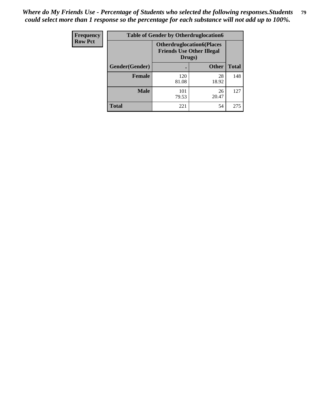| Frequency      | <b>Table of Gender by Otherdruglocation6</b> |                                                                                |              |              |
|----------------|----------------------------------------------|--------------------------------------------------------------------------------|--------------|--------------|
| <b>Row Pct</b> |                                              | <b>Otherdruglocation6(Places</b><br><b>Friends Use Other Illegal</b><br>Drugs) |              |              |
|                | Gender(Gender)                               |                                                                                | <b>Other</b> | <b>Total</b> |
|                | <b>Female</b>                                | 120<br>81.08                                                                   | 28<br>18.92  | 148          |
|                | <b>Male</b>                                  | 101<br>79.53                                                                   | 26<br>20.47  | 127          |
|                | <b>Total</b>                                 | 221                                                                            | 54           | 275          |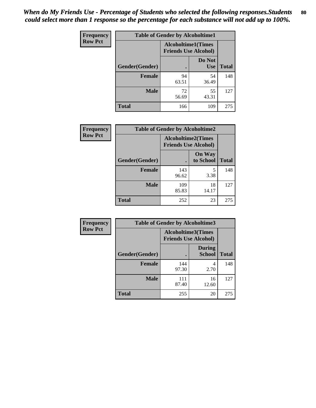| <b>Frequency</b> | <b>Table of Gender by Alcoholtime1</b> |                                                          |                      |              |
|------------------|----------------------------------------|----------------------------------------------------------|----------------------|--------------|
| <b>Row Pct</b>   |                                        | <b>Alcoholtime1(Times</b><br><b>Friends Use Alcohol)</b> |                      |              |
|                  | Gender(Gender)                         | $\bullet$                                                | Do Not<br><b>Use</b> | <b>Total</b> |
|                  | <b>Female</b>                          | 94<br>63.51                                              | 54<br>36.49          | 148          |
|                  | <b>Male</b>                            | 72<br>56.69                                              | 55<br>43.31          | 127          |
|                  | <b>Total</b>                           | 166                                                      | 109                  | 275          |

| <b>Frequency</b> | <b>Table of Gender by Alcoholtime2</b> |                                                          |                            |              |
|------------------|----------------------------------------|----------------------------------------------------------|----------------------------|--------------|
| <b>Row Pct</b>   |                                        | <b>Alcoholtime2(Times</b><br><b>Friends Use Alcohol)</b> |                            |              |
|                  | Gender(Gender)                         |                                                          | <b>On Way</b><br>to School | <b>Total</b> |
|                  | <b>Female</b>                          | 143<br>96.62                                             | 5<br>3.38                  | 148          |
|                  | <b>Male</b>                            | 109<br>85.83                                             | 18<br>14.17                | 127          |
|                  | <b>Total</b>                           | 252                                                      | 23                         | 275          |

| <b>Frequency</b> | <b>Table of Gender by Alcoholtime3</b> |                                                   |                                |              |
|------------------|----------------------------------------|---------------------------------------------------|--------------------------------|--------------|
| <b>Row Pct</b>   |                                        | Alcoholtime3(Times<br><b>Friends Use Alcohol)</b> |                                |              |
|                  | Gender(Gender)                         |                                                   | <b>During</b><br><b>School</b> | <b>Total</b> |
|                  | Female                                 | 144<br>97.30                                      | 4<br>2.70                      | 148          |
|                  | <b>Male</b>                            | 111<br>87.40                                      | 16<br>12.60                    | 127          |
|                  | <b>Total</b>                           | 255                                               | 20                             | 275          |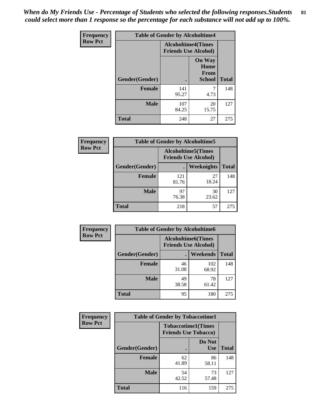*When do My Friends Use - Percentage of Students who selected the following responses.Students could select more than 1 response so the percentage for each substance will not add up to 100%.* **81**

| <b>Frequency</b> | <b>Table of Gender by Alcoholtime4</b> |                                                          |                                                |              |
|------------------|----------------------------------------|----------------------------------------------------------|------------------------------------------------|--------------|
| <b>Row Pct</b>   |                                        | <b>Alcoholtime4(Times</b><br><b>Friends Use Alcohol)</b> |                                                |              |
|                  | Gender(Gender)                         |                                                          | <b>On Way</b><br>Home<br>From<br><b>School</b> | <b>Total</b> |
|                  | <b>Female</b>                          | 141<br>95.27                                             | 7<br>4.73                                      | 148          |
|                  | <b>Male</b>                            | 107<br>84.25                                             | 20<br>15.75                                    | 127          |
|                  | <b>Total</b>                           | 248                                                      | 27                                             | 275          |

| <b>Frequency</b> | <b>Table of Gender by Alcoholtime5</b> |                                                           |             |              |
|------------------|----------------------------------------|-----------------------------------------------------------|-------------|--------------|
| <b>Row Pct</b>   |                                        | <b>Alcoholtime5</b> (Times<br><b>Friends Use Alcohol)</b> |             |              |
|                  | Gender(Gender)                         |                                                           | Weeknights  | <b>Total</b> |
|                  | <b>Female</b>                          | 121<br>81.76                                              | 27<br>18.24 | 148          |
|                  | <b>Male</b>                            | 97<br>76.38                                               | 30<br>23.62 | 127          |
|                  | <b>Total</b>                           | 218                                                       | 57          | 275          |

| <b>Frequency</b> | <b>Table of Gender by Alcoholtime6</b> |             |                                                          |              |
|------------------|----------------------------------------|-------------|----------------------------------------------------------|--------------|
| <b>Row Pct</b>   |                                        |             | <b>Alcoholtime6(Times</b><br><b>Friends Use Alcohol)</b> |              |
|                  | Gender(Gender)                         |             | <b>Weekends</b>                                          | <b>Total</b> |
|                  | Female                                 | 46<br>31.08 | 102<br>68.92                                             | 148          |
|                  | <b>Male</b>                            | 49<br>38.58 | 78<br>61.42                                              | 127          |
|                  | <b>Total</b>                           | 95          | 180                                                      | 275          |

| Frequency      | <b>Table of Gender by Tobaccotime1</b> |                                                          |                      |              |
|----------------|----------------------------------------|----------------------------------------------------------|----------------------|--------------|
| <b>Row Pct</b> |                                        | <b>Tobaccotime1(Times</b><br><b>Friends Use Tobacco)</b> |                      |              |
|                | Gender(Gender)                         |                                                          | Do Not<br><b>Use</b> | <b>Total</b> |
|                | <b>Female</b>                          | 62<br>41.89                                              | 86<br>58.11          | 148          |
|                | <b>Male</b>                            | 54<br>42.52                                              | 73<br>57.48          | 127          |
|                | <b>Total</b>                           | 116                                                      | 159                  | 275          |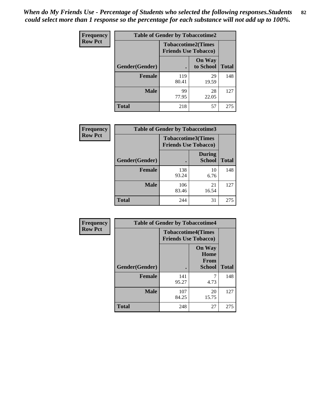| <b>Frequency</b> | <b>Table of Gender by Tobaccotime2</b> |                                                          |                            |              |
|------------------|----------------------------------------|----------------------------------------------------------|----------------------------|--------------|
| <b>Row Pct</b>   |                                        | <b>Tobaccotime2(Times</b><br><b>Friends Use Tobacco)</b> |                            |              |
|                  | Gender(Gender)                         |                                                          | <b>On Way</b><br>to School | <b>Total</b> |
|                  | <b>Female</b>                          | 119<br>80.41                                             | 29<br>19.59                | 148          |
|                  | <b>Male</b>                            | 99<br>77.95                                              | 28<br>22.05                | 127          |
|                  | <b>Total</b>                           | 218                                                      | 57                         | 275          |

| <b>Frequency</b> | <b>Table of Gender by Tobaccotime3</b> |                                                          |                                |              |
|------------------|----------------------------------------|----------------------------------------------------------|--------------------------------|--------------|
| <b>Row Pct</b>   |                                        | <b>Tobaccotime3(Times</b><br><b>Friends Use Tobacco)</b> |                                |              |
|                  | Gender(Gender)                         |                                                          | <b>During</b><br><b>School</b> | <b>Total</b> |
|                  | <b>Female</b>                          | 138<br>93.24                                             | 10<br>6.76                     | 148          |
|                  | <b>Male</b>                            | 106<br>83.46                                             | 21<br>16.54                    | 127          |
|                  | <b>Total</b>                           | 244                                                      | 31                             | 275          |

| Frequency      | <b>Table of Gender by Tobaccotime4</b> |                                                          |                                                       |              |
|----------------|----------------------------------------|----------------------------------------------------------|-------------------------------------------------------|--------------|
| <b>Row Pct</b> |                                        | <b>Tobaccotime4(Times</b><br><b>Friends Use Tobacco)</b> |                                                       |              |
|                | Gender(Gender)                         |                                                          | <b>On Way</b><br>Home<br><b>From</b><br><b>School</b> | <b>Total</b> |
|                | <b>Female</b>                          | 141<br>95.27                                             | 4.73                                                  | 148          |
|                | <b>Male</b>                            | 107<br>84.25                                             | 20<br>15.75                                           | 127          |
|                | <b>Total</b>                           | 248                                                      | 27                                                    | 275          |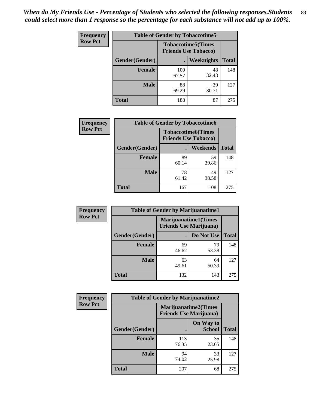| Frequency      | <b>Table of Gender by Tobaccotime5</b> |              |                                                          |              |  |
|----------------|----------------------------------------|--------------|----------------------------------------------------------|--------------|--|
| <b>Row Pct</b> |                                        |              | <b>Tobaccotime5(Times</b><br><b>Friends Use Tobacco)</b> |              |  |
|                | <b>Gender</b> (Gender)                 |              | Weeknights                                               | <b>Total</b> |  |
|                | <b>Female</b>                          | 100<br>67.57 | 48<br>32.43                                              | 148          |  |
|                | <b>Male</b>                            | 88<br>69.29  | 39<br>30.71                                              | 127          |  |
|                | <b>Total</b>                           | 188          | 87                                                       | 275          |  |

| Frequency      | <b>Table of Gender by Tobaccotime6</b> |                                                          |             |              |
|----------------|----------------------------------------|----------------------------------------------------------|-------------|--------------|
| <b>Row Pct</b> |                                        | <b>Tobaccotime6(Times</b><br><b>Friends Use Tobacco)</b> |             |              |
|                | Gender(Gender)                         |                                                          | Weekends    | <b>Total</b> |
|                | Female                                 | 89<br>60.14                                              | 59<br>39.86 | 148          |
|                | <b>Male</b>                            | 78<br>61.42                                              | 49<br>38.58 | 127          |
|                | <b>Total</b>                           | 167                                                      | 108         | 275          |

| <b>Frequency</b> | <b>Table of Gender by Marijuanatime1</b> |                                                               |             |              |
|------------------|------------------------------------------|---------------------------------------------------------------|-------------|--------------|
| <b>Row Pct</b>   |                                          | <b>Marijuanatime1(Times</b><br><b>Friends Use Marijuana</b> ) |             |              |
|                  | Gender(Gender)                           |                                                               | Do Not Use  | <b>Total</b> |
|                  | <b>Female</b>                            | 69<br>46.62                                                   | 79<br>53.38 | 148          |
|                  | <b>Male</b>                              | 63<br>49.61                                                   | 64<br>50.39 | 127          |
|                  | <b>Total</b>                             | 132                                                           | 143         | 275          |

| <b>Frequency</b> | <b>Table of Gender by Marijuanatime2</b> |                                                               |                            |              |
|------------------|------------------------------------------|---------------------------------------------------------------|----------------------------|--------------|
| <b>Row Pct</b>   |                                          | <b>Marijuanatime2(Times</b><br><b>Friends Use Marijuana</b> ) |                            |              |
|                  | Gender(Gender)                           |                                                               | On Way to<br><b>School</b> | <b>Total</b> |
|                  | Female                                   | 113<br>76.35                                                  | 35<br>23.65                | 148          |
|                  | <b>Male</b>                              | 94<br>74.02                                                   | 33<br>25.98                | 127          |
|                  | <b>Total</b>                             | 207                                                           | 68                         | 275          |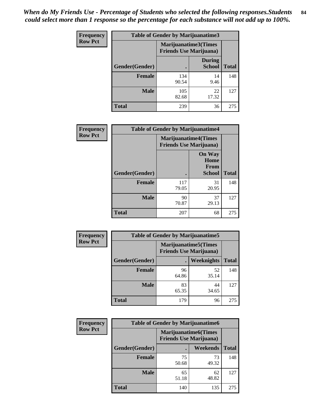| Frequency      | <b>Table of Gender by Marijuanatime3</b> |                                                        |                                |              |
|----------------|------------------------------------------|--------------------------------------------------------|--------------------------------|--------------|
| <b>Row Pct</b> |                                          | Marijuanatime3(Times<br><b>Friends Use Marijuana</b> ) |                                |              |
|                | Gender(Gender)                           |                                                        | <b>During</b><br><b>School</b> | <b>Total</b> |
|                | <b>Female</b>                            | 134<br>90.54                                           | 14<br>9.46                     | 148          |
|                | <b>Male</b>                              | 105<br>82.68                                           | 22<br>17.32                    | 127          |
|                | <b>Total</b>                             | 239                                                    | 36                             | 275          |

| Frequency      | <b>Table of Gender by Marijuanatime4</b> |                                                               |                                                |              |
|----------------|------------------------------------------|---------------------------------------------------------------|------------------------------------------------|--------------|
| <b>Row Pct</b> |                                          | <b>Marijuanatime4(Times</b><br><b>Friends Use Marijuana</b> ) |                                                |              |
|                | Gender(Gender)                           |                                                               | <b>On Way</b><br>Home<br>From<br><b>School</b> | <b>Total</b> |
|                | <b>Female</b>                            | 117<br>79.05                                                  | 31<br>20.95                                    | 148          |
|                | <b>Male</b>                              | 90<br>70.87                                                   | 37<br>29.13                                    | 127          |
|                | <b>Total</b>                             | 207                                                           | 68                                             | 275          |

| Frequency      | <b>Table of Gender by Marijuanatime5</b> |             |                                                                |              |
|----------------|------------------------------------------|-------------|----------------------------------------------------------------|--------------|
| <b>Row Pct</b> |                                          |             | <b>Marijuanatime5</b> (Times<br><b>Friends Use Marijuana</b> ) |              |
|                | Gender(Gender)                           | ٠           | Weeknights                                                     | <b>Total</b> |
|                | <b>Female</b>                            | 96<br>64.86 | 52<br>35.14                                                    | 148          |
|                | <b>Male</b>                              | 83<br>65.35 | 44<br>34.65                                                    | 127          |
|                | <b>Total</b>                             | 179         | 96                                                             | 275          |

| Frequency      | <b>Table of Gender by Marijuanatime6</b> |                                                               |                 |              |  |
|----------------|------------------------------------------|---------------------------------------------------------------|-----------------|--------------|--|
| <b>Row Pct</b> |                                          | <b>Marijuanatime6(Times</b><br><b>Friends Use Marijuana</b> ) |                 |              |  |
|                | Gender(Gender)                           |                                                               | <b>Weekends</b> | <b>Total</b> |  |
|                | <b>Female</b>                            | 75<br>50.68                                                   | 73<br>49.32     | 148          |  |
|                | <b>Male</b>                              | 65<br>51.18                                                   | 62<br>48.82     | 127          |  |
|                | <b>Total</b>                             | 140                                                           | 135             | 275          |  |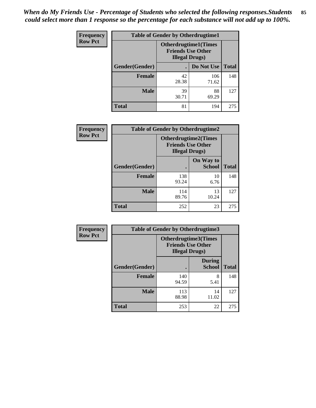| <b>Frequency</b> | <b>Table of Gender by Otherdrugtime1</b> |                                                                                    |              |              |
|------------------|------------------------------------------|------------------------------------------------------------------------------------|--------------|--------------|
| <b>Row Pct</b>   |                                          | <b>Otherdrugtime1</b> (Times<br><b>Friends Use Other</b><br><b>Illegal Drugs</b> ) |              |              |
|                  | Gender(Gender)                           |                                                                                    | Do Not Use   | <b>Total</b> |
|                  | <b>Female</b>                            | 42<br>28.38                                                                        | 106<br>71.62 | 148          |
|                  | <b>Male</b>                              | 39<br>30.71                                                                        | 88<br>69.29  | 127          |
|                  | <b>Total</b>                             | 81                                                                                 | 194          | 275          |

| Frequency      | <b>Table of Gender by Otherdrugtime2</b> |                                                                                   |                            |              |
|----------------|------------------------------------------|-----------------------------------------------------------------------------------|----------------------------|--------------|
| <b>Row Pct</b> |                                          | <b>Otherdrugtime2(Times</b><br><b>Friends Use Other</b><br><b>Illegal Drugs</b> ) |                            |              |
|                | Gender(Gender)                           |                                                                                   | On Way to<br><b>School</b> | <b>Total</b> |
|                | <b>Female</b>                            | 138<br>93.24                                                                      | 10<br>6.76                 | 148          |
|                | <b>Male</b>                              | 114<br>89.76                                                                      | 13<br>10.24                | 127          |
|                | <b>Total</b>                             | 252                                                                               | 23                         | 275          |

| Frequency      |                | <b>Table of Gender by Otherdrugtime3</b> |                                                         |              |
|----------------|----------------|------------------------------------------|---------------------------------------------------------|--------------|
| <b>Row Pct</b> |                | <b>Illegal Drugs</b> )                   | <b>Otherdrugtime3(Times</b><br><b>Friends Use Other</b> |              |
|                | Gender(Gender) |                                          | <b>During</b><br><b>School</b>                          | <b>Total</b> |
|                | <b>Female</b>  | 140<br>94.59                             | 8<br>5.41                                               | 148          |
|                | <b>Male</b>    | 113<br>88.98                             | 14<br>11.02                                             | 127          |
|                | <b>Total</b>   | 253                                      | 22                                                      | 275          |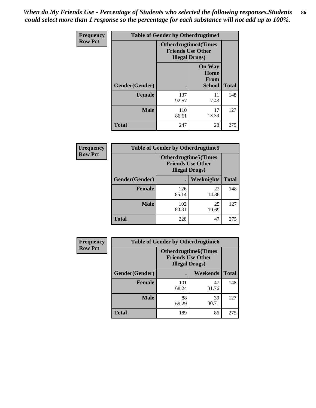*When do My Friends Use - Percentage of Students who selected the following responses.Students could select more than 1 response so the percentage for each substance will not add up to 100%.* **86**

| <b>Frequency</b> | <b>Table of Gender by Otherdrugtime4</b> |                                                       |                                                       |              |
|------------------|------------------------------------------|-------------------------------------------------------|-------------------------------------------------------|--------------|
| <b>Row Pct</b>   |                                          | <b>Otherdrugtime4(Times</b><br><b>Illegal Drugs</b> ) | <b>Friends Use Other</b>                              |              |
|                  | Gender(Gender)                           | ٠                                                     | <b>On Way</b><br>Home<br><b>From</b><br><b>School</b> | <b>Total</b> |
|                  | <b>Female</b>                            | 137<br>92.57                                          | 11<br>7.43                                            | 148          |
|                  | <b>Male</b>                              | 110<br>86.61                                          | 17<br>13.39                                           | 127          |
|                  | <b>Total</b>                             | 247                                                   | 28                                                    | 275          |

| Frequency      | <b>Table of Gender by Otherdrugtime5</b> |                                                                                    |             |              |
|----------------|------------------------------------------|------------------------------------------------------------------------------------|-------------|--------------|
| <b>Row Pct</b> |                                          | <b>Otherdrugtime5</b> (Times<br><b>Friends Use Other</b><br><b>Illegal Drugs</b> ) |             |              |
|                | Gender(Gender)                           |                                                                                    | Weeknights  | <b>Total</b> |
|                | <b>Female</b>                            | 126<br>85.14                                                                       | 22<br>14.86 | 148          |
|                | <b>Male</b>                              | 102<br>80.31                                                                       | 25<br>19.69 | 127          |
|                | <b>Total</b>                             | 228                                                                                | 47          | 275          |

| <b>Frequency</b> | <b>Table of Gender by Otherdrugtime6</b> |                                                                                   |             |              |  |
|------------------|------------------------------------------|-----------------------------------------------------------------------------------|-------------|--------------|--|
| <b>Row Pct</b>   |                                          | <b>Otherdrugtime6(Times</b><br><b>Friends Use Other</b><br><b>Illegal Drugs</b> ) |             |              |  |
|                  | Gender(Gender)                           |                                                                                   | Weekends    | <b>Total</b> |  |
|                  | <b>Female</b>                            | 101<br>68.24                                                                      | 47<br>31.76 | 148          |  |
|                  | <b>Male</b>                              | 88<br>69.29                                                                       | 39<br>30.71 | 127          |  |
|                  | <b>Total</b>                             | 189                                                                               | 86          | 275          |  |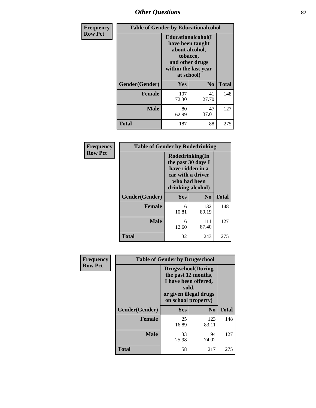# *Other Questions* **87**

| <b>Frequency</b> | <b>Table of Gender by Educationalcohol</b> |                                                                                                                                       |                |              |
|------------------|--------------------------------------------|---------------------------------------------------------------------------------------------------------------------------------------|----------------|--------------|
| <b>Row Pct</b>   |                                            | <b>Educationalcohol</b> (I<br>have been taught<br>about alcohol,<br>tobacco,<br>and other drugs<br>within the last year<br>at school) |                |              |
|                  | Gender(Gender)                             | <b>Yes</b>                                                                                                                            | N <sub>0</sub> | <b>Total</b> |
|                  | <b>Female</b>                              | 107<br>72.30                                                                                                                          | 41<br>27.70    | 148          |
|                  | <b>Male</b>                                | 80<br>62.99                                                                                                                           | 47<br>37.01    | 127          |
|                  | <b>Total</b>                               | 187                                                                                                                                   | 88             | 275          |

| Frequency      | <b>Table of Gender by Rodedrinking</b> |                                                                                                                     |                |              |  |
|----------------|----------------------------------------|---------------------------------------------------------------------------------------------------------------------|----------------|--------------|--|
| <b>Row Pct</b> |                                        | Rodedrinking(In<br>the past 30 days I<br>have ridden in a<br>car with a driver<br>who had been<br>drinking alcohol) |                |              |  |
|                | Gender(Gender)                         | Yes                                                                                                                 | N <sub>0</sub> | <b>Total</b> |  |
|                | <b>Female</b>                          | 16<br>10.81                                                                                                         | 132<br>89.19   | 148          |  |
|                | <b>Male</b>                            | 16<br>12.60                                                                                                         | 111<br>87.40   | 127          |  |
|                | <b>Total</b>                           | 32                                                                                                                  | 243            | 275          |  |

| Frequency      | <b>Table of Gender by Drugsschool</b> |                                                                                                                                     |                |              |  |
|----------------|---------------------------------------|-------------------------------------------------------------------------------------------------------------------------------------|----------------|--------------|--|
| <b>Row Pct</b> |                                       | <b>Drugsschool</b> (During<br>the past 12 months,<br>I have been offered,<br>sold,<br>or given illegal drugs<br>on school property) |                |              |  |
|                | Gender(Gender)                        | <b>Yes</b>                                                                                                                          | N <sub>0</sub> | <b>Total</b> |  |
|                | <b>Female</b>                         | 25<br>16.89                                                                                                                         | 123<br>83.11   | 148          |  |
|                | <b>Male</b>                           | 33<br>25.98                                                                                                                         | 94<br>74.02    | 127          |  |
|                | <b>Total</b>                          | 58                                                                                                                                  | 217            | 275          |  |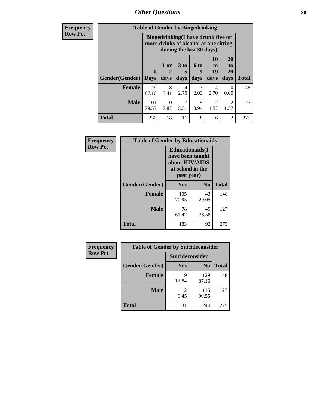*Other Questions* **88**

**Frequency Row Pct**

| <b>Table of Gender by Bingedrinking</b> |              |                                                                                                         |                          |                        |                        |                        |     |
|-----------------------------------------|--------------|---------------------------------------------------------------------------------------------------------|--------------------------|------------------------|------------------------|------------------------|-----|
|                                         |              | Bingedrinking(I have drunk five or<br>more drinks of alcohol at one sitting<br>during the last 30 days) |                          |                        |                        |                        |     |
| <b>Gender</b> (Gender)                  | 1 or<br>days | 3 to<br>5<br>days                                                                                       | <b>6 to</b><br>9<br>days | 10<br>to<br>19<br>days | 20<br>to<br>29<br>days | <b>Total</b>           |     |
|                                         | <b>Days</b>  |                                                                                                         |                          |                        |                        |                        |     |
| Female                                  | 129<br>87.16 | 8<br>5.41                                                                                               | 4<br>2.70                | 3<br>2.03              | 4<br>2.70              | 0<br>0.00              | 148 |
| <b>Male</b>                             | 101<br>79.53 | 10<br>7.87                                                                                              | 7<br>5.51                | 5<br>3.94              | $\mathfrak{D}$<br>1.57 | $\overline{2}$<br>1.57 | 127 |

| Frequency      | <b>Table of Gender by Educationaids</b> |                                                                                                 |             |              |  |
|----------------|-----------------------------------------|-------------------------------------------------------------------------------------------------|-------------|--------------|--|
| <b>Row Pct</b> |                                         | <b>Educationaids</b> (I<br>have been taught<br>about HIV/AIDS<br>at school in the<br>past year) |             |              |  |
|                | Gender(Gender)                          | Yes                                                                                             | $\bf N_0$   | <b>Total</b> |  |
|                | <b>Female</b>                           | 105<br>70.95                                                                                    | 43<br>29.05 | 148          |  |
|                | <b>Male</b>                             | 78<br>61.42                                                                                     | 49<br>38.58 | 127          |  |
|                | <b>Total</b>                            | 183                                                                                             | 92          | 275          |  |

| <b>Frequency</b> | <b>Table of Gender by Suicideconsider</b> |                 |                |              |  |
|------------------|-------------------------------------------|-----------------|----------------|--------------|--|
| <b>Row Pct</b>   |                                           | Suicideconsider |                |              |  |
|                  | Gender(Gender)                            | Yes             | N <sub>0</sub> | <b>Total</b> |  |
|                  | <b>Female</b>                             | 19<br>12.84     | 129<br>87.16   | 148          |  |
|                  | <b>Male</b>                               | 12<br>9.45      | 115<br>90.55   | 127          |  |
|                  | <b>Total</b>                              | 31              | 244            | 275          |  |